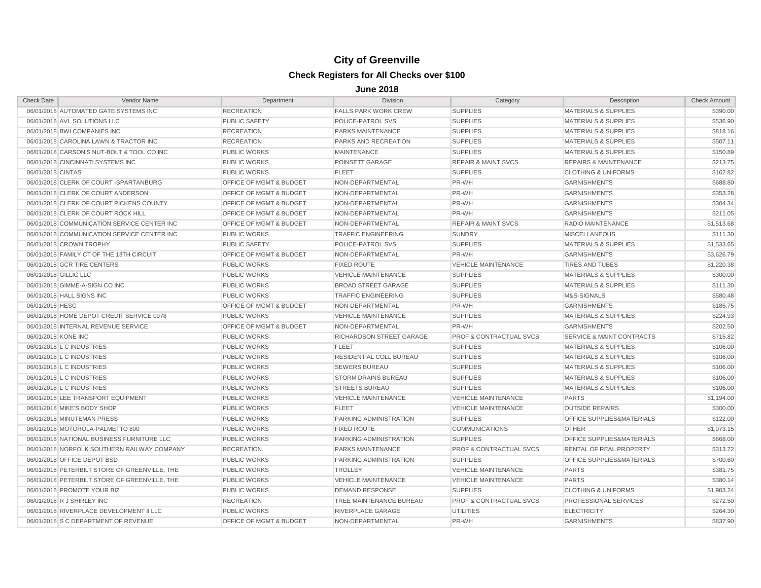## **City of Greenville Check Registers for All Checks over \$100**

**June 2018**

| <b>Check Date</b>     | Vendor Name                                   | Department                         | <b>Division</b>             | Category                           | Description                          | <b>Check Amount</b> |
|-----------------------|-----------------------------------------------|------------------------------------|-----------------------------|------------------------------------|--------------------------------------|---------------------|
|                       | 06/01/2018 AUTOMATED GATE SYSTEMS INC         | <b>RECREATION</b>                  | <b>FALLS PARK WORK CREW</b> | <b>SUPPLIES</b>                    | <b>MATERIALS &amp; SUPPLIES</b>      | \$390.00            |
|                       | 06/01/2018 AVL SOLUTIONS LLC                  | <b>PUBLIC SAFETY</b>               | POLICE-PATROL SVS           | <b>SUPPLIES</b>                    | <b>MATERIALS &amp; SUPPLIES</b>      | \$536.90            |
|                       | 06/01/2018 BWI COMPANIES INC                  | <b>RECREATION</b>                  | PARKS MAINTENANCE           | <b>SUPPLIES</b>                    | <b>MATERIALS &amp; SUPPLIES</b>      | \$818.16            |
|                       | 06/01/2018 CAROLINA LAWN & TRACTOR INC        | <b>RECREATION</b>                  | PARKS AND RECREATION        | <b>SUPPLIES</b>                    | <b>MATERIALS &amp; SUPPLIES</b>      | \$507.11            |
|                       | 06/01/2018 CARSON'S NUT-BOLT & TOOL CO INC    | <b>PUBLIC WORKS</b>                | <b>MAINTENANCE</b>          | <b>SUPPLIES</b>                    | <b>MATERIALS &amp; SUPPLIES</b>      | \$150.89            |
|                       | 06/01/2018 CINCINNATI SYSTEMS INC             | <b>PUBLIC WORKS</b>                | POINSETT GARAGE             | <b>REPAIR &amp; MAINT SVCS</b>     | <b>REPAIRS &amp; MAINTENANCE</b>     | \$213.75            |
| 06/01/2018 CINTAS     |                                               | <b>PUBLIC WORKS</b>                | <b>FLEET</b>                | <b>SUPPLIES</b>                    | <b>CLOTHING &amp; UNIFORMS</b>       | \$162.82            |
|                       | 06/01/2018 CLERK OF COURT-SPARTANBURG         | OFFICE OF MGMT & BUDGET            | NON-DEPARTMENTAL            | PR-WH                              | <b>GARNISHMENTS</b>                  | \$688.80            |
|                       | 06/01/2018 CLERK OF COURT ANDERSON            | OFFICE OF MGMT & BUDGET            | NON-DEPARTMENTAL            | PR-WH                              | <b>GARNISHMENTS</b>                  | \$353.28            |
|                       | 06/01/2018 CLERK OF COURT PICKENS COUNTY      | OFFICE OF MGMT & BUDGET            | NON-DEPARTMENTAL            | PR-WH                              | <b>GARNISHMENTS</b>                  | \$304.34            |
|                       | 06/01/2018 CLERK OF COURT ROCK HILL           | OFFICE OF MGMT & BUDGET            | NON-DEPARTMENTAL            | PR-WH                              | <b>GARNISHMENTS</b>                  | \$211.05            |
|                       | 06/01/2018 COMMUNICATION SERVICE CENTER INC   | OFFICE OF MGMT & BUDGET            | NON-DEPARTMENTAL            | <b>REPAIR &amp; MAINT SVCS</b>     | RADIO MAINTENANCE                    | \$1,513.68          |
|                       | 06/01/2018 COMMUNICATION SERVICE CENTER INC   | <b>PUBLIC WORKS</b>                | <b>TRAFFIC ENGINEERING</b>  | <b>SUNDRY</b>                      | <b>MISCELLANEOUS</b>                 | \$111.30            |
|                       | 06/01/2018 CROWN TROPHY                       | <b>PUBLIC SAFETY</b>               | POLICE-PATROL SVS           | <b>SUPPLIES</b>                    | <b>MATERIALS &amp; SUPPLIES</b>      | \$1,533.65          |
|                       | 06/01/2018 FAMILY CT OF THE 13TH CIRCUIT      | OFFICE OF MGMT & BUDGET            | NON-DEPARTMENTAL            | PR-WH                              | <b>GARNISHMENTS</b>                  | \$3,626.79          |
|                       | 06/01/2018 GCR TIRE CENTERS                   | <b>PUBLIC WORKS</b>                | <b>FIXED ROUTE</b>          | <b>VEHICLE MAINTENANCE</b>         | <b>TIRES AND TUBES</b>               | \$1,220.38          |
| 06/01/2018 GILLIG LLC |                                               | <b>PUBLIC WORKS</b>                | <b>VEHICLE MAINTENANCE</b>  | <b>SUPPLIES</b>                    | <b>MATERIALS &amp; SUPPLIES</b>      | \$300.00            |
|                       | 06/01/2018 GIMME-A-SIGN CO INC                | <b>PUBLIC WORKS</b>                | <b>BROAD STREET GARAGE</b>  | <b>SUPPLIES</b>                    | <b>MATERIALS &amp; SUPPLIES</b>      | \$111.30            |
|                       | 06/01/2018 HALL SIGNS INC                     | <b>PUBLIC WORKS</b>                | <b>TRAFFIC ENGINEERING</b>  | <b>SUPPLIES</b>                    | M&S-SIGNALS                          | \$580.48            |
| 06/01/2018 HESC       |                                               | OFFICE OF MGMT & BUDGET            | NON-DEPARTMENTAL            | PR-WH                              | <b>GARNISHMENTS</b>                  | \$185.75            |
|                       | 06/01/2018 HOME DEPOT CREDIT SERVICE 0978     | <b>PUBLIC WORKS</b>                | <b>VEHICLE MAINTENANCE</b>  | <b>SUPPLIES</b>                    | <b>MATERIALS &amp; SUPPLIES</b>      | \$224.93            |
|                       | 06/01/2018 INTERNAL REVENUE SERVICE           | <b>OFFICE OF MGMT &amp; BUDGET</b> | NON-DEPARTMENTAL            | PR-WH                              | <b>GARNISHMENTS</b>                  | \$202.50            |
| 06/01/2018 KONE INC   |                                               | <b>PUBLIC WORKS</b>                | RICHARDSON STREET GARAGE    | <b>PROF &amp; CONTRACTUAL SVCS</b> | <b>SERVICE &amp; MAINT CONTRACTS</b> | \$715.82            |
|                       | 06/01/2018 L C INDUSTRIES                     | <b>PUBLIC WORKS</b>                | <b>FLEET</b>                | <b>SUPPLIES</b>                    | <b>MATERIALS &amp; SUPPLIES</b>      | \$106.00            |
|                       | 06/01/2018 L C INDUSTRIES                     | <b>PUBLIC WORKS</b>                | RESIDENTIAL COLL BUREAU     | <b>SUPPLIES</b>                    | MATERIALS & SUPPLIES                 | \$106.00            |
|                       | 06/01/2018 L C INDUSTRIES                     | <b>PUBLIC WORKS</b>                | <b>SEWERS BUREAU</b>        | <b>SUPPLIES</b>                    | <b>MATERIALS &amp; SUPPLIES</b>      | \$106.00            |
|                       | 06/01/2018 L C INDUSTRIES                     | <b>PUBLIC WORKS</b>                | <b>STORM DRAINS BUREAU</b>  | <b>SUPPLIES</b>                    | <b>MATERIALS &amp; SUPPLIES</b>      | \$106.00            |
|                       | 06/01/2018 L C INDUSTRIES                     | <b>PUBLIC WORKS</b>                | <b>STREETS BUREAU</b>       | <b>SUPPLIES</b>                    | <b>MATERIALS &amp; SUPPLIES</b>      | \$106.00            |
|                       | 06/01/2018 LEE TRANSPORT EQUIPMENT            | <b>PUBLIC WORKS</b>                | <b>VEHICLE MAINTENANCE</b>  | <b>VEHICLE MAINTENANCE</b>         | <b>PARTS</b>                         | \$1,194.00          |
|                       | 06/01/2018 MIKE'S BODY SHOP                   | <b>PUBLIC WORKS</b>                | <b>FLEET</b>                | <b>VEHICLE MAINTENANCE</b>         | <b>OUTSIDE REPAIRS</b>               | \$300.00            |
|                       | 06/01/2018 MINUTEMAN PRESS                    | <b>PUBLIC WORKS</b>                | PARKING ADMINISTRATION      | <b>SUPPLIES</b>                    | OFFICE SUPPLIES&MATERIALS            | \$122.00            |
|                       | 06/01/2018 MOTOROLA-PALMETTO 800              | <b>PUBLIC WORKS</b>                | <b>FIXED ROUTE</b>          | <b>COMMUNICATIONS</b>              | <b>OTHER</b>                         | \$1,073.15          |
|                       | 06/01/2018 NATIONAL BUSINESS FURNITURE LLC    | <b>PUBLIC WORKS</b>                | PARKING ADMINISTRATION      | <b>SUPPLIES</b>                    | OFFICE SUPPLIES&MATERIALS            | \$668.00            |
|                       | 06/01/2018 NORFOLK SOUTHERN RAILWAY COMPANY   | <b>RECREATION</b>                  | PARKS MAINTENANCE           | <b>PROF &amp; CONTRACTUAL SVCS</b> | <b>RENTAL OF REAL PROPERTY</b>       | \$313.72            |
|                       | 06/01/2018 OFFICE DEPOT BSD                   | <b>PUBLIC WORKS</b>                | PARKING ADMINISTRATION      | <b>SUPPLIES</b>                    | OFFICE SUPPLIES&MATERIALS            | \$700.60            |
|                       | 06/01/2018 PETERBILT STORE OF GREENVILLE, THE | <b>PUBLIC WORKS</b>                | <b>TROLLEY</b>              | <b>VEHICLE MAINTENANCE</b>         | <b>PARTS</b>                         | \$381.75            |
|                       | 06/01/2018 PETERBILT STORE OF GREENVILLE, THE | <b>PUBLIC WORKS</b>                | <b>VEHICLE MAINTENANCE</b>  | <b>VEHICLE MAINTENANCE</b>         | <b>PARTS</b>                         | \$380.14            |
|                       | 06/01/2018 PROMOTE YOUR BIZ                   | <b>PUBLIC WORKS</b>                | <b>DEMAND RESPONSE</b>      | <b>SUPPLIES</b>                    | <b>CLOTHING &amp; UNIFORMS</b>       | \$1,983.24          |
|                       | 06/01/2018 R J SHIRLEY INC                    | <b>RECREATION</b>                  | TREE MAINTENANCE BUREAU     | <b>PROF &amp; CONTRACTUAL SVCS</b> | PROFESSIONAL SERVICES                | \$272.50            |
|                       | 06/01/2018 RIVERPLACE DEVELOPMENT II LLC      | <b>PUBLIC WORKS</b>                | RIVERPLACE GARAGE           | <b>UTILITIES</b>                   | <b>ELECTRICITY</b>                   | \$264.30            |
|                       | 06/01/2018 S C DEPARTMENT OF REVENUE          | OFFICE OF MGMT & BUDGET            | NON-DEPARTMENTAL            | PR-WH                              | <b>GARNISHMENTS</b>                  | \$837.90            |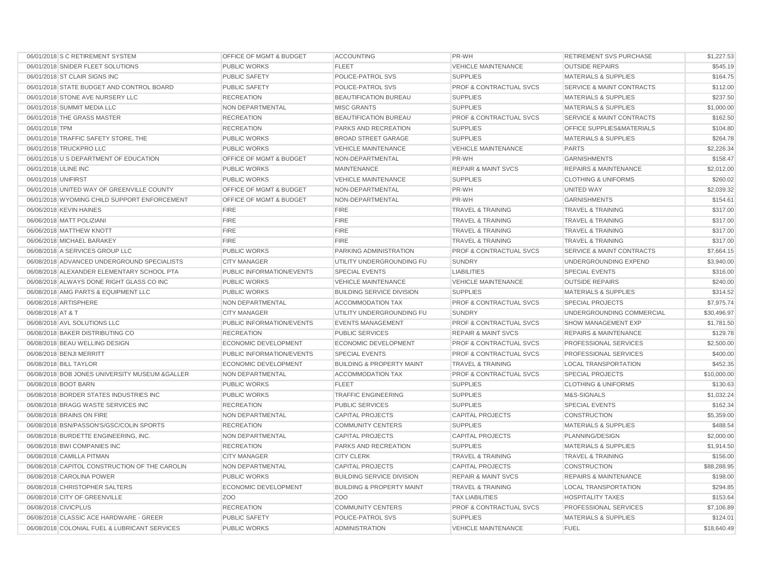| 06/01/2018 S C RETIREMENT SYSTEM                | OFFICE OF MGMT & BUDGET            | <b>ACCOUNTING</b>                    | PR-WH                              | RETIREMENT SVS PURCHASE              | \$1,227.53  |
|-------------------------------------------------|------------------------------------|--------------------------------------|------------------------------------|--------------------------------------|-------------|
| 06/01/2018 SNIDER FLEET SOLUTIONS               | <b>PUBLIC WORKS</b>                | <b>FLEET</b>                         | <b>VEHICLE MAINTENANCE</b>         | <b>OUTSIDE REPAIRS</b>               | \$545.19    |
| 06/01/2018 ST CLAIR SIGNS INC                   | <b>PUBLIC SAFETY</b>               | POLICE-PATROL SVS                    | <b>SUPPLIES</b>                    | <b>MATERIALS &amp; SUPPLIES</b>      | \$164.75    |
| 06/01/2018 STATE BUDGET AND CONTROL BOARD       | PUBLIC SAFETY                      | POLICE-PATROL SVS                    | PROF & CONTRACTUAL SVCS            | <b>SERVICE &amp; MAINT CONTRACTS</b> | \$112.00    |
| 06/01/2018 STONE AVE NURSERY LLC                | <b>RECREATION</b>                  | BEAUTIFICATION BUREAU                | <b>SUPPLIES</b>                    | <b>MATERIALS &amp; SUPPLIES</b>      | \$237.50    |
| 06/01/2018 SUMMIT MEDIA LLC                     | NON DEPARTMENTAL                   | <b>MISC GRANTS</b>                   | <b>SUPPLIES</b>                    | <b>MATERIALS &amp; SUPPLIES</b>      | \$1,000.00  |
| 06/01/2018 THE GRASS MASTER                     | <b>RECREATION</b>                  | BEAUTIFICATION BUREAU                | <b>PROF &amp; CONTRACTUAL SVCS</b> | <b>SERVICE &amp; MAINT CONTRACTS</b> | \$162.50    |
| 06/01/2018 TPM                                  | <b>RECREATION</b>                  | <b>PARKS AND RECREATION</b>          | <b>SUPPLIES</b>                    | OFFICE SUPPLIES&MATERIALS            | \$104.80    |
| 06/01/2018 TRAFFIC SAFETY STORE, THE            | PUBLIC WORKS                       | <b>BROAD STREET GARAGE</b>           | <b>SUPPLIES</b>                    | <b>MATERIALS &amp; SUPPLIES</b>      | \$264.78    |
| 06/01/2018 TRUCKPRO LLC                         | PUBLIC WORKS                       | VEHICLE MAINTENANCE                  | <b>VEHICLE MAINTENANCE</b>         | <b>PARTS</b>                         | \$2,226.34  |
| 06/01/2018 U S DEPARTMENT OF EDUCATION          | <b>OFFICE OF MGMT &amp; BUDGET</b> | NON-DEPARTMENTAL                     | PR-WH                              | <b>GARNISHMENTS</b>                  | \$158.47    |
| 06/01/2018 ULINE INC                            | PUBLIC WORKS                       | <b>MAINTENANCE</b>                   | <b>REPAIR &amp; MAINT SVCS</b>     | <b>REPAIRS &amp; MAINTENANCE</b>     | \$2,012.00  |
| 06/01/2018 UNIFIRST                             | <b>PUBLIC WORKS</b>                | VEHICLE MAINTENANCE                  | <b>SUPPLIES</b>                    | <b>CLOTHING &amp; UNIFORMS</b>       | \$260.02    |
| 06/01/2018 UNITED WAY OF GREENVILLE COUNTY      | <b>OFFICE OF MGMT &amp; BUDGET</b> | NON-DEPARTMENTAL                     | PR-WH                              | UNITED WAY                           | \$2,039.32  |
| 06/01/2018 WYOMING CHILD SUPPORT ENFORCEMENT    | <b>OFFICE OF MGMT &amp; BUDGET</b> | NON-DEPARTMENTAL                     | PR-WH                              | <b>GARNISHMENTS</b>                  | \$154.61    |
| 06/06/2018 KEVIN HAINES                         | <b>FIRE</b>                        | <b>FIRE</b>                          | TRAVEL & TRAINING                  | <b>TRAVEL &amp; TRAINING</b>         | \$317.00    |
| 06/06/2018 MATT POLIZIANI                       | <b>FIRE</b>                        | <b>FIRE</b>                          | <b>TRAVEL &amp; TRAINING</b>       | <b>TRAVEL &amp; TRAINING</b>         | \$317.00    |
| 06/06/2018 MATTHEW KNOTT                        | <b>FIRE</b>                        | <b>FIRE</b>                          | <b>TRAVEL &amp; TRAINING</b>       | <b>TRAVEL &amp; TRAINING</b>         | \$317.00    |
| 06/06/2018 MICHAEL BARAKEY                      | <b>FIRE</b>                        | <b>FIRE</b>                          | <b>TRAVEL &amp; TRAINING</b>       | <b>TRAVEL &amp; TRAINING</b>         | \$317.00    |
| 06/08/2018 A SERVICES GROUP LLC                 | <b>PUBLIC WORKS</b>                | PARKING ADMINISTRATION               | <b>PROF &amp; CONTRACTUAL SVCS</b> | <b>SERVICE &amp; MAINT CONTRACTS</b> | \$7,664.15  |
| 06/08/2018 ADVANCED UNDERGROUND SPECIALISTS     | <b>CITY MANAGER</b>                | UTILITY UNDERGROUNDING FU            | <b>SUNDRY</b>                      | UNDERGROUNDING EXPEND                | \$3,940.00  |
| 06/08/2018 ALEXANDER ELEMENTARY SCHOOL PTA      | PUBLIC INFORMATION/EVENTS          | <b>SPECIAL EVENTS</b>                | <b>LIABILITIES</b>                 | <b>SPECIAL EVENTS</b>                | \$316.00    |
| 06/08/2018 ALWAYS DONE RIGHT GLASS CO INC       | <b>PUBLIC WORKS</b>                | <b>VEHICLE MAINTENANCE</b>           | <b>VEHICLE MAINTENANCE</b>         | <b>OUTSIDE REPAIRS</b>               | \$240.00    |
| 06/08/2018 AMG PARTS & EQUIPMENT LLC            | <b>PUBLIC WORKS</b>                | <b>BUILDING SERVICE DIVISION</b>     | <b>SUPPLIES</b>                    | <b>MATERIALS &amp; SUPPLIES</b>      | \$314.52    |
| 06/08/2018 ARTISPHERE                           | NON DEPARTMENTAL                   | <b>ACCOMMODATION TAX</b>             | <b>PROF &amp; CONTRACTUAL SVCS</b> | <b>SPECIAL PROJECTS</b>              | \$7,975.74  |
| 06/08/2018 AT & T                               | <b>CITY MANAGER</b>                | UTILITY UNDERGROUNDING FU            | <b>SUNDRY</b>                      | UNDERGROUNDING COMMERCIAL            | \$30,496.97 |
| 06/08/2018 AVL SOLUTIONS LLC                    | PUBLIC INFORMATION/EVENTS          | <b>EVENTS MANAGEMENT</b>             | <b>PROF &amp; CONTRACTUAL SVCS</b> | <b>SHOW MANAGEMENT EXP</b>           | \$1,781.50  |
| 06/08/2018 BAKER DISTRIBUTING CO                | <b>RECREATION</b>                  | <b>PUBLIC SERVICES</b>               | <b>REPAIR &amp; MAINT SVCS</b>     | <b>REPAIRS &amp; MAINTENANCE</b>     | \$129.78    |
| 06/08/2018 BEAU WELLING DESIGN                  | <b>ECONOMIC DEVELOPMENT</b>        | <b>ECONOMIC DEVELOPMENT</b>          | <b>PROF &amp; CONTRACTUAL SVCS</b> | PROFESSIONAL SERVICES                | \$2,500.00  |
| 06/08/2018 BENJI MERRITT                        | PUBLIC INFORMATION/EVENTS          | <b>SPECIAL EVENTS</b>                | <b>PROF &amp; CONTRACTUAL SVCS</b> | PROFESSIONAL SERVICES                | \$400.00    |
| 06/08/2018 BILL TAYLOR                          | <b>ECONOMIC DEVELOPMENT</b>        | <b>BUILDING &amp; PROPERTY MAINT</b> | <b>TRAVEL &amp; TRAINING</b>       | <b>LOCAL TRANSPORTATION</b>          | \$452.35    |
| 06/08/2018 BOB JONES UNIVERSITY MUSEUM & GALLER | <b>NON DEPARTMENTAL</b>            | <b>ACCOMMODATION TAX</b>             | <b>PROF &amp; CONTRACTUAL SVCS</b> | <b>SPECIAL PROJECTS</b>              | \$10,000.00 |
| 06/08/2018 BOOT BARN                            | <b>PUBLIC WORKS</b>                | <b>FLEET</b>                         | <b>SUPPLIES</b>                    | <b>CLOTHING &amp; UNIFORMS</b>       | \$130.63    |
| 06/08/2018 BORDER STATES INDUSTRIES INC         | <b>PUBLIC WORKS</b>                | <b>TRAFFIC ENGINEERING</b>           | <b>SUPPLIES</b>                    | M&S-SIGNALS                          | \$1,032.24  |
| 06/08/2018 BRAGG WASTE SERVICES INC             | <b>RECREATION</b>                  | <b>PUBLIC SERVICES</b>               | <b>SUPPLIES</b>                    | <b>SPECIAL EVENTS</b>                | \$162.34    |
| 06/08/2018 BRAINS ON FIRE                       | <b>NON DEPARTMENTAL</b>            | <b>CAPITAL PROJECTS</b>              | CAPITAL PROJECTS                   | <b>CONSTRUCTION</b>                  | \$5,359.00  |
| 06/08/2018 BSN/PASSON'S/GSC/COLIN SPORTS        | <b>RECREATION</b>                  | <b>COMMUNITY CENTERS</b>             | <b>SUPPLIES</b>                    | <b>MATERIALS &amp; SUPPLIES</b>      | \$488.54    |
| 06/08/2018 BURDETTE ENGINEERING, INC.           | NON DEPARTMENTAL                   | <b>CAPITAL PROJECTS</b>              | <b>CAPITAL PROJECTS</b>            | PLANNING/DESIGN                      | \$2,000.00  |
| 06/08/2018 BWI COMPANIES INC                    | <b>RECREATION</b>                  | PARKS AND RECREATION                 | <b>SUPPLIES</b>                    | <b>MATERIALS &amp; SUPPLIES</b>      | \$1,914.50  |
| 06/08/2018 CAMILLA PITMAN                       | <b>CITY MANAGER</b>                | <b>CITY CLERK</b>                    | <b>TRAVEL &amp; TRAINING</b>       | <b>TRAVEL &amp; TRAINING</b>         | \$156.00    |
| 06/08/2018 CAPITOL CONSTRUCTION OF THE CAROLIN  | NON DEPARTMENTAL                   | <b>CAPITAL PROJECTS</b>              | <b>CAPITAL PROJECTS</b>            | <b>CONSTRUCTION</b>                  | \$88,288.95 |
| 06/08/2018 CAROLINA POWER                       | <b>PUBLIC WORKS</b>                | <b>BUILDING SERVICE DIVISION</b>     | <b>REPAIR &amp; MAINT SVCS</b>     | <b>REPAIRS &amp; MAINTENANCE</b>     | \$198.00    |
| 06/08/2018 CHRISTOPHER SALTERS                  | <b>ECONOMIC DEVELOPMENT</b>        | <b>BUILDING &amp; PROPERTY MAINT</b> | <b>TRAVEL &amp; TRAINING</b>       | <b>LOCAL TRANSPORTATION</b>          | \$294.85    |
| 06/08/2018 CITY OF GREENVILLE                   | Z <sub>OO</sub>                    | Z <sub>O</sub> O                     | <b>TAX LIABILITIES</b>             | <b>HOSPITALITY TAXES</b>             | \$153.64    |
| 06/08/2018 CIVICPLUS                            | <b>RECREATION</b>                  | <b>COMMUNITY CENTERS</b>             | PROF & CONTRACTUAL SVCS            | PROFESSIONAL SERVICES                | \$7,106.89  |
| 06/08/2018 CLASSIC ACE HARDWARE - GREER         | <b>PUBLIC SAFETY</b>               | POLICE-PATROL SVS                    | <b>SUPPLIES</b>                    | <b>MATERIALS &amp; SUPPLIES</b>      | \$124.01    |
| 06/08/2018 COLONIAL FUEL & LUBRICANT SERVICES   | PUBLIC WORKS                       | <b>ADMINISTRATION</b>                | <b>VEHICLE MAINTENANCE</b>         | <b>FUEL</b>                          | \$18,640.49 |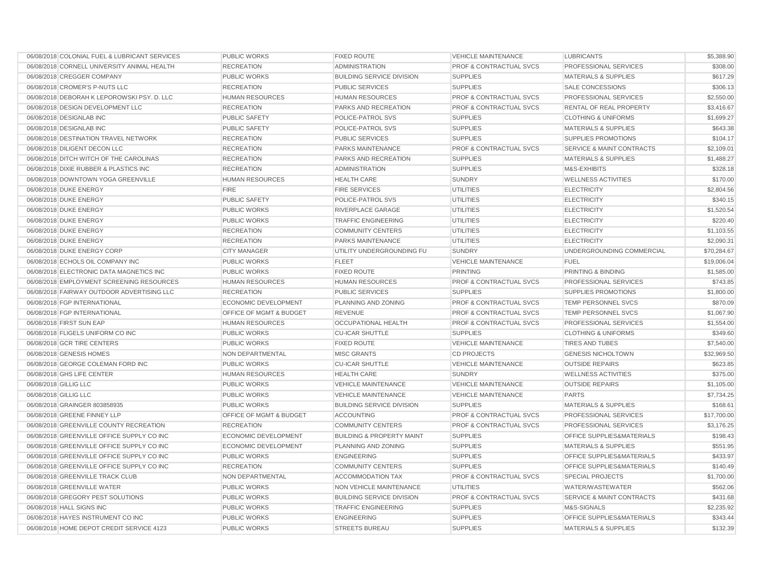| 06/08/2018 COLONIAL FUEL & LUBRICANT SERVICES | <b>PUBLIC WORKS</b>         | FIXED ROUTE                          | <b>VEHICLE MAINTENANCE</b>         | <b>LUBRICANTS</b>                    | \$5,388.90  |
|-----------------------------------------------|-----------------------------|--------------------------------------|------------------------------------|--------------------------------------|-------------|
| 06/08/2018 CORNELL UNIVERSITY ANIMAL HEALTH   | <b>RECREATION</b>           | <b>ADMINISTRATION</b>                | <b>PROF &amp; CONTRACTUAL SVCS</b> | PROFESSIONAL SERVICES                | \$308.00    |
| 06/08/2018 CREGGER COMPANY                    | <b>PUBLIC WORKS</b>         | <b>BUILDING SERVICE DIVISION</b>     | <b>SUPPLIES</b>                    | <b>MATERIALS &amp; SUPPLIES</b>      | \$617.29    |
| 06/08/2018 CROMER'S P-NUTS LLC                | <b>RECREATION</b>           | <b>PUBLIC SERVICES</b>               | <b>SUPPLIES</b>                    | SALE CONCESSIONS                     | \$306.13    |
| 06/08/2018 DEBORAH K LEPOROWSKI PSY. D. LLC   | <b>HUMAN RESOURCES</b>      | <b>HUMAN RESOURCES</b>               | <b>PROF &amp; CONTRACTUAL SVCS</b> | PROFESSIONAL SERVICES                | \$2,550.00  |
| 06/08/2018 DESIGN DEVELOPMENT LLC             | <b>RECREATION</b>           | PARKS AND RECREATION                 | <b>PROF &amp; CONTRACTUAL SVCS</b> | RENTAL OF REAL PROPERTY              | \$3,416.67  |
| 06/08/2018 DESIGNLAB INC                      | PUBLIC SAFETY               | POLICE-PATROL SVS                    | <b>SUPPLIES</b>                    | <b>CLOTHING &amp; UNIFORMS</b>       | \$1,699.27  |
| 06/08/2018 DESIGNLAB INC                      | <b>PUBLIC SAFETY</b>        | POLICE-PATROL SVS                    | <b>SUPPLIES</b>                    | <b>MATERIALS &amp; SUPPLIES</b>      | \$643.38    |
| 06/08/2018 DESTINATION TRAVEL NETWORK         | <b>RECREATION</b>           | <b>PUBLIC SERVICES</b>               | <b>SUPPLIES</b>                    | SUPPLIES PROMOTIONS                  | \$104.17    |
| 06/08/2018 DILIGENT DECON LLC                 | <b>RECREATION</b>           | PARKS MAINTENANCE                    | <b>PROF &amp; CONTRACTUAL SVCS</b> | <b>SERVICE &amp; MAINT CONTRACTS</b> | \$2,109.01  |
| 06/08/2018 DITCH WITCH OF THE CAROLINAS       | <b>RECREATION</b>           | <b>PARKS AND RECREATION</b>          | <b>SUPPLIES</b>                    | <b>MATERIALS &amp; SUPPLIES</b>      | \$1,488.27  |
| 06/08/2018 DIXIE RUBBER & PLASTICS INC        | <b>RECREATION</b>           | <b>ADMINISTRATION</b>                | <b>SUPPLIES</b>                    | M&S-EXHIBITS                         | \$328.18    |
| 06/08/2018 DOWNTOWN YOGA GREENVILLE           | <b>HUMAN RESOURCES</b>      | <b>HEALTH CARE</b>                   | <b>SUNDRY</b>                      | <b>WELLNESS ACTIVITIES</b>           | \$170.00    |
| 06/08/2018 DUKE ENERGY                        | <b>FIRE</b>                 | <b>FIRE SERVICES</b>                 | <b>UTILITIES</b>                   | <b>ELECTRICITY</b>                   | \$2,804.56  |
| 06/08/2018 DUKE ENERGY                        | <b>PUBLIC SAFETY</b>        | POLICE-PATROL SVS                    | <b>UTILITIES</b>                   | <b>ELECTRICITY</b>                   | \$340.15    |
| 06/08/2018 DUKE ENERGY                        | <b>PUBLIC WORKS</b>         | RIVERPLACE GARAGE                    | UTILITIES                          | <b>ELECTRICITY</b>                   | \$1,520.54  |
| 06/08/2018 DUKE ENERGY                        | <b>PUBLIC WORKS</b>         | <b>TRAFFIC ENGINEERING</b>           | UTILITIES                          | <b>ELECTRICITY</b>                   | \$220.40    |
| 06/08/2018 DUKE ENERGY                        | <b>RECREATION</b>           | <b>COMMUNITY CENTERS</b>             | UTILITIES                          | <b>ELECTRICITY</b>                   | \$1,103.55  |
| 06/08/2018 DUKE ENERGY                        | <b>RECREATION</b>           | PARKS MAINTENANCE                    | <b>UTILITIES</b>                   | <b>ELECTRICITY</b>                   | \$2,090.31  |
| 06/08/2018 DUKE ENERGY CORP                   | <b>CITY MANAGER</b>         | UTILITY UNDERGROUNDING FU            | SUNDRY                             | UNDERGROUNDING COMMERCIAL            | \$70,284.67 |
| 06/08/2018 ECHOLS OIL COMPANY INC             | <b>PUBLIC WORKS</b>         | <b>FLEET</b>                         | <b>VEHICLE MAINTENANCE</b>         | <b>FUEL</b>                          | \$19,006.04 |
| 06/08/2018 ELECTRONIC DATA MAGNETICS INC      | <b>PUBLIC WORKS</b>         | <b>FIXED ROUTE</b>                   | PRINTING                           | PRINTING & BINDING                   | \$1,585.00  |
| 06/08/2018 EMPLOYMENT SCREENING RESOURCES     | <b>HUMAN RESOURCES</b>      | <b>HUMAN RESOURCES</b>               | <b>PROF &amp; CONTRACTUAL SVCS</b> | PROFESSIONAL SERVICES                | \$743.85    |
| 06/08/2018 FAIRWAY OUTDOOR ADVERTISING LLC    | <b>RECREATION</b>           | <b>PUBLIC SERVICES</b>               | <b>SUPPLIES</b>                    | <b>SUPPLIES PROMOTIONS</b>           | \$1,800.00  |
| 06/08/2018 FGP INTERNATIONAL                  | ECONOMIC DEVELOPMENT        | PLANNING AND ZONING                  | <b>PROF &amp; CONTRACTUAL SVCS</b> | TEMP PERSONNEL SVCS                  | \$870.09    |
| 06/08/2018 FGP INTERNATIONAL                  | OFFICE OF MGMT & BUDGET     | <b>REVENUE</b>                       | <b>PROF &amp; CONTRACTUAL SVCS</b> | TEMP PERSONNEL SVCS                  | \$1,067.90  |
| 06/08/2018 FIRST SUN EAP                      | <b>HUMAN RESOURCES</b>      | <b>OCCUPATIONAL HEALTH</b>           | <b>PROF &amp; CONTRACTUAL SVCS</b> | PROFESSIONAL SERVICES                | \$1,554.00  |
| 06/08/2018 FLIGELS UNIFORM CO INC             | PUBLIC WORKS                | <b>CU-ICAR SHUTTLE</b>               | <b>SUPPLIES</b>                    | <b>CLOTHING &amp; UNIFORMS</b>       | \$349.60    |
| 06/08/2018 GCR TIRE CENTERS                   | <b>PUBLIC WORKS</b>         | <b>FIXED ROUTE</b>                   | <b>VEHICLE MAINTENANCE</b>         | <b>TIRES AND TUBES</b>               | \$7,540.00  |
| 06/08/2018 GENESIS HOMES                      | NON DEPARTMENTAL            | <b>MISC GRANTS</b>                   | <b>CD PROJECTS</b>                 | <b>GENESIS NICHOLTOWN</b>            | \$32,969.50 |
| 06/08/2018 GEORGE COLEMAN FORD INC            | <b>PUBLIC WORKS</b>         | <b>CU-ICAR SHUTTLE</b>               | <b>VEHICLE MAINTENANCE</b>         | <b>OUTSIDE REPAIRS</b>               | \$623.85    |
| 06/08/2018 GHS LIFE CENTER                    | <b>HUMAN RESOURCES</b>      | <b>HEALTH CARE</b>                   | SUNDRY                             | <b>WELLNESS ACTIVITIES</b>           | \$375.00    |
| 06/08/2018 GILLIG LLC                         | <b>PUBLIC WORKS</b>         | <b>VEHICLE MAINTENANCE</b>           | <b>VEHICLE MAINTENANCE</b>         | <b>OUTSIDE REPAIRS</b>               | \$1,105.00  |
| 06/08/2018 GILLIG LLC                         | <b>PUBLIC WORKS</b>         | <b>VEHICLE MAINTENANCE</b>           | <b>VEHICLE MAINTENANCE</b>         | <b>PARTS</b>                         | \$7,734.25  |
| 06/08/2018 GRAINGER 803858935                 | <b>PUBLIC WORKS</b>         | <b>BUILDING SERVICE DIVISION</b>     | <b>SUPPLIES</b>                    | <b>MATERIALS &amp; SUPPLIES</b>      | \$168.61    |
| 06/08/2018 GREENE FINNEY LLP                  | OFFICE OF MGMT & BUDGET     | <b>ACCOUNTING</b>                    | <b>PROF &amp; CONTRACTUAL SVCS</b> | PROFESSIONAL SERVICES                | \$17,700.00 |
| 06/08/2018 GREENVILLE COUNTY RECREATION       | <b>RECREATION</b>           | <b>COMMUNITY CENTERS</b>             | <b>PROF &amp; CONTRACTUAL SVCS</b> | <b>PROFESSIONAL SERVICES</b>         | \$3,176.25  |
| 06/08/2018 GREENVILLE OFFICE SUPPLY CO INC    | <b>ECONOMIC DEVELOPMENT</b> | <b>BUILDING &amp; PROPERTY MAINT</b> | <b>SUPPLIES</b>                    | OFFICE SUPPLIES&MATERIALS            | \$198.43    |
| 06/08/2018 GREENVILLE OFFICE SUPPLY CO INC    | <b>ECONOMIC DEVELOPMENT</b> | PLANNING AND ZONING                  | <b>SUPPLIES</b>                    | <b>MATERIALS &amp; SUPPLIES</b>      | \$551.95    |
| 06/08/2018 GREENVILLE OFFICE SUPPLY CO INC    | <b>PUBLIC WORKS</b>         | <b>ENGINEERING</b>                   | <b>SUPPLIES</b>                    | OFFICE SUPPLIES&MATERIALS            | \$433.97    |
| 06/08/2018 GREENVILLE OFFICE SUPPLY CO INC    | <b>RECREATION</b>           | <b>COMMUNITY CENTERS</b>             | <b>SUPPLIES</b>                    | OFFICE SUPPLIES&MATERIALS            | \$140.49    |
| 06/08/2018 GREENVILLE TRACK CLUB              | <b>NON DEPARTMENTAL</b>     | <b>ACCOMMODATION TAX</b>             | <b>PROF &amp; CONTRACTUAL SVCS</b> | <b>SPECIAL PROJECTS</b>              | \$1,700.00  |
| 06/08/2018 GREENVILLE WATER                   | <b>PUBLIC WORKS</b>         | NON VEHICLE MAINTENANCE              | <b>UTILITIES</b>                   | WATER/WASTEWATER                     | \$562.06    |
| 06/08/2018 GREGORY PEST SOLUTIONS             | PUBLIC WORKS                | <b>BUILDING SERVICE DIVISION</b>     | <b>PROF &amp; CONTRACTUAL SVCS</b> | SERVICE & MAINT CONTRACTS            | \$431.68    |
| 06/08/2018 HALL SIGNS INC                     | <b>PUBLIC WORKS</b>         | <b>TRAFFIC ENGINEERING</b>           | <b>SUPPLIES</b>                    | M&S-SIGNALS                          | \$2,235.92  |
| 06/08/2018 HAYES INSTRUMENT CO INC            | PUBLIC WORKS                | <b>ENGINEERING</b>                   | <b>SUPPLIES</b>                    | OFFICE SUPPLIES&MATERIALS            | \$343.44    |
| 06/08/2018 HOME DEPOT CREDIT SERVICE 4123     | <b>PUBLIC WORKS</b>         | <b>STREETS BUREAU</b>                | <b>SUPPLIES</b>                    | <b>MATERIALS &amp; SUPPLIES</b>      | \$132.39    |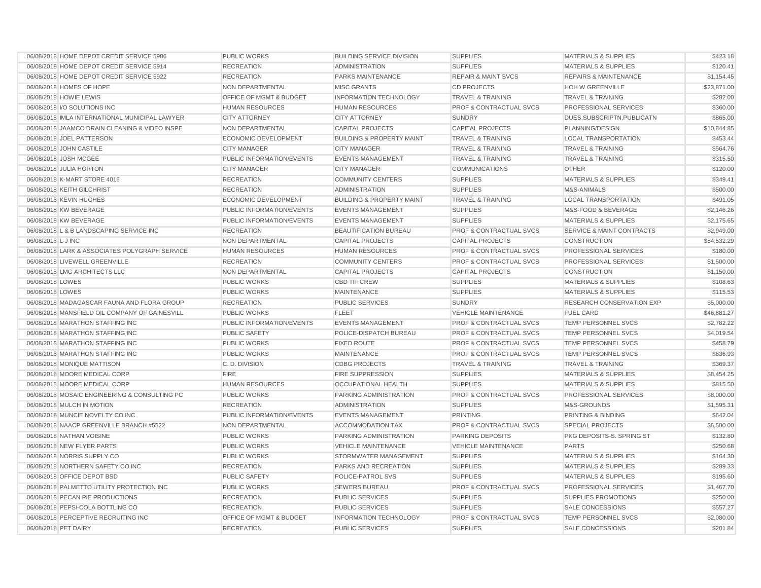| 06/08/2018 HOME DEPOT CREDIT SERVICE 5906      | <b>PUBLIC WORKS</b>              | <b>BUILDING SERVICE DIVISION</b>     | <b>SUPPLIES</b>                    | <b>MATERIALS &amp; SUPPLIES</b>      | \$423.18    |
|------------------------------------------------|----------------------------------|--------------------------------------|------------------------------------|--------------------------------------|-------------|
| 06/08/2018 HOME DEPOT CREDIT SERVICE 5914      | <b>RECREATION</b>                | <b>ADMINISTRATION</b>                | <b>SUPPLIES</b>                    | <b>MATERIALS &amp; SUPPLIES</b>      | \$120.41    |
| 06/08/2018 HOME DEPOT CREDIT SERVICE 5922      | <b>RECREATION</b>                | PARKS MAINTENANCE                    | <b>REPAIR &amp; MAINT SVCS</b>     | <b>REPAIRS &amp; MAINTENANCE</b>     | \$1,154.45  |
| 06/08/2018 HOMES OF HOPE                       | NON DEPARTMENTAL                 | <b>MISC GRANTS</b>                   | <b>CD PROJECTS</b>                 | <b>HOH W GREENVILLE</b>              | \$23,871.00 |
| 06/08/2018 HOWIE LEWIS                         | OFFICE OF MGMT & BUDGET          | <b>INFORMATION TECHNOLOGY</b>        | <b>TRAVEL &amp; TRAINING</b>       | <b>TRAVEL &amp; TRAINING</b>         | \$282.00    |
| 06/08/2018 I/O SOLUTIONS INC                   | <b>HUMAN RESOURCES</b>           | <b>HUMAN RESOURCES</b>               | <b>PROF &amp; CONTRACTUAL SVCS</b> | <b>PROFESSIONAL SERVICES</b>         | \$360.00    |
| 06/08/2018 IMLA INTERNATIONAL MUNICIPAL LAWYER | <b>CITY ATTORNEY</b>             | <b>CITY ATTORNEY</b>                 | <b>SUNDRY</b>                      | DUES, SUBSCRIPTN, PUBLICATN          | \$865.00    |
| 06/08/2018 JAAMCO DRAIN CLEANING & VIDEO INSPE | NON DEPARTMENTAL                 | <b>CAPITAL PROJECTS</b>              | <b>CAPITAL PROJECTS</b>            | PLANNING/DESIGN                      | \$10,844.85 |
| 06/08/2018 JOEL PATTERSON                      | <b>ECONOMIC DEVELOPMENT</b>      | <b>BUILDING &amp; PROPERTY MAINT</b> | <b>TRAVEL &amp; TRAINING</b>       | <b>LOCAL TRANSPORTATION</b>          | \$453.44    |
| 06/08/2018 JOHN CASTILE                        | <b>CITY MANAGER</b>              | <b>CITY MANAGER</b>                  | <b>TRAVEL &amp; TRAINING</b>       | <b>TRAVEL &amp; TRAINING</b>         | \$564.76    |
| 06/08/2018 JOSH MCGEE                          | <b>PUBLIC INFORMATION/EVENTS</b> | <b>EVENTS MANAGEMENT</b>             | <b>TRAVEL &amp; TRAINING</b>       | <b>TRAVEL &amp; TRAINING</b>         | \$315.50    |
| 06/08/2018 JULIA HORTON                        | <b>CITY MANAGER</b>              | <b>CITY MANAGER</b>                  | <b>COMMUNICATIONS</b>              | <b>OTHER</b>                         | \$120.00    |
| 06/08/2018 K-MART STORE 4016                   | <b>RECREATION</b>                | <b>COMMUNITY CENTERS</b>             | <b>SUPPLIES</b>                    | <b>MATERIALS &amp; SUPPLIES</b>      | \$349.41    |
| 06/08/2018 KEITH GILCHRIST                     | <b>RECREATION</b>                | <b>ADMINISTRATION</b>                | <b>SUPPLIES</b>                    | M&S-ANIMALS                          | \$500.00    |
| 06/08/2018 KEVIN HUGHES                        | <b>ECONOMIC DEVELOPMENT</b>      | <b>BUILDING &amp; PROPERTY MAINT</b> | <b>TRAVEL &amp; TRAINING</b>       | <b>LOCAL TRANSPORTATION</b>          | \$491.05    |
| 06/08/2018 KW BEVERAGE                         | PUBLIC INFORMATION/EVENTS        | <b>EVENTS MANAGEMENT</b>             | <b>SUPPLIES</b>                    | M&S-FOOD & BEVERAGE                  | \$2,146.26  |
| 06/08/2018 KW BEVERAGE                         | PUBLIC INFORMATION/EVENTS        | <b>EVENTS MANAGEMENT</b>             | <b>SUPPLIES</b>                    | <b>MATERIALS &amp; SUPPLIES</b>      | \$2,175.65  |
| 06/08/2018 L & B LANDSCAPING SERVICE INC       | <b>RECREATION</b>                | BEAUTIFICATION BUREAU                | <b>PROF &amp; CONTRACTUAL SVCS</b> | <b>SERVICE &amp; MAINT CONTRACTS</b> | \$2,949.00  |
| 06/08/2018 L-J INC                             | <b>NON DEPARTMENTAL</b>          | <b>CAPITAL PROJECTS</b>              | <b>CAPITAL PROJECTS</b>            | <b>CONSTRUCTION</b>                  | \$84.532.29 |
| 06/08/2018 LARK & ASSOCIATES POLYGRAPH SERVICE | <b>HUMAN RESOURCES</b>           | <b>HUMAN RESOURCES</b>               | <b>PROF &amp; CONTRACTUAL SVCS</b> | PROFESSIONAL SERVICES                | \$180.00    |
| 06/08/2018 LIVEWELL GREENVILLE                 | <b>RECREATION</b>                | <b>COMMUNITY CENTERS</b>             | <b>PROF &amp; CONTRACTUAL SVCS</b> | PROFESSIONAL SERVICES                | \$1,500.00  |
| 06/08/2018 LMG ARCHITECTS LLC                  | <b>NON DEPARTMENTAL</b>          | <b>CAPITAL PROJECTS</b>              | <b>CAPITAL PROJECTS</b>            | <b>CONSTRUCTION</b>                  | \$1,150.00  |
| 06/08/2018 LOWES                               | <b>PUBLIC WORKS</b>              | <b>CBD TIF CREW</b>                  | <b>SUPPLIES</b>                    | <b>MATERIALS &amp; SUPPLIES</b>      | \$108.63    |
| 06/08/2018 LOWES                               | <b>PUBLIC WORKS</b>              | <b>MAINTENANCE</b>                   | <b>SUPPLIES</b>                    | <b>MATERIALS &amp; SUPPLIES</b>      | \$115.53    |
| 06/08/2018 MADAGASCAR FAUNA AND FLORA GROUP    | <b>RECREATION</b>                | <b>PUBLIC SERVICES</b>               | <b>SUNDRY</b>                      | <b>RESEARCH CONSERVATION EXP</b>     | \$5,000.00  |
| 06/08/2018 MANSFIELD OIL COMPANY OF GAINESVILL | <b>PUBLIC WORKS</b>              | <b>FLEET</b>                         | <b>VEHICLE MAINTENANCE</b>         | <b>FUEL CARD</b>                     | \$46,881.27 |
| 06/08/2018 MARATHON STAFFING INC               | <b>PUBLIC INFORMATION/EVENTS</b> | <b>EVENTS MANAGEMENT</b>             | <b>PROF &amp; CONTRACTUAL SVCS</b> | <b>TEMP PERSONNEL SVCS</b>           | \$2,782.22  |
| 06/08/2018 MARATHON STAFFING INC               | <b>PUBLIC SAFETY</b>             | POLICE-DISPATCH BUREAU               | <b>PROF &amp; CONTRACTUAL SVCS</b> | TEMP PERSONNEL SVCS                  | \$4,019.54  |
| 06/08/2018 MARATHON STAFFING INC               | <b>PUBLIC WORKS</b>              | <b>FIXED ROUTE</b>                   | <b>PROF &amp; CONTRACTUAL SVCS</b> | <b>TEMP PERSONNEL SVCS</b>           | \$458.79    |
| 06/08/2018 MARATHON STAFFING INC               | <b>PUBLIC WORKS</b>              | <b>MAINTENANCE</b>                   | <b>PROF &amp; CONTRACTUAL SVCS</b> | TEMP PERSONNEL SVCS                  | \$636.93    |
| 06/08/2018 MONIQUE MATTISON                    | C.D. DIVISION                    | <b>CDBG PROJECTS</b>                 | <b>TRAVEL &amp; TRAINING</b>       | <b>TRAVEL &amp; TRAINING</b>         | \$369.37    |
| 06/08/2018 MOORE MEDICAL CORP                  | <b>FIRE</b>                      | <b>FIRE SUPPRESSION</b>              | <b>SUPPLIES</b>                    | <b>MATERIALS &amp; SUPPLIES</b>      | \$8,454.25  |
| 06/08/2018 MOORE MEDICAL CORP                  | <b>HUMAN RESOURCES</b>           | <b>OCCUPATIONAL HEALTH</b>           | <b>SUPPLIES</b>                    | <b>MATERIALS &amp; SUPPLIES</b>      | \$815.50    |
| 06/08/2018 MOSAIC ENGINEERING & CONSULTING PC  | <b>PUBLIC WORKS</b>              | PARKING ADMINISTRATION               | <b>PROF &amp; CONTRACTUAL SVCS</b> | PROFESSIONAL SERVICES                | \$8,000.00  |
| 06/08/2018 MULCH IN MOTION                     | <b>RECREATION</b>                | <b>ADMINISTRATION</b>                | <b>SUPPLIES</b>                    | M&S-GROUNDS                          | \$1,595.31  |
| 06/08/2018 MUNCIE NOVELTY CO INC               | <b>PUBLIC INFORMATION/EVENTS</b> | <b>EVENTS MANAGEMENT</b>             | <b>PRINTING</b>                    | PRINTING & BINDING                   | \$642.04    |
| 06/08/2018 NAACP GREENVILLE BRANCH #5522       | <b>NON DEPARTMENTAL</b>          | <b>ACCOMMODATION TAX</b>             | <b>PROF &amp; CONTRACTUAL SVCS</b> | <b>SPECIAL PROJECTS</b>              | \$6,500.00  |
| 06/08/2018 NATHAN VOISINE                      | <b>PUBLIC WORKS</b>              | PARKING ADMINISTRATION               | PARKING DEPOSITS                   | PKG DEPOSITS-S. SPRING ST            | \$132.80    |
| 06/08/2018 NEW FLYER PARTS                     | <b>PUBLIC WORKS</b>              | <b>VEHICLE MAINTENANCE</b>           | <b>VEHICLE MAINTENANCE</b>         | <b>PARTS</b>                         | \$250.68    |
| 06/08/2018 NORRIS SUPPLY CO                    | <b>PUBLIC WORKS</b>              | STORMWATER MANAGEMENT                | <b>SUPPLIES</b>                    | <b>MATERIALS &amp; SUPPLIES</b>      | \$164.30    |
| 06/08/2018 NORTHERN SAFETY CO INC              | <b>RECREATION</b>                | PARKS AND RECREATION                 | <b>SUPPLIES</b>                    | <b>MATERIALS &amp; SUPPLIES</b>      | \$289.33    |
| 06/08/2018 OFFICE DEPOT BSD                    | <b>PUBLIC SAFETY</b>             | POLICE-PATROL SVS                    | <b>SUPPLIES</b>                    | <b>MATERIALS &amp; SUPPLIES</b>      | \$195.60    |
| 06/08/2018 PALMETTO UTILITY PROTECTION INC     | <b>PUBLIC WORKS</b>              | <b>SEWERS BUREAU</b>                 | <b>PROF &amp; CONTRACTUAL SVCS</b> | PROFESSIONAL SERVICES                | \$1,467.70  |
| 06/08/2018 PECAN PIE PRODUCTIONS               | <b>RECREATION</b>                | PUBLIC SERVICES                      | <b>SUPPLIES</b>                    | <b>SUPPLIES PROMOTIONS</b>           | \$250.00    |
| 06/08/2018 PEPSI-COLA BOTTLING CO              | <b>RECREATION</b>                | PUBLIC SERVICES                      | <b>SUPPLIES</b>                    | <b>SALE CONCESSIONS</b>              | \$557.27    |
| 06/08/2018 PERCEPTIVE RECRUITING INC           | OFFICE OF MGMT & BUDGET          | <b>INFORMATION TECHNOLOGY</b>        | <b>PROF &amp; CONTRACTUAL SVCS</b> | <b>TEMP PERSONNEL SVCS</b>           | \$2,080.00  |
| 06/08/2018 PET DAIRY                           | <b>RECREATION</b>                | <b>PUBLIC SERVICES</b>               | <b>SUPPLIES</b>                    | SALE CONCESSIONS                     | \$201.84    |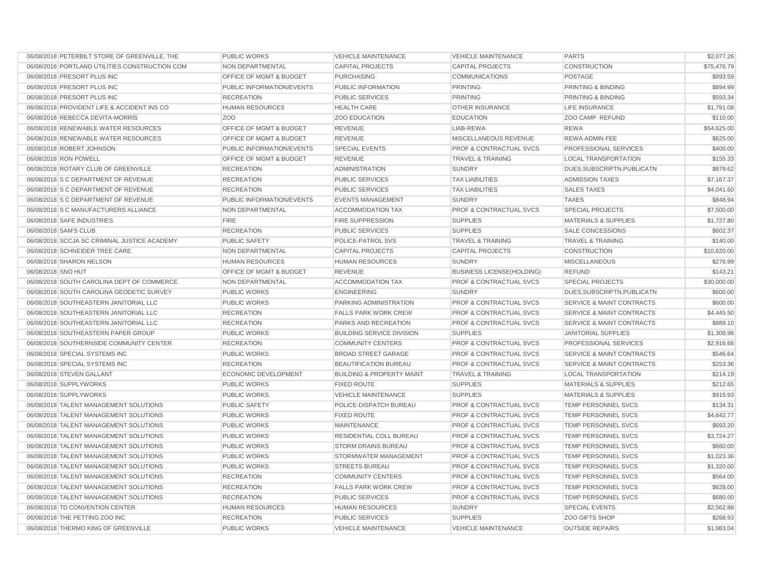| 06/08/2018 PETERBILT STORE OF GREENVILLE, THE  | PUBLIC WORKS                       | <b>VEHICLE MAINTENANCE</b>           | <b>VEHICLE MAINTENANCE</b>         | <b>PARTS</b>                         | \$2,077.26  |
|------------------------------------------------|------------------------------------|--------------------------------------|------------------------------------|--------------------------------------|-------------|
| 06/08/2018 PORTLAND UTILITIES CONSTRUCTION COM | <b>NON DEPARTMENTAL</b>            | <b>CAPITAL PROJECTS</b>              | <b>CAPITAL PROJECTS</b>            | CONSTRUCTION                         | \$75,476.79 |
| 06/08/2018 PRESORT PLUS INC                    | <b>OFFICE OF MGMT &amp; BUDGET</b> | <b>PURCHASING</b>                    | <b>COMMUNICATIONS</b>              | <b>POSTAGE</b>                       | \$893.59    |
| 06/08/2018 PRESORT PLUS INC                    | PUBLIC INFORMATION/EVENTS          | PUBLIC INFORMATION                   | <b>PRINTING</b>                    | PRINTING & BINDING                   | \$894.99    |
| 06/08/2018 PRESORT PLUS INC                    | <b>RECREATION</b>                  | <b>PUBLIC SERVICES</b>               | <b>PRINTING</b>                    | PRINTING & BINDING                   | \$593.34    |
| 06/08/2018 PROVIDENT LIFE & ACCIDENT INS CO    | <b>HUMAN RESOURCES</b>             | <b>HEALTH CARE</b>                   | <b>OTHER INSURANCE</b>             | <b>LIFE INSURANCE</b>                | \$1,791.08  |
| 06/08/2018 REBECCA DEVITA-MORRIS               | Z <sub>O</sub> O                   | <b>ZOO EDUCATION</b>                 | <b>EDUCATION</b>                   | ZOO CAMP REFUND                      | \$110.00    |
| 06/08/2018 RENEWABLE WATER RESOURCES           | OFFICE OF MGMT & BUDGET            | <b>REVENUE</b>                       | LIAB-REWA                          | <b>REWA</b>                          | \$54,625.00 |
| 06/08/2018 RENEWABLE WATER RESOURCES           | OFFICE OF MGMT & BUDGET            | <b>REVENUE</b>                       | MISCELLANEOUS REVENUE              | REWA ADMIN FEE                       | \$625.00    |
| 06/08/2018 ROBERT JOHNSON                      | PUBLIC INFORMATION/EVENTS          | <b>SPECIAL EVENTS</b>                | <b>PROF &amp; CONTRACTUAL SVCS</b> | PROFESSIONAL SERVICES                | \$400.00    |
| 06/08/2018 RON POWELL                          | <b>OFFICE OF MGMT &amp; BUDGET</b> | <b>REVENUE</b>                       | <b>TRAVEL &amp; TRAINING</b>       | <b>LOCAL TRANSPORTATION</b>          | \$155.33    |
| 06/08/2018 ROTARY CLUB OF GREENVILLE           | <b>RECREATION</b>                  | <b>ADMINISTRATION</b>                | <b>SUNDRY</b>                      | DUES, SUBSCRIPTN, PUBLICATN          | \$879.62    |
| 06/08/2018 S C DEPARTMENT OF REVENUE           | <b>RECREATION</b>                  | <b>PUBLIC SERVICES</b>               | <b>TAX LIABILITIES</b>             | <b>ADMISSION TAXES</b>               | \$7,167.37  |
| 06/08/2018 S C DEPARTMENT OF REVENUE           | <b>RECREATION</b>                  | <b>PUBLIC SERVICES</b>               | <b>TAX LIABILITIES</b>             | <b>SALES TAXES</b>                   | \$4,041.60  |
| 06/08/2018 S C DEPARTMENT OF REVENUE           | PUBLIC INFORMATION/EVENTS          | <b>EVENTS MANAGEMENT</b>             | <b>SUNDRY</b>                      | <b>TAXES</b>                         | \$848.94    |
| 06/08/2018 S C MANUFACTURERS ALLIANCE          | NON DEPARTMENTAL                   | <b>ACCOMMODATION TAX</b>             | <b>PROF &amp; CONTRACTUAL SVCS</b> | <b>SPECIAL PROJECTS</b>              | \$7,500.00  |
| 06/08/2018 SAFE INDUSTRIES                     | <b>FIRE</b>                        | <b>FIRE SUPPRESSION</b>              | <b>SUPPLIES</b>                    | <b>MATERIALS &amp; SUPPLIES</b>      | \$1,727.80  |
| 06/08/2018 SAM'S CLUB                          | <b>RECREATION</b>                  | <b>PUBLIC SERVICES</b>               | <b>SUPPLIES</b>                    | <b>SALE CONCESSIONS</b>              | \$602.37    |
| 06/08/2018 SCCJA SC CRIMINAL JUSTICE ACADEMY   | <b>PUBLIC SAFETY</b>               | POLICE-PATROL SVS                    | <b>TRAVEL &amp; TRAINING</b>       | <b>TRAVEL &amp; TRAINING</b>         | \$140.00    |
| 06/08/2018 SCHNEIDER TREE CARE                 | NON DEPARTMENTAL                   | <b>CAPITAL PROJECTS</b>              | <b>CAPITAL PROJECTS</b>            | <b>CONSTRUCTION</b>                  | \$10,620.00 |
| 06/08/2018 SHARON NELSON                       | <b>HUMAN RESOURCES</b>             | <b>HUMAN RESOURCES</b>               | <b>SUNDRY</b>                      | <b>MISCELLANEOUS</b>                 | \$276.99    |
| 06/08/2018 SNO HUT                             | OFFICE OF MGMT & BUDGET            | <b>REVENUE</b>                       | <b>BUSINESS LICENSE(HOLDING)</b>   | <b>REFUND</b>                        | \$143.21    |
| 06/08/2018 SOUTH CAROLINA DEPT OF COMMERCE     | NON DEPARTMENTAL                   | <b>ACCOMMODATION TAX</b>             | PROF & CONTRACTUAL SVCS            | <b>SPECIAL PROJECTS</b>              | \$30,000.00 |
| 06/08/2018 SOUTH CAROLINA GEODETIC SURVEY      | <b>PUBLIC WORKS</b>                | <b>ENGINEERING</b>                   | <b>SUNDRY</b>                      | DUES, SUBSCRIPTN, PUBLICATN          | \$600.00    |
| 06/08/2018 SOUTHEASTERN JANITORIAL LLC         | <b>PUBLIC WORKS</b>                | PARKING ADMINISTRATION               | PROF & CONTRACTUAL SVCS            | <b>SERVICE &amp; MAINT CONTRACTS</b> | \$600.00    |
| 06/08/2018 SOUTHEASTERN JANITORIAL LLC         | <b>RECREATION</b>                  | <b>FALLS PARK WORK CREW</b>          | <b>PROF &amp; CONTRACTUAL SVCS</b> | <b>SERVICE &amp; MAINT CONTRACTS</b> | \$4,445.50  |
| 06/08/2018 SOUTHEASTERN JANITORIAL LLC         | <b>RECREATION</b>                  | PARKS AND RECREATION                 | <b>PROF &amp; CONTRACTUAL SVCS</b> | <b>SERVICE &amp; MAINT CONTRACTS</b> | \$889.10    |
| 06/08/2018 SOUTHEASTERN PAPER GROUP            | <b>PUBLIC WORKS</b>                | <b>BUILDING SERVICE DIVISION</b>     | <b>SUPPLIES</b>                    | <b>JANITORIAL SUPPLIES</b>           | \$1,308.98  |
| 06/08/2018 SOUTHERNSIDE COMMUNITY CENTER       | <b>RECREATION</b>                  | <b>COMMUNITY CENTERS</b>             | <b>PROF &amp; CONTRACTUAL SVCS</b> | PROFESSIONAL SERVICES                | \$2,916.66  |
| 06/08/2018 SPECIAL SYSTEMS INC                 | <b>PUBLIC WORKS</b>                | <b>BROAD STREET GARAGE</b>           | <b>PROF &amp; CONTRACTUAL SVCS</b> | <b>SERVICE &amp; MAINT CONTRACTS</b> | \$546.64    |
| 06/08/2018 SPECIAL SYSTEMS INC                 | <b>RECREATION</b>                  | BEAUTIFICATION BUREAU                | PROF & CONTRACTUAL SVCS            | SERVICE & MAINT CONTRACTS            | \$253.36    |
| 06/08/2018 STEVEN GALLANT                      | <b>ECONOMIC DEVELOPMENT</b>        | <b>BUILDING &amp; PROPERTY MAINT</b> | <b>TRAVEL &amp; TRAINING</b>       | <b>LOCAL TRANSPORTATION</b>          | \$214.19    |
| 06/08/2018 SUPPLYWORKS                         | <b>PUBLIC WORKS</b>                | <b>FIXED ROUTE</b>                   | <b>SUPPLIES</b>                    | <b>MATERIALS &amp; SUPPLIES</b>      | \$212.65    |
| 06/08/2018 SUPPLYWORKS                         | <b>PUBLIC WORKS</b>                | <b>VEHICLE MAINTENANCE</b>           | <b>SUPPLIES</b>                    | <b>MATERIALS &amp; SUPPLIES</b>      | \$915.93    |
| 06/08/2018 TALENT MANAGEMENT SOLUTIONS         | <b>PUBLIC SAFETY</b>               | POLICE-DISPATCH BUREAU               | <b>PROF &amp; CONTRACTUAL SVCS</b> | <b>TEMP PERSONNEL SVCS</b>           | \$134.31    |
| 06/08/2018 TALENT MANAGEMENT SOLUTIONS         | <b>PUBLIC WORKS</b>                | <b>FIXED ROUTE</b>                   | <b>PROF &amp; CONTRACTUAL SVCS</b> | <b>TEMP PERSONNEL SVCS</b>           | \$4,642.77  |
| 06/08/2018 TALENT MANAGEMENT SOLUTIONS         | <b>PUBLIC WORKS</b>                | <b>MAINTENANCE</b>                   | <b>PROF &amp; CONTRACTUAL SVCS</b> | <b>TEMP PERSONNEL SVCS</b>           | \$693.20    |
| 06/08/2018 TALENT MANAGEMENT SOLUTIONS         | <b>PUBLIC WORKS</b>                | RESIDENTIAL COLL BUREAU              | <b>PROF &amp; CONTRACTUAL SVCS</b> | TEMP PERSONNEL SVCS                  | \$3,724.27  |
| 06/08/2018 TALENT MANAGEMENT SOLUTIONS         | <b>PUBLIC WORKS</b>                | <b>STORM DRAINS BUREAU</b>           | <b>PROF &amp; CONTRACTUAL SVCS</b> | TEMP PERSONNEL SVCS                  | \$660.00    |
| 06/08/2018 TALENT MANAGEMENT SOLUTIONS         | <b>PUBLIC WORKS</b>                | STORMWATER MANAGEMENT                | <b>PROF &amp; CONTRACTUAL SVCS</b> | <b>TEMP PERSONNEL SVCS</b>           | \$1,023.36  |
| 06/08/2018 TALENT MANAGEMENT SOLUTIONS         | <b>PUBLIC WORKS</b>                | <b>STREETS BUREAU</b>                | <b>PROF &amp; CONTRACTUAL SVCS</b> | TEMP PERSONNEL SVCS                  | \$1,320.00  |
| 06/08/2018 TALENT MANAGEMENT SOLUTIONS         | <b>RECREATION</b>                  | <b>COMMUNITY CENTERS</b>             | <b>PROF &amp; CONTRACTUAL SVCS</b> | <b>TEMP PERSONNEL SVCS</b>           | \$564.00    |
| 06/08/2018 TALENT MANAGEMENT SOLUTIONS         | <b>RECREATION</b>                  | <b>FALLS PARK WORK CREW</b>          | <b>PROF &amp; CONTRACTUAL SVCS</b> | TEMP PERSONNEL SVCS                  | \$628.00    |
| 06/08/2018 TALENT MANAGEMENT SOLUTIONS         | <b>RECREATION</b>                  | <b>PUBLIC SERVICES</b>               | <b>PROF &amp; CONTRACTUAL SVCS</b> | TEMP PERSONNEL SVCS                  | \$680.00    |
| 06/08/2018 TD CONVENTION CENTER                | <b>HUMAN RESOURCES</b>             | <b>HUMAN RESOURCES</b>               | <b>SUNDRY</b>                      | <b>SPECIAL EVENTS</b>                | \$2,562.88  |
| 06/08/2018 THE PETTING ZOO INC                 | <b>RECREATION</b>                  | <b>PUBLIC SERVICES</b>               | <b>SUPPLIES</b>                    | <b>ZOO GIFTS SHOP</b>                | \$268.93    |
| 06/08/2018 THERMO KING OF GREENVILLE           | PUBLIC WORKS                       | <b>VEHICLE MAINTENANCE</b>           | <b>VEHICLE MAINTENANCE</b>         | <b>OUTSIDE REPAIRS</b>               | \$1,983.04  |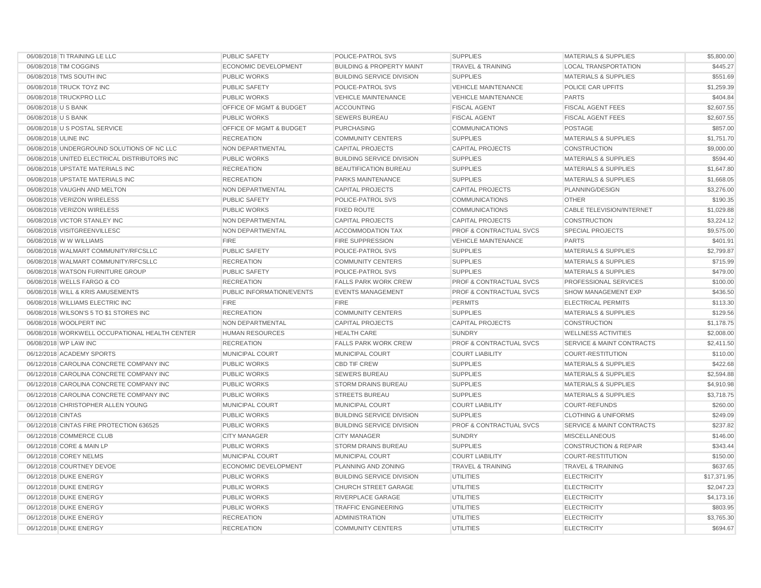| 06/08/2018 TI TRAINING LE LLC                  | PUBLIC SAFETY               | POLICE-PATROL SVS                    | <b>SUPPLIES</b>                    | <b>MATERIALS &amp; SUPPLIES</b>      | \$5,800.00  |
|------------------------------------------------|-----------------------------|--------------------------------------|------------------------------------|--------------------------------------|-------------|
| 06/08/2018 TIM COGGINS                         | <b>ECONOMIC DEVELOPMENT</b> | <b>BUILDING &amp; PROPERTY MAINT</b> | <b>TRAVEL &amp; TRAINING</b>       | <b>LOCAL TRANSPORTATION</b>          | \$445.27    |
| 06/08/2018 TMS SOUTH INC                       | <b>PUBLIC WORKS</b>         | <b>BUILDING SERVICE DIVISION</b>     | <b>SUPPLIES</b>                    | <b>MATERIALS &amp; SUPPLIES</b>      | \$551.69    |
| 06/08/2018 TRUCK TOYZ INC                      | PUBLIC SAFETY               | POLICE-PATROL SVS                    | <b>VEHICLE MAINTENANCE</b>         | POLICE CAR UPFITS                    | \$1,259.39  |
| 06/08/2018 TRUCKPRO LLC                        | <b>PUBLIC WORKS</b>         | <b>VEHICLE MAINTENANCE</b>           | <b>VEHICLE MAINTENANCE</b>         | <b>PARTS</b>                         | \$404.84    |
| 06/08/2018 U S BANK                            | OFFICE OF MGMT & BUDGET     | <b>ACCOUNTING</b>                    | <b>FISCAL AGENT</b>                | <b>FISCAL AGENT FEES</b>             | \$2,607.55  |
| 06/08/2018 U S BANK                            | <b>PUBLIC WORKS</b>         | <b>SEWERS BUREAU</b>                 | <b>FISCAL AGENT</b>                | <b>FISCAL AGENT FEES</b>             | \$2,607.55  |
| 06/08/2018 U S POSTAL SERVICE                  | OFFICE OF MGMT & BUDGET     | <b>PURCHASING</b>                    | <b>COMMUNICATIONS</b>              | <b>POSTAGE</b>                       | \$857.00    |
| 06/08/2018 ULINE INC                           | <b>RECREATION</b>           | <b>COMMUNITY CENTERS</b>             | <b>SUPPLIES</b>                    | <b>MATERIALS &amp; SUPPLIES</b>      | \$1,751.70  |
| 06/08/2018 UNDERGROUND SOLUTIONS OF NC LLC     | NON DEPARTMENTAL            | <b>CAPITAL PROJECTS</b>              | <b>CAPITAL PROJECTS</b>            | CONSTRUCTION                         | \$9,000.00  |
| 06/08/2018 UNITED ELECTRICAL DISTRIBUTORS INC  | <b>PUBLIC WORKS</b>         | <b>BUILDING SERVICE DIVISION</b>     | <b>SUPPLIES</b>                    | <b>MATERIALS &amp; SUPPLIES</b>      | \$594.40    |
| 06/08/2018 UPSTATE MATERIALS INC               | <b>RECREATION</b>           | <b>BEAUTIFICATION BUREAU</b>         | <b>SUPPLIES</b>                    | <b>MATERIALS &amp; SUPPLIES</b>      | \$1,647.80  |
| 06/08/2018 UPSTATE MATERIALS INC               | <b>RECREATION</b>           | PARKS MAINTENANCE                    | <b>SUPPLIES</b>                    | <b>MATERIALS &amp; SUPPLIES</b>      | \$1,668.05  |
| 06/08/2018 VAUGHN AND MELTON                   | NON DEPARTMENTAL            | <b>CAPITAL PROJECTS</b>              | <b>CAPITAL PROJECTS</b>            | PLANNING/DESIGN                      | \$3,276.00  |
| 06/08/2018 VERIZON WIRELESS                    | <b>PUBLIC SAFETY</b>        | POLICE-PATROL SVS                    | <b>COMMUNICATIONS</b>              | <b>OTHER</b>                         | \$190.35    |
| 06/08/2018 VERIZON WIRELESS                    | <b>PUBLIC WORKS</b>         | <b>FIXED ROUTE</b>                   | <b>COMMUNICATIONS</b>              | <b>CABLE TELEVISION/INTERNET</b>     | \$1,029.88  |
| 06/08/2018 VICTOR STANLEY INC                  | NON DEPARTMENTAL            | <b>CAPITAL PROJECTS</b>              | <b>CAPITAL PROJECTS</b>            | CONSTRUCTION                         | \$3,224.12  |
| 06/08/2018 VISITGREENVILLESC                   | NON DEPARTMENTAL            | <b>ACCOMMODATION TAX</b>             | <b>PROF &amp; CONTRACTUAL SVCS</b> | <b>SPECIAL PROJECTS</b>              | \$9,575.00  |
| 06/08/2018 W W WILLIAMS                        | <b>FIRE</b>                 | <b>FIRE SUPPRESSION</b>              | <b>VEHICLE MAINTENANCE</b>         | <b>PARTS</b>                         | \$401.91    |
| 06/08/2018 WALMART COMMUNITY/RFCSLLC           | PUBLIC SAFETY               | POLICE-PATROL SVS                    | <b>SUPPLIES</b>                    | <b>MATERIALS &amp; SUPPLIES</b>      | \$2,799.87  |
| 06/08/2018 WALMART COMMUNITY/RFCSLLC           | <b>RECREATION</b>           | <b>COMMUNITY CENTERS</b>             | <b>SUPPLIES</b>                    | <b>MATERIALS &amp; SUPPLIES</b>      | \$715.99    |
| 06/08/2018 WATSON FURNITURE GROUP              | <b>PUBLIC SAFETY</b>        | POLICE-PATROL SVS                    | <b>SUPPLIES</b>                    | <b>MATERIALS &amp; SUPPLIES</b>      | \$479.00    |
| 06/08/2018 WELLS FARGO & CO                    | <b>RECREATION</b>           | <b>FALLS PARK WORK CREW</b>          | <b>PROF &amp; CONTRACTUAL SVCS</b> | PROFESSIONAL SERVICES                | \$100.00    |
| 06/08/2018 WILL & KRIS AMUSEMENTS              | PUBLIC INFORMATION/EVENTS   | <b>EVENTS MANAGEMENT</b>             | <b>PROF &amp; CONTRACTUAL SVCS</b> | SHOW MANAGEMENT EXP                  | \$436.50    |
| 06/08/2018 WILLIAMS ELECTRIC INC               | <b>FIRE</b>                 | <b>FIRE</b>                          | <b>PERMITS</b>                     | <b>ELECTRICAL PERMITS</b>            | \$113.30    |
| 06/08/2018 WILSON'S 5 TO \$1 STORES INC        | <b>RECREATION</b>           | <b>COMMUNITY CENTERS</b>             | <b>SUPPLIES</b>                    | <b>MATERIALS &amp; SUPPLIES</b>      | \$129.56    |
| 06/08/2018 WOOLPERT INC                        | <b>NON DEPARTMENTAL</b>     | <b>CAPITAL PROJECTS</b>              | <b>CAPITAL PROJECTS</b>            | <b>CONSTRUCTION</b>                  | \$1,178.75  |
| 06/08/2018 WORKWELL OCCUPATIONAL HEALTH CENTER | <b>HUMAN RESOURCES</b>      | <b>HEALTH CARE</b>                   | <b>SUNDRY</b>                      | <b>WELLNESS ACTIVITIES</b>           | \$2,008.00  |
| 06/08/2018 WP LAW INC                          | <b>RECREATION</b>           | <b>FALLS PARK WORK CREW</b>          | <b>PROF &amp; CONTRACTUAL SVCS</b> | <b>SERVICE &amp; MAINT CONTRACTS</b> | \$2,411.50  |
| 06/12/2018 ACADEMY SPORTS                      | MUNICIPAL COURT             | MUNICIPAL COURT                      | <b>COURT LIABILITY</b>             | COURT-RESTITUTION                    | \$110.00    |
| 06/12/2018 CAROLINA CONCRETE COMPANY INC       | <b>PUBLIC WORKS</b>         | <b>CBD TIF CREW</b>                  | <b>SUPPLIES</b>                    | <b>MATERIALS &amp; SUPPLIES</b>      | \$422.68    |
| 06/12/2018 CAROLINA CONCRETE COMPANY INC       | <b>PUBLIC WORKS</b>         | <b>SEWERS BUREAU</b>                 | <b>SUPPLIES</b>                    | <b>MATERIALS &amp; SUPPLIES</b>      | \$2,594.88  |
| 06/12/2018 CAROLINA CONCRETE COMPANY INC       | PUBLIC WORKS                | <b>STORM DRAINS BUREAU</b>           | <b>SUPPLIES</b>                    | <b>MATERIALS &amp; SUPPLIES</b>      | \$4,910.98  |
| 06/12/2018 CAROLINA CONCRETE COMPANY INC       | <b>PUBLIC WORKS</b>         | <b>STREETS BUREAU</b>                | <b>SUPPLIES</b>                    | <b>MATERIALS &amp; SUPPLIES</b>      | \$3,718.75  |
| 06/12/2018 CHRISTOPHER ALLEN YOUNG             | <b>MUNICIPAL COURT</b>      | MUNICIPAL COURT                      | <b>COURT LIABILITY</b>             | <b>COURT-REFUNDS</b>                 | \$260.00    |
| 06/12/2018 CINTAS                              | <b>PUBLIC WORKS</b>         | <b>BUILDING SERVICE DIVISION</b>     | <b>SUPPLIES</b>                    | <b>CLOTHING &amp; UNIFORMS</b>       | \$249.09    |
| 06/12/2018 CINTAS FIRE PROTECTION 636525       | <b>PUBLIC WORKS</b>         | <b>BUILDING SERVICE DIVISION</b>     | <b>PROF &amp; CONTRACTUAL SVCS</b> | <b>SERVICE &amp; MAINT CONTRACTS</b> | \$237.82    |
| 06/12/2018 COMMERCE CLUB                       | <b>CITY MANAGER</b>         | <b>CITY MANAGER</b>                  | <b>SUNDRY</b>                      | <b>MISCELLANEOUS</b>                 | \$146.00    |
| 06/12/2018 CORE & MAIN LP                      | PUBLIC WORKS                | STORM DRAINS BUREAU                  | <b>SUPPLIES</b>                    | <b>CONSTRUCTION &amp; REPAIR</b>     | \$343.44    |
| 06/12/2018 COREY NELMS                         | MUNICIPAL COURT             | MUNICIPAL COURT                      | <b>COURT LIABILITY</b>             | <b>COURT-RESTITUTION</b>             | \$150.00    |
| 06/12/2018 COURTNEY DEVOE                      | ECONOMIC DEVELOPMENT        | PLANNING AND ZONING                  | <b>TRAVEL &amp; TRAINING</b>       | <b>TRAVEL &amp; TRAINING</b>         | \$637.65    |
| 06/12/2018 DUKE ENERGY                         | <b>PUBLIC WORKS</b>         | <b>BUILDING SERVICE DIVISION</b>     | <b>UTILITIES</b>                   | <b>ELECTRICITY</b>                   | \$17,371.95 |
| 06/12/2018 DUKE ENERGY                         | <b>PUBLIC WORKS</b>         | <b>CHURCH STREET GARAGE</b>          | <b>UTILITIES</b>                   | <b>ELECTRICITY</b>                   | \$2,047.23  |
| 06/12/2018 DUKE ENERGY                         | PUBLIC WORKS                | RIVERPLACE GARAGE                    | <b>UTILITIES</b>                   | <b>ELECTRICITY</b>                   | \$4,173.16  |
| 06/12/2018 DUKE ENERGY                         | <b>PUBLIC WORKS</b>         | <b>TRAFFIC ENGINEERING</b>           | <b>UTILITIES</b>                   | <b>ELECTRICITY</b>                   | \$803.95    |
| 06/12/2018 DUKE ENERGY                         | <b>RECREATION</b>           | <b>ADMINISTRATION</b>                | <b>UTILITIES</b>                   | <b>ELECTRICITY</b>                   | \$3,765.30  |
| 06/12/2018 DUKE ENERGY                         | <b>RECREATION</b>           | <b>COMMUNITY CENTERS</b>             | <b>UTILITIES</b>                   | <b>ELECTRICITY</b>                   | \$694.67    |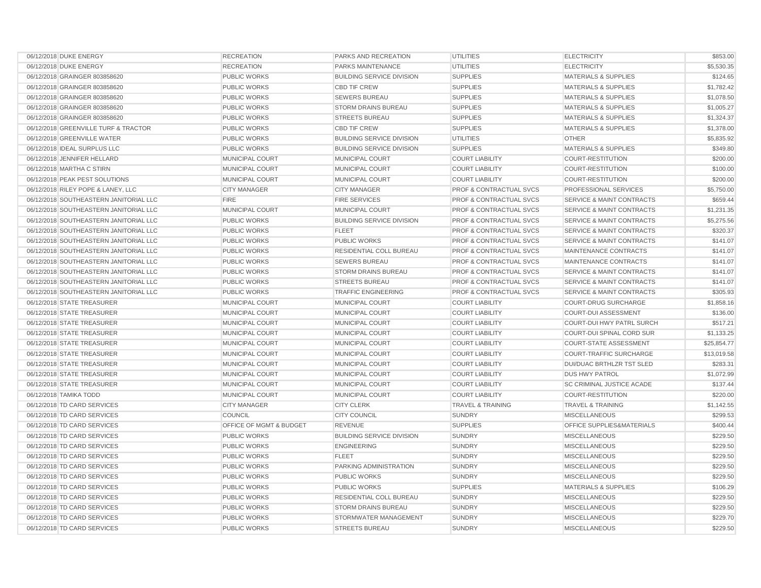| 06/12/2018 DUKE ENERGY                 | <b>RECREATION</b>                  | PARKS AND RECREATION             | <b>UTILITIES</b>                   | <b>ELECTRICITY</b>                   | \$853.00    |
|----------------------------------------|------------------------------------|----------------------------------|------------------------------------|--------------------------------------|-------------|
| 06/12/2018 DUKE ENERGY                 | <b>RECREATION</b>                  | <b>PARKS MAINTENANCE</b>         | <b>UTILITIES</b>                   | <b>ELECTRICITY</b>                   | \$5,530.35  |
| 06/12/2018 GRAINGER 803858620          | PUBLIC WORKS                       | <b>BUILDING SERVICE DIVISION</b> | <b>SUPPLIES</b>                    | <b>MATERIALS &amp; SUPPLIES</b>      | \$124.65    |
| 06/12/2018 GRAINGER 803858620          | <b>PUBLIC WORKS</b>                | <b>CBD TIF CREW</b>              | <b>SUPPLIES</b>                    | <b>MATERIALS &amp; SUPPLIES</b>      | \$1,782.42  |
| 06/12/2018 GRAINGER 803858620          | PUBLIC WORKS                       | <b>SEWERS BUREAU</b>             | <b>SUPPLIES</b>                    | MATERIALS & SUPPLIES                 | \$1,078.50  |
| 06/12/2018 GRAINGER 803858620          | <b>PUBLIC WORKS</b>                | <b>STORM DRAINS BUREAU</b>       | <b>SUPPLIES</b>                    | <b>MATERIALS &amp; SUPPLIES</b>      | \$1,005.27  |
| 06/12/2018 GRAINGER 803858620          | PUBLIC WORKS                       | <b>STREETS BUREAU</b>            | <b>SUPPLIES</b>                    | <b>MATERIALS &amp; SUPPLIES</b>      | \$1,324.37  |
| 06/12/2018 GREENVILLE TURF & TRACTOR   | <b>PUBLIC WORKS</b>                | <b>CBD TIF CREW</b>              | <b>SUPPLIES</b>                    | <b>MATERIALS &amp; SUPPLIES</b>      | \$1,378.00  |
| 06/12/2018 GREENVILLE WATER            | <b>PUBLIC WORKS</b>                | <b>BUILDING SERVICE DIVISION</b> | <b>UTILITIES</b>                   | <b>OTHER</b>                         | \$5,835.92  |
| 06/12/2018 IDEAL SURPLUS LLC           | <b>PUBLIC WORKS</b>                | <b>BUILDING SERVICE DIVISION</b> | <b>SUPPLIES</b>                    | <b>MATERIALS &amp; SUPPLIES</b>      | \$349.80    |
| 06/12/2018 JENNIFER HELLARD            | MUNICIPAL COURT                    | <b>MUNICIPAL COURT</b>           | <b>COURT LIABILITY</b>             | <b>COURT-RESTITUTION</b>             | \$200.00    |
| 06/12/2018 MARTHA C STIRN              | MUNICIPAL COURT                    | MUNICIPAL COURT                  | <b>COURT LIABILITY</b>             | <b>COURT-RESTITUTION</b>             | \$100.00    |
| 06/12/2018 PEAK PEST SOLUTIONS         | MUNICIPAL COURT                    | <b>MUNICIPAL COURT</b>           | <b>COURT LIABILITY</b>             | <b>COURT-RESTITUTION</b>             | \$200.00    |
| 06/12/2018 RILEY POPE & LANEY, LLC     | <b>CITY MANAGER</b>                | <b>CITY MANAGER</b>              | PROF & CONTRACTUAL SVCS            | PROFESSIONAL SERVICES                | \$5,750.00  |
| 06/12/2018 SOUTHEASTERN JANITORIAL LLC | <b>FIRE</b>                        | <b>FIRE SERVICES</b>             | <b>PROF &amp; CONTRACTUAL SVCS</b> | <b>SERVICE &amp; MAINT CONTRACTS</b> | \$659.44    |
| 06/12/2018 SOUTHEASTERN JANITORIAL LLC | MUNICIPAL COURT                    | <b>MUNICIPAL COURT</b>           | <b>PROF &amp; CONTRACTUAL SVCS</b> | <b>SERVICE &amp; MAINT CONTRACTS</b> | \$1,231.35  |
| 06/12/2018 SOUTHEASTERN JANITORIAL LLC | <b>PUBLIC WORKS</b>                | <b>BUILDING SERVICE DIVISION</b> | <b>PROF &amp; CONTRACTUAL SVCS</b> | <b>SERVICE &amp; MAINT CONTRACTS</b> | \$5,275.56  |
| 06/12/2018 SOUTHEASTERN JANITORIAL LLC | <b>PUBLIC WORKS</b>                | <b>FLEET</b>                     | <b>PROF &amp; CONTRACTUAL SVCS</b> | <b>SERVICE &amp; MAINT CONTRACTS</b> | \$320.37    |
| 06/12/2018 SOUTHEASTERN JANITORIAL LLC | <b>PUBLIC WORKS</b>                | <b>PUBLIC WORKS</b>              | <b>PROF &amp; CONTRACTUAL SVCS</b> | <b>SERVICE &amp; MAINT CONTRACTS</b> | \$141.07    |
| 06/12/2018 SOUTHEASTERN JANITORIAL LLC | <b>PUBLIC WORKS</b>                | RESIDENTIAL COLL BUREAU          | <b>PROF &amp; CONTRACTUAL SVCS</b> | MAINTENANCE CONTRACTS                | \$141.07    |
| 06/12/2018 SOUTHEASTERN JANITORIAL LLC | <b>PUBLIC WORKS</b>                | <b>SEWERS BUREAU</b>             | <b>PROF &amp; CONTRACTUAL SVCS</b> | MAINTENANCE CONTRACTS                | \$141.07    |
| 06/12/2018 SOUTHEASTERN JANITORIAL LLC | <b>PUBLIC WORKS</b>                | <b>STORM DRAINS BUREAU</b>       | <b>PROF &amp; CONTRACTUAL SVCS</b> | <b>SERVICE &amp; MAINT CONTRACTS</b> | \$141.07    |
| 06/12/2018 SOUTHEASTERN JANITORIAL LLC | <b>PUBLIC WORKS</b>                | <b>STREETS BUREAU</b>            | <b>PROF &amp; CONTRACTUAL SVCS</b> | <b>SERVICE &amp; MAINT CONTRACTS</b> | \$141.07    |
| 06/12/2018 SOUTHEASTERN JANITORIAL LLC | <b>PUBLIC WORKS</b>                | <b>TRAFFIC ENGINEERING</b>       | <b>PROF &amp; CONTRACTUAL SVCS</b> | <b>SERVICE &amp; MAINT CONTRACTS</b> | \$305.93    |
| 06/12/2018 STATE TREASURER             | MUNICIPAL COURT                    | MUNICIPAL COURT                  | <b>COURT LIABILITY</b>             | <b>COURT-DRUG SURCHARGE</b>          | \$1,858.16  |
| 06/12/2018 STATE TREASURER             | MUNICIPAL COURT                    | MUNICIPAL COURT                  | <b>COURT LIABILITY</b>             | <b>COURT-DUI ASSESSMENT</b>          | \$136.00    |
| 06/12/2018 STATE TREASURER             | MUNICIPAL COURT                    | MUNICIPAL COURT                  | <b>COURT LIABILITY</b>             | COURT-DUI HWY PATRL SURCH            | \$517.21    |
| 06/12/2018 STATE TREASURER             | MUNICIPAL COURT                    | MUNICIPAL COURT                  | <b>COURT LIABILITY</b>             | COURT-DUI SPINAL CORD SUR            | \$1,133.25  |
| 06/12/2018 STATE TREASURER             | MUNICIPAL COURT                    | MUNICIPAL COURT                  | <b>COURT LIABILITY</b>             | <b>COURT-STATE ASSESSMENT</b>        | \$25,854.77 |
| 06/12/2018 STATE TREASURER             | MUNICIPAL COURT                    | MUNICIPAL COURT                  | <b>COURT LIABILITY</b>             | COURT-TRAFFIC SURCHARGE              | \$13,019.58 |
| 06/12/2018 STATE TREASURER             | MUNICIPAL COURT                    | MUNICIPAL COURT                  | <b>COURT LIABILITY</b>             | DUI/DUAC BRTHLZR TST SLED            | \$283.31    |
| 06/12/2018 STATE TREASURER             | MUNICIPAL COURT                    | <b>MUNICIPAL COURT</b>           | <b>COURT LIABILITY</b>             | <b>DUS HWY PATROL</b>                | \$1,072.99  |
| 06/12/2018 STATE TREASURER             | MUNICIPAL COURT                    | <b>MUNICIPAL COURT</b>           | <b>COURT LIABILITY</b>             | SC CRIMINAL JUSTICE ACADE            | \$137.44    |
| 06/12/2018 TAMIKA TODD                 | MUNICIPAL COURT                    | <b>MUNICIPAL COURT</b>           | <b>COURT LIABILITY</b>             | <b>COURT-RESTITUTION</b>             | \$220.00    |
| 06/12/2018 TD CARD SERVICES            | <b>CITY MANAGER</b>                | <b>CITY CLERK</b>                | <b>TRAVEL &amp; TRAINING</b>       | <b>TRAVEL &amp; TRAINING</b>         | \$1,142.55  |
| 06/12/2018 TD CARD SERVICES            | COUNCIL                            | <b>CITY COUNCIL</b>              | SUNDRY                             | <b>MISCELLANEOUS</b>                 | \$299.53    |
| 06/12/2018 TD CARD SERVICES            | <b>OFFICE OF MGMT &amp; BUDGET</b> | <b>REVENUE</b>                   | <b>SUPPLIES</b>                    | <b>OFFICE SUPPLIES&amp;MATERIALS</b> | \$400.44    |
| 06/12/2018 TD CARD SERVICES            | <b>PUBLIC WORKS</b>                | <b>BUILDING SERVICE DIVISION</b> | <b>SUNDRY</b>                      | <b>MISCELLANEOUS</b>                 | \$229.50    |
| 06/12/2018 TD CARD SERVICES            | <b>PUBLIC WORKS</b>                | <b>ENGINEERING</b>               | <b>SUNDRY</b>                      | <b>MISCELLANEOUS</b>                 | \$229.50    |
| 06/12/2018 TD CARD SERVICES            | <b>PUBLIC WORKS</b>                | <b>FLEET</b>                     | <b>SUNDRY</b>                      | <b>MISCELLANEOUS</b>                 | \$229.50    |
| 06/12/2018 TD CARD SERVICES            | <b>PUBLIC WORKS</b>                | <b>PARKING ADMINISTRATION</b>    | <b>SUNDRY</b>                      | <b>MISCELLANEOUS</b>                 | \$229.50    |
| 06/12/2018 TD CARD SERVICES            | <b>PUBLIC WORKS</b>                | <b>PUBLIC WORKS</b>              | <b>SUNDRY</b>                      | <b>MISCELLANEOUS</b>                 | \$229.50    |
| 06/12/2018 TD CARD SERVICES            | <b>PUBLIC WORKS</b>                | <b>PUBLIC WORKS</b>              | <b>SUPPLIES</b>                    | <b>MATERIALS &amp; SUPPLIES</b>      | \$106.29    |
| 06/12/2018 TD CARD SERVICES            | <b>PUBLIC WORKS</b>                | RESIDENTIAL COLL BUREAU          | <b>SUNDRY</b>                      | <b>MISCELLANEOUS</b>                 | \$229.50    |
| 06/12/2018 TD CARD SERVICES            | PUBLIC WORKS                       | <b>STORM DRAINS BUREAU</b>       | <b>SUNDRY</b>                      | <b>MISCELLANEOUS</b>                 | \$229.50    |
| 06/12/2018 TD CARD SERVICES            | PUBLIC WORKS                       | STORMWATER MANAGEMENT            | <b>SUNDRY</b>                      | <b>MISCELLANEOUS</b>                 | \$229.70    |
| 06/12/2018 TD CARD SERVICES            | <b>PUBLIC WORKS</b>                | <b>STREETS BUREAU</b>            | <b>SUNDRY</b>                      | <b>MISCELLANEOUS</b>                 | \$229.50    |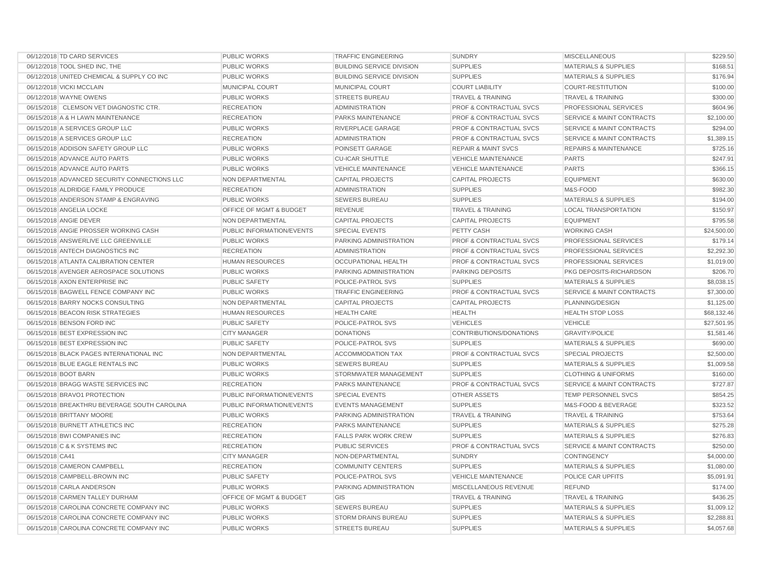| 06/12/2018 TD CARD SERVICES                  | <b>PUBLIC WORKS</b>       | <b>TRAFFIC ENGINEERING</b>       | <b>SUNDRY</b>                      | <b>MISCELLANEOUS</b>                 | \$229.50    |
|----------------------------------------------|---------------------------|----------------------------------|------------------------------------|--------------------------------------|-------------|
| 06/12/2018 TOOL SHED INC, THE                | <b>PUBLIC WORKS</b>       | <b>BUILDING SERVICE DIVISION</b> | <b>SUPPLIES</b>                    | <b>MATERIALS &amp; SUPPLIES</b>      | \$168.51    |
| 06/12/2018 UNITED CHEMICAL & SUPPLY CO INC   | <b>PUBLIC WORKS</b>       | <b>BUILDING SERVICE DIVISION</b> | <b>SUPPLIES</b>                    | <b>MATERIALS &amp; SUPPLIES</b>      | \$176.94    |
| 06/12/2018 VICKI MCCLAIN                     | MUNICIPAL COURT           | <b>MUNICIPAL COURT</b>           | <b>COURT LIABILITY</b>             | <b>COURT-RESTITUTION</b>             | \$100.00    |
| 06/12/2018 WAYNE OWENS                       | PUBLIC WORKS              | <b>STREETS BUREAU</b>            | <b>TRAVEL &amp; TRAINING</b>       | <b>TRAVEL &amp; TRAINING</b>         | \$300.00    |
| 06/15/2018 CLEMSON VET DIAGNOSTIC CTR.       | <b>RECREATION</b>         | <b>ADMINISTRATION</b>            | <b>PROF &amp; CONTRACTUAL SVCS</b> | PROFESSIONAL SERVICES                | \$604.96    |
| 06/15/2018 A & H LAWN MAINTENANCE            | <b>RECREATION</b>         | <b>PARKS MAINTENANCE</b>         | <b>PROF &amp; CONTRACTUAL SVCS</b> | <b>SERVICE &amp; MAINT CONTRACTS</b> | \$2,100.00  |
| 06/15/2018 A SERVICES GROUP LLC              | <b>PUBLIC WORKS</b>       | RIVERPLACE GARAGE                | <b>PROF &amp; CONTRACTUAL SVCS</b> | <b>SERVICE &amp; MAINT CONTRACTS</b> | \$294.00    |
| 06/15/2018 A SERVICES GROUP LLC              | <b>RECREATION</b>         | <b>ADMINISTRATION</b>            | <b>PROF &amp; CONTRACTUAL SVCS</b> | <b>SERVICE &amp; MAINT CONTRACTS</b> | \$1,389.15  |
| 06/15/2018 ADDISON SAFETY GROUP LLC          | <b>PUBLIC WORKS</b>       | POINSETT GARAGE                  | <b>REPAIR &amp; MAINT SVCS</b>     | <b>REPAIRS &amp; MAINTENANCE</b>     | \$725.16    |
| 06/15/2018 ADVANCE AUTO PARTS                | <b>PUBLIC WORKS</b>       | <b>CU-ICAR SHUTTLE</b>           | <b>VEHICLE MAINTENANCE</b>         | <b>PARTS</b>                         | \$247.91    |
| 06/15/2018 ADVANCE AUTO PARTS                | <b>PUBLIC WORKS</b>       | <b>VEHICLE MAINTENANCE</b>       | <b>VEHICLE MAINTENANCE</b>         | <b>PARTS</b>                         | \$366.15    |
| 06/15/2018 ADVANCED SECURITY CONNECTIONS LLC | NON DEPARTMENTAL          | <b>CAPITAL PROJECTS</b>          | <b>CAPITAL PROJECTS</b>            | <b>EQUIPMENT</b>                     | \$630.00    |
| 06/15/2018 ALDRIDGE FAMILY PRODUCE           | <b>RECREATION</b>         | <b>ADMINISTRATION</b>            | <b>SUPPLIES</b>                    | M&S-FOOD                             | \$982.30    |
| 06/15/2018 ANDERSON STAMP & ENGRAVING        | <b>PUBLIC WORKS</b>       | <b>SEWERS BUREAU</b>             | <b>SUPPLIES</b>                    | <b>MATERIALS &amp; SUPPLIES</b>      | \$194.00    |
| 06/15/2018 ANGELIA LOCKE                     | OFFICE OF MGMT & BUDGET   | <b>REVENUE</b>                   | <b>TRAVEL &amp; TRAINING</b>       | <b>LOCAL TRANSPORTATION</b>          | \$150.97    |
| 06/15/2018 ANGIE DEVER                       | <b>NON DEPARTMENTAL</b>   | <b>CAPITAL PROJECTS</b>          | <b>CAPITAL PROJECTS</b>            | <b>EQUIPMENT</b>                     | \$795.58    |
| 06/15/2018 ANGIE PROSSER WORKING CASH        | PUBLIC INFORMATION/EVENTS | <b>SPECIAL EVENTS</b>            | PETTY CASH                         | <b>WORKING CASH</b>                  | \$24,500.00 |
| 06/15/2018 ANSWERLIVE LLC GREENVILLE         | <b>PUBLIC WORKS</b>       | PARKING ADMINISTRATION           | <b>PROF &amp; CONTRACTUAL SVCS</b> | PROFESSIONAL SERVICES                | \$179.14    |
| 06/15/2018 ANTECH DIAGNOSTICS INC            | <b>RECREATION</b>         | <b>ADMINISTRATION</b>            | <b>PROF &amp; CONTRACTUAL SVCS</b> | PROFESSIONAL SERVICES                | \$2,292.30  |
| 06/15/2018 ATLANTA CALIBRATION CENTER        | <b>HUMAN RESOURCES</b>    | <b>OCCUPATIONAL HEALTH</b>       | <b>PROF &amp; CONTRACTUAL SVCS</b> | PROFESSIONAL SERVICES                | \$1,019.00  |
| 06/15/2018 AVENGER AEROSPACE SOLUTIONS       | <b>PUBLIC WORKS</b>       | PARKING ADMINISTRATION           | <b>PARKING DEPOSITS</b>            | PKG DEPOSITS-RICHARDSON              | \$206.70    |
| 06/15/2018 AXON ENTERPRISE INC               | PUBLIC SAFETY             | POLICE-PATROL SVS                | <b>SUPPLIES</b>                    | <b>MATERIALS &amp; SUPPLIES</b>      | \$8,038.15  |
| 06/15/2018 BAGWELL FENCE COMPANY INC         | <b>PUBLIC WORKS</b>       | <b>TRAFFIC ENGINEERING</b>       | <b>PROF &amp; CONTRACTUAL SVCS</b> | <b>SERVICE &amp; MAINT CONTRACTS</b> | \$7,300.00  |
| 06/15/2018 BARRY NOCKS CONSULTING            | NON DEPARTMENTAL          | <b>CAPITAL PROJECTS</b>          | <b>CAPITAL PROJECTS</b>            | PLANNING/DESIGN                      | \$1,125.00  |
| 06/15/2018 BEACON RISK STRATEGIES            | <b>HUMAN RESOURCES</b>    | <b>HEALTH CARE</b>               | <b>HEALTH</b>                      | <b>HEALTH STOP LOSS</b>              | \$68,132.46 |
| 06/15/2018 BENSON FORD INC                   | <b>PUBLIC SAFETY</b>      | POLICE-PATROL SVS                | <b>VEHICLES</b>                    | <b>VEHICLE</b>                       | \$27.501.95 |
| 06/15/2018 BEST EXPRESSION INC               | <b>CITY MANAGER</b>       | <b>DONATIONS</b>                 | CONTRIBUTIONS/DONATIONS            | <b>GRAVITY/POLICE</b>                | \$1,581.46  |
| 06/15/2018 BEST EXPRESSION INC               | PUBLIC SAFETY             | POLICE-PATROL SVS                | <b>SUPPLIES</b>                    | MATERIALS & SUPPLIES                 | \$690.00    |
| 06/15/2018 BLACK PAGES INTERNATIONAL INC     | <b>NON DEPARTMENTAL</b>   | <b>ACCOMMODATION TAX</b>         | PROF & CONTRACTUAL SVCS            | <b>SPECIAL PROJECTS</b>              | \$2,500.00  |
| 06/15/2018 BLUE EAGLE RENTALS INC            | <b>PUBLIC WORKS</b>       | <b>SEWERS BUREAU</b>             | <b>SUPPLIES</b>                    | <b>MATERIALS &amp; SUPPLIES</b>      | \$1,009.58  |
| 06/15/2018 BOOT BARN                         | <b>PUBLIC WORKS</b>       | STORMWATER MANAGEMENT            | <b>SUPPLIES</b>                    | <b>CLOTHING &amp; UNIFORMS</b>       | \$160.00    |
| 06/15/2018 BRAGG WASTE SERVICES INC          | <b>RECREATION</b>         | <b>PARKS MAINTENANCE</b>         | <b>PROF &amp; CONTRACTUAL SVCS</b> | <b>SERVICE &amp; MAINT CONTRACTS</b> | \$727.87    |
| 06/15/2018 BRAVO1 PROTECTION                 | PUBLIC INFORMATION/EVENTS | <b>SPECIAL EVENTS</b>            | <b>OTHER ASSETS</b>                | TEMP PERSONNEL SVCS                  | \$854.25    |
| 06/15/2018 BREAKTHRU BEVERAGE SOUTH CAROLINA | PUBLIC INFORMATION/EVENTS | <b>EVENTS MANAGEMENT</b>         | <b>SUPPLIES</b>                    | M&S-FOOD & BEVERAGE                  | \$323.52    |
| 06/15/2018 BRITTANY MOORE                    | <b>PUBLIC WORKS</b>       | PARKING ADMINISTRATION           | <b>TRAVEL &amp; TRAINING</b>       | <b>TRAVEL &amp; TRAINING</b>         | \$753.64    |
| 06/15/2018 BURNETT ATHLETICS INC             | <b>RECREATION</b>         | PARKS MAINTENANCE                | <b>SUPPLIES</b>                    | <b>MATERIALS &amp; SUPPLIES</b>      | \$275.28    |
| 06/15/2018 BWI COMPANIES INC                 | <b>RECREATION</b>         | <b>FALLS PARK WORK CREW</b>      | <b>SUPPLIES</b>                    | <b>MATERIALS &amp; SUPPLIES</b>      | \$276.83    |
| 06/15/2018 C & K SYSTEMS INC                 | <b>RECREATION</b>         | <b>PUBLIC SERVICES</b>           | PROF & CONTRACTUAL SVCS            | <b>SERVICE &amp; MAINT CONTRACTS</b> | \$250.00    |
| 06/15/2018 CA41                              | <b>CITY MANAGER</b>       | NON-DEPARTMENTAL                 | <b>SUNDRY</b>                      | <b>CONTINGENCY</b>                   | \$4,000.00  |
| 06/15/2018 CAMERON CAMPBELL                  | <b>RECREATION</b>         | <b>COMMUNITY CENTERS</b>         | <b>SUPPLIES</b>                    | <b>MATERIALS &amp; SUPPLIES</b>      | \$1,080.00  |
| 06/15/2018 CAMPBELL-BROWN INC                | <b>PUBLIC SAFETY</b>      | POLICE-PATROL SVS                | <b>VEHICLE MAINTENANCE</b>         | POLICE CAR UPFITS                    | \$5,091.91  |
| 06/15/2018 CARLA ANDERSON                    | <b>PUBLIC WORKS</b>       | PARKING ADMINISTRATION           | MISCELLANEOUS REVENUE              | <b>REFUND</b>                        | \$174.00    |
| 06/15/2018 CARMEN TALLEY DURHAM              | OFFICE OF MGMT & BUDGET   | GIS                              | <b>TRAVEL &amp; TRAINING</b>       | <b>TRAVEL &amp; TRAINING</b>         | \$436.25    |
| 06/15/2018 CAROLINA CONCRETE COMPANY INC     | <b>PUBLIC WORKS</b>       | <b>SEWERS BUREAU</b>             | <b>SUPPLIES</b>                    | <b>MATERIALS &amp; SUPPLIES</b>      | \$1,009.12  |
| 06/15/2018 CAROLINA CONCRETE COMPANY INC     | <b>PUBLIC WORKS</b>       | STORM DRAINS BUREAU              | <b>SUPPLIES</b>                    | <b>MATERIALS &amp; SUPPLIES</b>      | \$2,288.81  |
| 06/15/2018 CAROLINA CONCRETE COMPANY INC     | PUBLIC WORKS              | <b>STREETS BUREAU</b>            | <b>SUPPLIES</b>                    | <b>MATERIALS &amp; SUPPLIES</b>      | \$4,057.68  |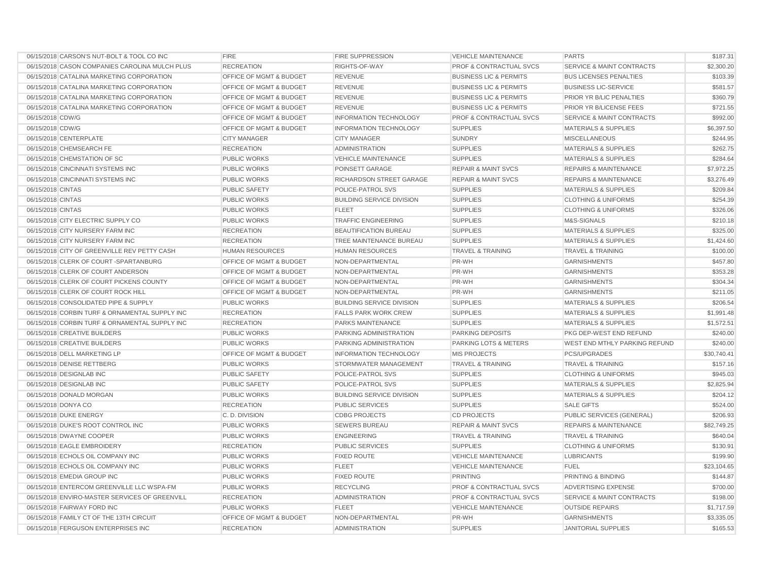| 06/15/2018 CARSON'S NUT-BOLT & TOOL CO INC     | <b>FIRE</b>                        | <b>FIRE SUPPRESSION</b>          | <b>VEHICLE MAINTENANCE</b>         | <b>PARTS</b>                         | \$187.31    |
|------------------------------------------------|------------------------------------|----------------------------------|------------------------------------|--------------------------------------|-------------|
| 06/15/2018 CASON COMPANIES CAROLINA MULCH PLUS | <b>RECREATION</b>                  | RIGHTS-OF-WAY                    | <b>PROF &amp; CONTRACTUAL SVCS</b> | <b>SERVICE &amp; MAINT CONTRACTS</b> | \$2,300.20  |
| 06/15/2018 CATALINA MARKETING CORPORATION      | OFFICE OF MGMT & BUDGET            | <b>REVENUE</b>                   | <b>BUSINESS LIC &amp; PERMITS</b>  | <b>BUS LICENSES PENALTIES</b>        | \$103.39    |
| 06/15/2018 CATALINA MARKETING CORPORATION      | <b>OFFICE OF MGMT &amp; BUDGET</b> | <b>REVENUE</b>                   | <b>BUSINESS LIC &amp; PERMITS</b>  | <b>BUSINESS LIC-SERVICE</b>          | \$581.57    |
| 06/15/2018 CATALINA MARKETING CORPORATION      | <b>OFFICE OF MGMT &amp; BUDGET</b> | <b>REVENUE</b>                   | <b>BUSINESS LIC &amp; PERMITS</b>  | PRIOR YR B/LIC PENALTIES             | \$360.79    |
| 06/15/2018 CATALINA MARKETING CORPORATION      | <b>OFFICE OF MGMT &amp; BUDGET</b> | <b>REVENUE</b>                   | <b>BUSINESS LIC &amp; PERMITS</b>  | PRIOR YR B/LICENSE FEES              | \$721.55    |
| 06/15/2018 CDW/G                               | <b>OFFICE OF MGMT &amp; BUDGET</b> | <b>INFORMATION TECHNOLOGY</b>    | <b>PROF &amp; CONTRACTUAL SVCS</b> | <b>SERVICE &amp; MAINT CONTRACTS</b> | \$992.00    |
| 06/15/2018 CDW/G                               | OFFICE OF MGMT & BUDGET            | <b>INFORMATION TECHNOLOGY</b>    | <b>SUPPLIES</b>                    | <b>MATERIALS &amp; SUPPLIES</b>      | \$6,397.50  |
| 06/15/2018 CENTERPLATE                         | <b>CITY MANAGER</b>                | <b>CITY MANAGER</b>              | <b>SUNDRY</b>                      | <b>MISCELLANEOUS</b>                 | \$244.95    |
| 06/15/2018 CHEMSEARCH FE                       | <b>RECREATION</b>                  | <b>ADMINISTRATION</b>            | <b>SUPPLIES</b>                    | <b>MATERIALS &amp; SUPPLIES</b>      | \$262.75    |
| 06/15/2018 CHEMSTATION OF SC                   | PUBLIC WORKS                       | <b>VEHICLE MAINTENANCE</b>       | <b>SUPPLIES</b>                    | <b>MATERIALS &amp; SUPPLIES</b>      | \$284.64    |
| 06/15/2018 CINCINNATI SYSTEMS INC              | <b>PUBLIC WORKS</b>                | POINSETT GARAGE                  | <b>REPAIR &amp; MAINT SVCS</b>     | <b>REPAIRS &amp; MAINTENANCE</b>     | \$7,972.25  |
| 06/15/2018 CINCINNATI SYSTEMS INC              | PUBLIC WORKS                       | RICHARDSON STREET GARAGE         | <b>REPAIR &amp; MAINT SVCS</b>     | <b>REPAIRS &amp; MAINTENANCE</b>     | \$3,276.49  |
| 06/15/2018 CINTAS                              | <b>PUBLIC SAFETY</b>               | POLICE-PATROL SVS                | <b>SUPPLIES</b>                    | <b>MATERIALS &amp; SUPPLIES</b>      | \$209.84    |
| 06/15/2018 CINTAS                              | <b>PUBLIC WORKS</b>                | <b>BUILDING SERVICE DIVISION</b> | <b>SUPPLIES</b>                    | <b>CLOTHING &amp; UNIFORMS</b>       | \$254.39    |
| 06/15/2018 CINTAS                              | <b>PUBLIC WORKS</b>                | <b>FLEET</b>                     | <b>SUPPLIES</b>                    | <b>CLOTHING &amp; UNIFORMS</b>       | \$326.06    |
| 06/15/2018 CITY ELECTRIC SUPPLY CO             | <b>PUBLIC WORKS</b>                | <b>TRAFFIC ENGINEERING</b>       | <b>SUPPLIES</b>                    | M&S-SIGNALS                          | \$210.18    |
| 06/15/2018 CITY NURSERY FARM INC               | <b>RECREATION</b>                  | <b>BEAUTIFICATION BUREAU</b>     | <b>SUPPLIES</b>                    | <b>MATERIALS &amp; SUPPLIES</b>      | \$325.00    |
| 06/15/2018 CITY NURSERY FARM INC               | <b>RECREATION</b>                  | TREE MAINTENANCE BUREAU          | <b>SUPPLIES</b>                    | <b>MATERIALS &amp; SUPPLIES</b>      | \$1,424.60  |
| 06/15/2018 CITY OF GREENVILLE REV PETTY CASH   | <b>HUMAN RESOURCES</b>             | <b>HUMAN RESOURCES</b>           | <b>TRAVEL &amp; TRAINING</b>       | <b>TRAVEL &amp; TRAINING</b>         | \$100.00    |
| 06/15/2018 CLERK OF COURT-SPARTANBURG          | OFFICE OF MGMT & BUDGET            | NON-DEPARTMENTAL                 | PR-WH                              | <b>GARNISHMENTS</b>                  | \$457.80    |
| 06/15/2018 CLERK OF COURT ANDERSON             | <b>OFFICE OF MGMT &amp; BUDGET</b> | NON-DEPARTMENTAL                 | PR-WH                              | <b>GARNISHMENTS</b>                  | \$353.28    |
| 06/15/2018 CLERK OF COURT PICKENS COUNTY       | OFFICE OF MGMT & BUDGET            | NON-DEPARTMENTAL                 | PR-WH                              | <b>GARNISHMENTS</b>                  | \$304.34    |
| 06/15/2018 CLERK OF COURT ROCK HILL            | OFFICE OF MGMT & BUDGET            | NON-DEPARTMENTAL                 | PR-WH                              | <b>GARNISHMENTS</b>                  | \$211.05    |
| 06/15/2018 CONSOLIDATED PIPE & SUPPLY          | <b>PUBLIC WORKS</b>                | <b>BUILDING SERVICE DIVISION</b> | <b>SUPPLIES</b>                    | <b>MATERIALS &amp; SUPPLIES</b>      | \$206.54    |
| 06/15/2018 CORBIN TURF & ORNAMENTAL SUPPLY INC | <b>RECREATION</b>                  | <b>FALLS PARK WORK CREW</b>      | <b>SUPPLIES</b>                    | <b>MATERIALS &amp; SUPPLIES</b>      | \$1,991.48  |
| 06/15/2018 CORBIN TURF & ORNAMENTAL SUPPLY INC | <b>RECREATION</b>                  | PARKS MAINTENANCE                | <b>SUPPLIES</b>                    | <b>MATERIALS &amp; SUPPLIES</b>      | \$1,572.51  |
| 06/15/2018 CREATIVE BUILDERS                   | <b>PUBLIC WORKS</b>                | PARKING ADMINISTRATION           | PARKING DEPOSITS                   | PKG DEP-WEST END REFUND              | \$240.00    |
| 06/15/2018 CREATIVE BUILDERS                   | <b>PUBLIC WORKS</b>                | PARKING ADMINISTRATION           | <b>PARKING LOTS &amp; METERS</b>   | WEST END MTHLY PARKING REFUND        | \$240.00    |
| 06/15/2018 DELL MARKETING LP                   | OFFICE OF MGMT & BUDGET            | <b>INFORMATION TECHNOLOGY</b>    | <b>MIS PROJECTS</b>                | <b>PCS/UPGRADES</b>                  | \$30,740.41 |
| 06/15/2018 DENISE RETTBERG                     | <b>PUBLIC WORKS</b>                | STORMWATER MANAGEMENT            | <b>TRAVEL &amp; TRAINING</b>       | <b>TRAVEL &amp; TRAINING</b>         | \$157.16    |
| 06/15/2018 DESIGNLAB INC                       | <b>PUBLIC SAFETY</b>               | POLICE-PATROL SVS                | <b>SUPPLIES</b>                    | <b>CLOTHING &amp; UNIFORMS</b>       | \$945.03    |
| 06/15/2018 DESIGNLAB INC                       | <b>PUBLIC SAFETY</b>               | POLICE-PATROL SVS                | <b>SUPPLIES</b>                    | <b>MATERIALS &amp; SUPPLIES</b>      | \$2,825.94  |
| 06/15/2018 DONALD MORGAN                       | <b>PUBLIC WORKS</b>                | <b>BUILDING SERVICE DIVISION</b> | <b>SUPPLIES</b>                    | <b>MATERIALS &amp; SUPPLIES</b>      | \$204.12    |
| 06/15/2018 DONYA CO                            | <b>RECREATION</b>                  | <b>PUBLIC SERVICES</b>           | <b>SUPPLIES</b>                    | <b>SALE GIFTS</b>                    | \$524.00    |
| 06/15/2018 DUKE ENERGY                         | C.D. DIVISION                      | <b>CDBG PROJECTS</b>             | <b>CD PROJECTS</b>                 | PUBLIC SERVICES (GENERAL)            | \$206.93    |
| 06/15/2018 DUKE'S ROOT CONTROL INC             | <b>PUBLIC WORKS</b>                | <b>SEWERS BUREAU</b>             | <b>REPAIR &amp; MAINT SVCS</b>     | <b>REPAIRS &amp; MAINTENANCE</b>     | \$82,749.25 |
| 06/15/2018 DWAYNE COOPER                       | <b>PUBLIC WORKS</b>                | <b>ENGINEERING</b>               | <b>TRAVEL &amp; TRAINING</b>       | <b>TRAVEL &amp; TRAINING</b>         | \$640.04    |
| 06/15/2018 EAGLE EMBROIDERY                    | <b>RECREATION</b>                  | PUBLIC SERVICES                  | <b>SUPPLIES</b>                    | <b>CLOTHING &amp; UNIFORMS</b>       | \$130.91    |
| 06/15/2018 ECHOLS OIL COMPANY INC              | <b>PUBLIC WORKS</b>                | <b>FIXED ROUTE</b>               | <b>VEHICLE MAINTENANCE</b>         | <b>LUBRICANTS</b>                    | \$199.90    |
| 06/15/2018 ECHOLS OIL COMPANY INC              | <b>PUBLIC WORKS</b>                | <b>FLEET</b>                     | VEHICLE MAINTENANCE                | <b>FUEL</b>                          | \$23,104.65 |
| 06/15/2018 EMEDIA GROUP INC                    | <b>PUBLIC WORKS</b>                | <b>FIXED ROUTE</b>               | PRINTING                           | PRINTING & BINDING                   | \$144.87    |
| 06/15/2018 ENTERCOM GREENVILLE LLC WSPA-FM     | <b>PUBLIC WORKS</b>                | <b>RECYCLING</b>                 | <b>PROF &amp; CONTRACTUAL SVCS</b> | <b>ADVERTISING EXPENSE</b>           | \$700.00    |
| 06/15/2018 ENVIRO-MASTER SERVICES OF GREENVILL | <b>RECREATION</b>                  | <b>ADMINISTRATION</b>            | <b>PROF &amp; CONTRACTUAL SVCS</b> | <b>SERVICE &amp; MAINT CONTRACTS</b> | \$198.00    |
| 06/15/2018 FAIRWAY FORD INC                    | <b>PUBLIC WORKS</b>                | <b>FLEET</b>                     | <b>VEHICLE MAINTENANCE</b>         | <b>OUTSIDE REPAIRS</b>               | \$1,717.59  |
| 06/15/2018 FAMILY CT OF THE 13TH CIRCUIT       | OFFICE OF MGMT & BUDGET            | NON-DEPARTMENTAL                 | PR-WH                              | <b>GARNISHMENTS</b>                  | \$3,335.05  |
| 06/15/2018 FERGUSON ENTERPRISES INC            | <b>RECREATION</b>                  | <b>ADMINISTRATION</b>            | <b>SUPPLIES</b>                    | <b>JANITORIAL SUPPLIES</b>           | \$165.53    |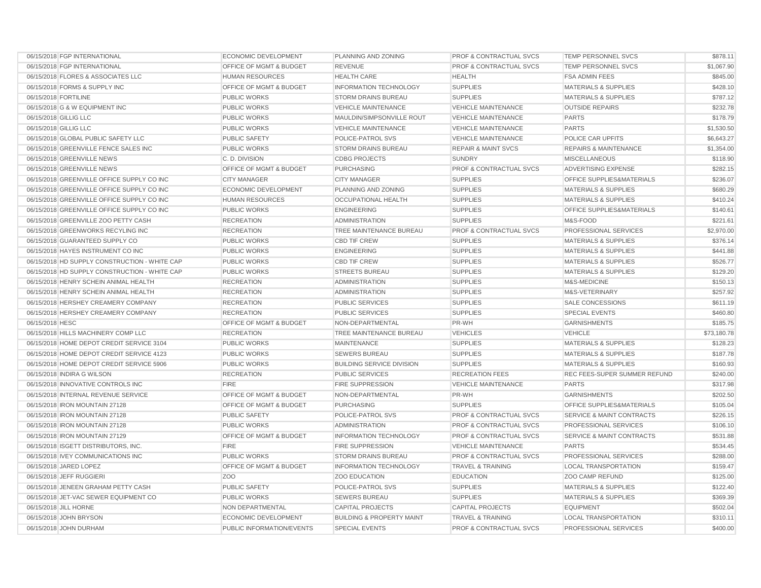| 06/15/2018 FGP INTERNATIONAL                  | <b>ECONOMIC DEVELOPMENT</b>        | PLANNING AND ZONING                  | <b>PROF &amp; CONTRACTUAL SVCS</b> | TEMP PERSONNEL SVCS                  | \$878.11    |
|-----------------------------------------------|------------------------------------|--------------------------------------|------------------------------------|--------------------------------------|-------------|
| 06/15/2018 FGP INTERNATIONAL                  | OFFICE OF MGMT & BUDGET            | <b>REVENUE</b>                       | <b>PROF &amp; CONTRACTUAL SVCS</b> | TEMP PERSONNEL SVCS                  | \$1,067.90  |
| 06/15/2018 FLORES & ASSOCIATES LLC            | <b>HUMAN RESOURCES</b>             | <b>HEALTH CARE</b>                   | <b>HEALTH</b>                      | <b>FSA ADMIN FEES</b>                | \$845.00    |
| 06/15/2018 FORMS & SUPPLY INC                 | OFFICE OF MGMT & BUDGET            | <b>INFORMATION TECHNOLOGY</b>        | <b>SUPPLIES</b>                    | <b>MATERIALS &amp; SUPPLIES</b>      | \$428.10    |
| 06/15/2018 FORTILINE                          | PUBLIC WORKS                       | <b>STORM DRAINS BUREAU</b>           | <b>SUPPLIES</b>                    | <b>MATERIALS &amp; SUPPLIES</b>      | \$787.12    |
| 06/15/2018 G & W EQUIPMENT INC                | <b>PUBLIC WORKS</b>                | <b>VEHICLE MAINTENANCE</b>           | <b>VEHICLE MAINTENANCE</b>         | <b>OUTSIDE REPAIRS</b>               | \$232.78    |
| 06/15/2018 GILLIG LLC                         | <b>PUBLIC WORKS</b>                | MAULDIN/SIMPSONVILLE ROUT            | <b>VEHICLE MAINTENANCE</b>         | <b>PARTS</b>                         | \$178.79    |
| 06/15/2018 GILLIG LLC                         | <b>PUBLIC WORKS</b>                | <b>VEHICLE MAINTENANCE</b>           | <b>VEHICLE MAINTENANCE</b>         | <b>PARTS</b>                         | \$1,530.50  |
| 06/15/2018 GLOBAL PUBLIC SAFETY LLC           | <b>PUBLIC SAFETY</b>               | POLICE-PATROL SVS                    | <b>VEHICLE MAINTENANCE</b>         | POLICE CAR UPFITS                    | \$6,643.27  |
| 06/15/2018 GREENVILLE FENCE SALES INC         | <b>PUBLIC WORKS</b>                | STORM DRAINS BUREAU                  | <b>REPAIR &amp; MAINT SVCS</b>     | <b>REPAIRS &amp; MAINTENANCE</b>     | \$1,354.00  |
| 06/15/2018 GREENVILLE NEWS                    | C.D. DIVISION                      | <b>CDBG PROJECTS</b>                 | <b>SUNDRY</b>                      | <b>MISCELLANEOUS</b>                 | \$118.90    |
| 06/15/2018 GREENVILLE NEWS                    | <b>OFFICE OF MGMT &amp; BUDGET</b> | <b>PURCHASING</b>                    | <b>PROF &amp; CONTRACTUAL SVCS</b> | ADVERTISING EXPENSE                  | \$282.15    |
| 06/15/2018 GREENVILLE OFFICE SUPPLY CO INC    | <b>CITY MANAGER</b>                | <b>CITY MANAGER</b>                  | <b>SUPPLIES</b>                    | OFFICE SUPPLIES&MATERIALS            | \$236.07    |
| 06/15/2018 GREENVILLE OFFICE SUPPLY CO INC    | <b>ECONOMIC DEVELOPMENT</b>        | PLANNING AND ZONING                  | <b>SUPPLIES</b>                    | <b>MATERIALS &amp; SUPPLIES</b>      | \$680.29    |
| 06/15/2018 GREENVILLE OFFICE SUPPLY CO INC    | <b>HUMAN RESOURCES</b>             | OCCUPATIONAL HEALTH                  | <b>SUPPLIES</b>                    | <b>MATERIALS &amp; SUPPLIES</b>      | \$410.24    |
| 06/15/2018 GREENVILLE OFFICE SUPPLY CO INC    | <b>PUBLIC WORKS</b>                | <b>ENGINEERING</b>                   | <b>SUPPLIES</b>                    | OFFICE SUPPLIES&MATERIALS            | \$140.61    |
| 06/15/2018 GREENVILLE ZOO PETTY CASH          | <b>RECREATION</b>                  | <b>ADMINISTRATION</b>                | <b>SUPPLIES</b>                    | M&S-FOOD                             | \$221.61    |
| 06/15/2018 GREENWORKS RECYLING INC            | <b>RECREATION</b>                  | TREE MAINTENANCE BUREAU              | PROF & CONTRACTUAL SVCS            | PROFESSIONAL SERVICES                | \$2,970.00  |
| 06/15/2018 GUARANTEED SUPPLY CO               | <b>PUBLIC WORKS</b>                | <b>CBD TIF CREW</b>                  | <b>SUPPLIES</b>                    | <b>MATERIALS &amp; SUPPLIES</b>      | \$376.14    |
| 06/15/2018 HAYES INSTRUMENT CO INC            | <b>PUBLIC WORKS</b>                | <b>ENGINEERING</b>                   | <b>SUPPLIES</b>                    | <b>MATERIALS &amp; SUPPLIES</b>      | \$441.88    |
| 06/15/2018 HD SUPPLY CONSTRUCTION - WHITE CAP | <b>PUBLIC WORKS</b>                | <b>CBD TIF CREW</b>                  | <b>SUPPLIES</b>                    | <b>MATERIALS &amp; SUPPLIES</b>      | \$526.77    |
| 06/15/2018 HD SUPPLY CONSTRUCTION - WHITE CAP | <b>PUBLIC WORKS</b>                | <b>STREETS BUREAU</b>                | <b>SUPPLIES</b>                    | <b>MATERIALS &amp; SUPPLIES</b>      | \$129.20    |
| 06/15/2018 HENRY SCHEIN ANIMAL HEALTH         | <b>RECREATION</b>                  | <b>ADMINISTRATION</b>                | <b>SUPPLIES</b>                    | M&S-MEDICINE                         | \$150.13    |
| 06/15/2018 HENRY SCHEIN ANIMAL HEALTH         | <b>RECREATION</b>                  | <b>ADMINISTRATION</b>                | <b>SUPPLIES</b>                    | M&S-VETERINARY                       | \$257.92    |
| 06/15/2018 HERSHEY CREAMERY COMPANY           | <b>RECREATION</b>                  | <b>PUBLIC SERVICES</b>               | <b>SUPPLIES</b>                    | <b>SALE CONCESSIONS</b>              | \$611.19    |
| 06/15/2018 HERSHEY CREAMERY COMPANY           | <b>RECREATION</b>                  | PUBLIC SERVICES                      | <b>SUPPLIES</b>                    | <b>SPECIAL EVENTS</b>                | \$460.80    |
| 06/15/2018 HESC                               | <b>OFFICE OF MGMT &amp; BUDGET</b> | NON-DEPARTMENTAL                     | PR-WH                              | <b>GARNISHMENTS</b>                  | \$185.75    |
| 06/15/2018 HILLS MACHINERY COMP LLC           | <b>RECREATION</b>                  | TREE MAINTENANCE BUREAU              | <b>VEHICLES</b>                    | <b>VEHICLE</b>                       | \$73,180.78 |
| 06/15/2018 HOME DEPOT CREDIT SERVICE 3104     | <b>PUBLIC WORKS</b>                | <b>MAINTENANCE</b>                   | <b>SUPPLIES</b>                    | <b>MATERIALS &amp; SUPPLIES</b>      | \$128.23    |
| 06/15/2018 HOME DEPOT CREDIT SERVICE 4123     | <b>PUBLIC WORKS</b>                | <b>SEWERS BUREAU</b>                 | <b>SUPPLIES</b>                    | <b>MATERIALS &amp; SUPPLIES</b>      | \$187.78    |
| 06/15/2018 HOME DEPOT CREDIT SERVICE 5906     | <b>PUBLIC WORKS</b>                | <b>BUILDING SERVICE DIVISION</b>     | <b>SUPPLIES</b>                    | <b>MATERIALS &amp; SUPPLIES</b>      | \$160.93    |
| 06/15/2018 INDIRA G WILSON                    | <b>RECREATION</b>                  | <b>PUBLIC SERVICES</b>               | <b>RECREATION FEES</b>             | <b>REC FEES-SUPER SUMMER REFUND</b>  | \$240.00    |
| 06/15/2018 INNOVATIVE CONTROLS INC            | <b>FIRE</b>                        | <b>FIRE SUPPRESSION</b>              | <b>VEHICLE MAINTENANCE</b>         | <b>PARTS</b>                         | \$317.98    |
| 06/15/2018 INTERNAL REVENUE SERVICE           | OFFICE OF MGMT & BUDGET            | NON-DEPARTMENTAL                     | PR-WH                              | <b>GARNISHMENTS</b>                  | \$202.50    |
| 06/15/2018 IRON MOUNTAIN 27128                | <b>OFFICE OF MGMT &amp; BUDGET</b> | <b>PURCHASING</b>                    | <b>SUPPLIES</b>                    | <b>OFFICE SUPPLIES&amp;MATERIALS</b> | \$105.04    |
| 06/15/2018 IRON MOUNTAIN 27128                | <b>PUBLIC SAFETY</b>               | POLICE-PATROL SVS                    | <b>PROF &amp; CONTRACTUAL SVCS</b> | <b>SERVICE &amp; MAINT CONTRACTS</b> | \$226.15    |
| 06/15/2018 IRON MOUNTAIN 27128                | <b>PUBLIC WORKS</b>                | <b>ADMINISTRATION</b>                | <b>PROF &amp; CONTRACTUAL SVCS</b> | PROFESSIONAL SERVICES                | \$106.10    |
| 06/15/2018 IRON MOUNTAIN 27129                | OFFICE OF MGMT & BUDGET            | <b>INFORMATION TECHNOLOGY</b>        | <b>PROF &amp; CONTRACTUAL SVCS</b> | <b>SERVICE &amp; MAINT CONTRACTS</b> | \$531.88    |
| 06/15/2018 ISGETT DISTRIBUTORS, INC.          | <b>FIRE</b>                        | <b>FIRE SUPPRESSION</b>              | <b>VEHICLE MAINTENANCE</b>         | <b>PARTS</b>                         | \$534.45    |
| 06/15/2018 IVEY COMMUNICATIONS INC            | <b>PUBLIC WORKS</b>                | <b>STORM DRAINS BUREAU</b>           | <b>PROF &amp; CONTRACTUAL SVCS</b> | <b>PROFESSIONAL SERVICES</b>         | \$288.00    |
| 06/15/2018 JARED LOPEZ                        | OFFICE OF MGMT & BUDGET            | <b>INFORMATION TECHNOLOGY</b>        | <b>TRAVEL &amp; TRAINING</b>       | <b>LOCAL TRANSPORTATION</b>          | \$159.47    |
| 06/15/2018 JEFF RUGGIERI                      | Z <sub>O</sub> O                   | <b>ZOO EDUCATION</b>                 | <b>EDUCATION</b>                   | ZOO CAMP REFUND                      | \$125.00    |
| 06/15/2018 JENEEN GRAHAM PETTY CASH           | <b>PUBLIC SAFETY</b>               | POLICE-PATROL SVS                    | <b>SUPPLIES</b>                    | <b>MATERIALS &amp; SUPPLIES</b>      | \$122.40    |
| 06/15/2018 JET-VAC SEWER EQUIPMENT CO         | PUBLIC WORKS                       | <b>SEWERS BUREAU</b>                 | <b>SUPPLIES</b>                    | <b>MATERIALS &amp; SUPPLIES</b>      | \$369.39    |
| 06/15/2018 JILL HORNE                         | NON DEPARTMENTAL                   | <b>CAPITAL PROJECTS</b>              | <b>CAPITAL PROJECTS</b>            | <b>EQUIPMENT</b>                     | \$502.04    |
| 06/15/2018 JOHN BRYSON                        | <b>ECONOMIC DEVELOPMENT</b>        | <b>BUILDING &amp; PROPERTY MAINT</b> | <b>TRAVEL &amp; TRAINING</b>       | <b>LOCAL TRANSPORTATION</b>          | \$310.11    |
| 06/15/2018 JOHN DURHAM                        | PUBLIC INFORMATION/EVENTS          | <b>SPECIAL EVENTS</b>                | <b>PROF &amp; CONTRACTUAL SVCS</b> | PROFESSIONAL SERVICES                | \$400.00    |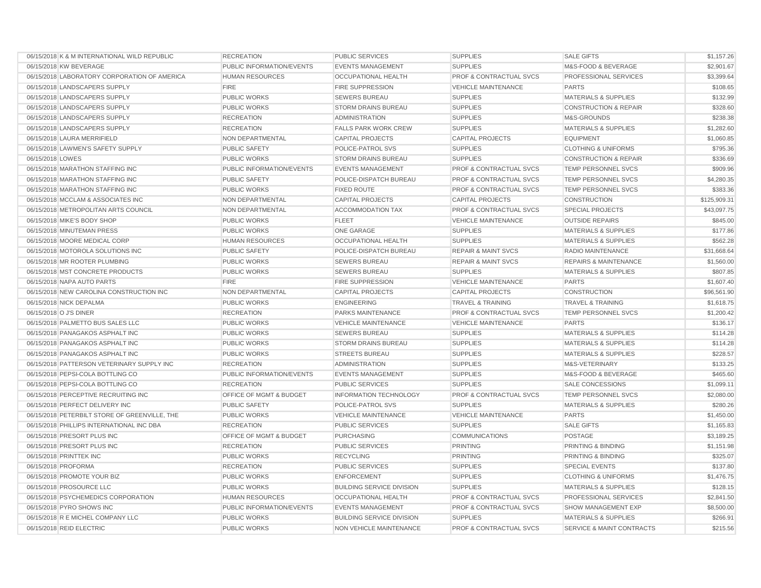| 06/15/2018 K & M INTERNATIONAL WILD REPUBLIC  | <b>RECREATION</b>         | PUBLIC SERVICES                  | <b>SUPPLIES</b>                    | <b>SALE GIFTS</b>                | \$1,157.26   |
|-----------------------------------------------|---------------------------|----------------------------------|------------------------------------|----------------------------------|--------------|
| 06/15/2018 KW BEVERAGE                        | PUBLIC INFORMATION/EVENTS | <b>EVENTS MANAGEMENT</b>         | <b>SUPPLIES</b>                    | M&S-FOOD & BEVERAGE              | \$2,901.67   |
| 06/15/2018 LABORATORY CORPORATION OF AMERICA  | <b>HUMAN RESOURCES</b>    | <b>OCCUPATIONAL HEALTH</b>       | <b>PROF &amp; CONTRACTUAL SVCS</b> | PROFESSIONAL SERVICES            | \$3,399.64   |
| 06/15/2018 LANDSCAPERS SUPPLY                 | <b>FIRE</b>               | <b>FIRE SUPPRESSION</b>          | <b>VEHICLE MAINTENANCE</b>         | <b>PARTS</b>                     | \$108.65     |
| 06/15/2018 LANDSCAPERS SUPPLY                 | <b>PUBLIC WORKS</b>       | <b>SEWERS BUREAU</b>             | <b>SUPPLIES</b>                    | MATERIALS & SUPPLIES             | \$132.99     |
| 06/15/2018 LANDSCAPERS SUPPLY                 | <b>PUBLIC WORKS</b>       | <b>STORM DRAINS BUREAU</b>       | <b>SUPPLIES</b>                    | <b>CONSTRUCTION &amp; REPAIR</b> | \$328.60     |
| 06/15/2018 LANDSCAPERS SUPPLY                 | <b>RECREATION</b>         | <b>ADMINISTRATION</b>            | <b>SUPPLIES</b>                    | M&S-GROUNDS                      | \$238.38     |
| 06/15/2018 LANDSCAPERS SUPPLY                 | <b>RECREATION</b>         | <b>FALLS PARK WORK CREW</b>      | <b>SUPPLIES</b>                    | <b>MATERIALS &amp; SUPPLIES</b>  | \$1,282.60   |
| 06/15/2018 LAURA MERRIFIELD                   | NON DEPARTMENTAL          | <b>CAPITAL PROJECTS</b>          | <b>CAPITAL PROJECTS</b>            | <b>EQUIPMENT</b>                 | \$1,060.85   |
| 06/15/2018 LAWMEN'S SAFETY SUPPLY             | <b>PUBLIC SAFETY</b>      | POLICE-PATROL SVS                | <b>SUPPLIES</b>                    | <b>CLOTHING &amp; UNIFORMS</b>   | \$795.36     |
| 06/15/2018 LOWES                              | <b>PUBLIC WORKS</b>       | STORM DRAINS BUREAU              | <b>SUPPLIES</b>                    | <b>CONSTRUCTION &amp; REPAIR</b> | \$336.69     |
| 06/15/2018 MARATHON STAFFING INC              | PUBLIC INFORMATION/EVENTS | <b>EVENTS MANAGEMENT</b>         | <b>PROF &amp; CONTRACTUAL SVCS</b> | <b>TEMP PERSONNEL SVCS</b>       | \$909.96     |
| 06/15/2018 MARATHON STAFFING INC              | PUBLIC SAFETY             | POLICE-DISPATCH BUREAU           | PROF & CONTRACTUAL SVCS            | <b>TEMP PERSONNEL SVCS</b>       | \$4,280.35   |
| 06/15/2018 MARATHON STAFFING INC              | <b>PUBLIC WORKS</b>       | <b>FIXED ROUTE</b>               | <b>PROF &amp; CONTRACTUAL SVCS</b> | <b>TEMP PERSONNEL SVCS</b>       | \$383.36     |
| 06/15/2018 MCCLAM & ASSOCIATES INC            | NON DEPARTMENTAL          | <b>CAPITAL PROJECTS</b>          | <b>CAPITAL PROJECTS</b>            | <b>CONSTRUCTION</b>              | \$125,909.31 |
| 06/15/2018 METROPOLITAN ARTS COUNCIL          | NON DEPARTMENTAL          | <b>ACCOMMODATION TAX</b>         | <b>PROF &amp; CONTRACTUAL SVCS</b> | <b>SPECIAL PROJECTS</b>          | \$43,097.75  |
| 06/15/2018 MIKE'S BODY SHOP                   | <b>PUBLIC WORKS</b>       | <b>FLEET</b>                     | <b>VEHICLE MAINTENANCE</b>         | <b>OUTSIDE REPAIRS</b>           | \$845.00     |
| 06/15/2018 MINUTEMAN PRESS                    | <b>PUBLIC WORKS</b>       | <b>ONE GARAGE</b>                | <b>SUPPLIES</b>                    | <b>MATERIALS &amp; SUPPLIES</b>  | \$177.86     |
| 06/15/2018 MOORE MEDICAL CORP                 | <b>HUMAN RESOURCES</b>    | OCCUPATIONAL HEALTH              | <b>SUPPLIES</b>                    | <b>MATERIALS &amp; SUPPLIES</b>  | \$562.28     |
| 06/15/2018 MOTOROLA SOLUTIONS INC             | <b>PUBLIC SAFETY</b>      | POLICE-DISPATCH BUREAU           | <b>REPAIR &amp; MAINT SVCS</b>     | RADIO MAINTENANCE                | \$31,668.64  |
| 06/15/2018 MR ROOTER PLUMBING                 | <b>PUBLIC WORKS</b>       | <b>SEWERS BUREAU</b>             | <b>REPAIR &amp; MAINT SVCS</b>     | <b>REPAIRS &amp; MAINTENANCE</b> | \$1,560.00   |
| 06/15/2018 MST CONCRETE PRODUCTS              | <b>PUBLIC WORKS</b>       | <b>SEWERS BUREAU</b>             | <b>SUPPLIES</b>                    | <b>MATERIALS &amp; SUPPLIES</b>  | \$807.85     |
| 06/15/2018 NAPA AUTO PARTS                    | <b>FIRE</b>               | FIRE SUPPRESSION                 | <b>VEHICLE MAINTENANCE</b>         | <b>PARTS</b>                     | \$1,607.40   |
| 06/15/2018 NEW CAROLINA CONSTRUCTION INC      | NON DEPARTMENTAL          | <b>CAPITAL PROJECTS</b>          | <b>CAPITAL PROJECTS</b>            | <b>CONSTRUCTION</b>              | \$96,561.90  |
| 06/15/2018 NICK DEPALMA                       | <b>PUBLIC WORKS</b>       | <b>ENGINEERING</b>               | <b>TRAVEL &amp; TRAINING</b>       | <b>TRAVEL &amp; TRAINING</b>     | \$1,618.75   |
| 06/15/2018 O J'S DINER                        | <b>RECREATION</b>         | PARKS MAINTENANCE                | <b>PROF &amp; CONTRACTUAL SVCS</b> | TEMP PERSONNEL SVCS              | \$1,200.42   |
| 06/15/2018 PALMETTO BUS SALES LLC             | <b>PUBLIC WORKS</b>       | <b>VEHICLE MAINTENANCE</b>       | <b>VEHICLE MAINTENANCE</b>         | <b>PARTS</b>                     | \$136.17     |
| 06/15/2018 PANAGAKOS ASPHALT INC              | <b>PUBLIC WORKS</b>       | <b>SEWERS BUREAU</b>             | <b>SUPPLIES</b>                    | <b>MATERIALS &amp; SUPPLIES</b>  | \$114.28     |
| 06/15/2018 PANAGAKOS ASPHALT INC              | <b>PUBLIC WORKS</b>       | <b>STORM DRAINS BUREAU</b>       | <b>SUPPLIES</b>                    | <b>MATERIALS &amp; SUPPLIES</b>  | \$114.28     |
| 06/15/2018 PANAGAKOS ASPHALT INC              | <b>PUBLIC WORKS</b>       | <b>STREETS BUREAU</b>            | <b>SUPPLIES</b>                    | <b>MATERIALS &amp; SUPPLIES</b>  | \$228.57     |
| 06/15/2018 PATTERSON VETERINARY SUPPLY INC    | <b>RECREATION</b>         | <b>ADMINISTRATION</b>            | <b>SUPPLIES</b>                    | M&S-VETERINARY                   | \$133.25     |
| 06/15/2018 PEPSI-COLA BOTTLING CO             | PUBLIC INFORMATION/EVENTS | <b>EVENTS MANAGEMENT</b>         | <b>SUPPLIES</b>                    | M&S-FOOD & BEVERAGE              | \$465.60     |
| 06/15/2018 PEPSI-COLA BOTTLING CO             | <b>RECREATION</b>         | <b>PUBLIC SERVICES</b>           | <b>SUPPLIES</b>                    | SALE CONCESSIONS                 | \$1,099.11   |
| 06/15/2018 PERCEPTIVE RECRUITING INC          | OFFICE OF MGMT & BUDGET   | <b>INFORMATION TECHNOLOGY</b>    | <b>PROF &amp; CONTRACTUAL SVCS</b> | TEMP PERSONNEL SVCS              | \$2,080.00   |
| 06/15/2018 PERFECT DELIVERY INC               | <b>PUBLIC SAFETY</b>      | POLICE-PATROL SVS                | <b>SUPPLIES</b>                    | <b>MATERIALS &amp; SUPPLIES</b>  | \$280.26     |
| 06/15/2018 PETERBILT STORE OF GREENVILLE, THE | <b>PUBLIC WORKS</b>       | <b>VEHICLE MAINTENANCE</b>       | <b>VEHICLE MAINTENANCE</b>         | <b>PARTS</b>                     | \$1,450.00   |
| 06/15/2018 PHILLIPS INTERNATIONAL INC DBA     | <b>RECREATION</b>         | <b>PUBLIC SERVICES</b>           | <b>SUPPLIES</b>                    | <b>SALE GIFTS</b>                | \$1,165.83   |
| 06/15/2018 PRESORT PLUS INC                   | OFFICE OF MGMT & BUDGET   | <b>PURCHASING</b>                | <b>COMMUNICATIONS</b>              | <b>POSTAGE</b>                   | \$3,189.25   |
| 06/15/2018 PRESORT PLUS INC                   | <b>RECREATION</b>         | PUBLIC SERVICES                  | <b>PRINTING</b>                    | PRINTING & BINDING               | \$1,151.98   |
| 06/15/2018 PRINTTEK INC                       | <b>PUBLIC WORKS</b>       | <b>RECYCLING</b>                 | PRINTING                           | PRINTING & BINDING               | \$325.07     |
| 06/15/2018 PROFORMA                           | <b>RECREATION</b>         | <b>PUBLIC SERVICES</b>           | <b>SUPPLIES</b>                    | <b>SPECIAL EVENTS</b>            | \$137.80     |
| 06/15/2018 PROMOTE YOUR BIZ                   | <b>PUBLIC WORKS</b>       | <b>ENFORCEMENT</b>               | <b>SUPPLIES</b>                    | <b>CLOTHING &amp; UNIFORMS</b>   | \$1,476.75   |
| 06/15/2018 PROSOURCE LLC                      | <b>PUBLIC WORKS</b>       | <b>BUILDING SERVICE DIVISION</b> | <b>SUPPLIES</b>                    | <b>MATERIALS &amp; SUPPLIES</b>  | \$128.15     |
| 06/15/2018 PSYCHEMEDICS CORPORATION           | <b>HUMAN RESOURCES</b>    | <b>OCCUPATIONAL HEALTH</b>       | PROF & CONTRACTUAL SVCS            | PROFESSIONAL SERVICES            | \$2,841.50   |
| 06/15/2018 PYRO SHOWS INC                     | PUBLIC INFORMATION/EVENTS | <b>EVENTS MANAGEMENT</b>         | <b>PROF &amp; CONTRACTUAL SVCS</b> | <b>SHOW MANAGEMENT EXP</b>       | \$8,500.00   |
| 06/15/2018 R E MICHEL COMPANY LLC             | <b>PUBLIC WORKS</b>       | <b>BUILDING SERVICE DIVISION</b> | <b>SUPPLIES</b>                    | <b>MATERIALS &amp; SUPPLIES</b>  | \$266.91     |
| 06/15/2018 REID ELECTRIC                      | <b>PUBLIC WORKS</b>       | NON VEHICLE MAINTENANCE          | <b>PROF &amp; CONTRACTUAL SVCS</b> | SERVICE & MAINT CONTRACTS        | \$215.56     |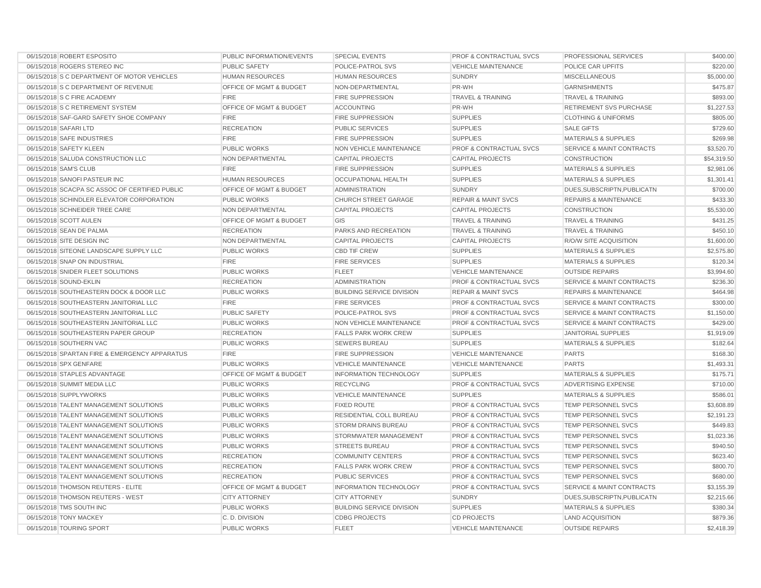| 06/15/2018 ROBERT ESPOSITO                     | PUBLIC INFORMATION/EVENTS          | <b>SPECIAL EVENTS</b>            | PROF & CONTRACTUAL SVCS            | PROFESSIONAL SERVICES                | \$400.00    |
|------------------------------------------------|------------------------------------|----------------------------------|------------------------------------|--------------------------------------|-------------|
| 06/15/2018 ROGERS STEREO INC                   | <b>PUBLIC SAFETY</b>               | POLICE-PATROL SVS                | <b>VEHICLE MAINTENANCE</b>         | POLICE CAR UPFITS                    | \$220.00    |
| 06/15/2018 S C DEPARTMENT OF MOTOR VEHICLES    | <b>HUMAN RESOURCES</b>             | <b>HUMAN RESOURCES</b>           | <b>SUNDRY</b>                      | <b>MISCELLANEOUS</b>                 | \$5,000.00  |
| 06/15/2018 S C DEPARTMENT OF REVENUE           | <b>OFFICE OF MGMT &amp; BUDGET</b> | NON-DEPARTMENTAL                 | PR-WH                              | <b>GARNISHMENTS</b>                  | \$475.87    |
| 06/15/2018 S C FIRE ACADEMY                    | <b>FIRE</b>                        | <b>FIRE SUPPRESSION</b>          | <b>TRAVEL &amp; TRAINING</b>       | <b>TRAVEL &amp; TRAINING</b>         | \$893.00    |
| 06/15/2018 S C RETIREMENT SYSTEM               | <b>OFFICE OF MGMT &amp; BUDGET</b> | <b>ACCOUNTING</b>                | PR-WH                              | <b>RETIREMENT SVS PURCHASE</b>       | \$1,227.53  |
| 06/15/2018 SAF-GARD SAFETY SHOE COMPANY        | <b>FIRE</b>                        | <b>FIRE SUPPRESSION</b>          | <b>SUPPLIES</b>                    | <b>CLOTHING &amp; UNIFORMS</b>       | \$805.00    |
| 06/15/2018 SAFARI LTD                          | <b>RECREATION</b>                  | <b>PUBLIC SERVICES</b>           | <b>SUPPLIES</b>                    | <b>SALE GIFTS</b>                    | \$729.60    |
| 06/15/2018 SAFE INDUSTRIES                     | <b>FIRE</b>                        | <b>FIRE SUPPRESSION</b>          | <b>SUPPLIES</b>                    | <b>MATERIALS &amp; SUPPLIES</b>      | \$269.98    |
| 06/15/2018 SAFETY KLEEN                        | <b>PUBLIC WORKS</b>                | <b>NON VEHICLE MAINTENANCE</b>   | <b>PROF &amp; CONTRACTUAL SVCS</b> | <b>SERVICE &amp; MAINT CONTRACTS</b> | \$3,520.70  |
| 06/15/2018 SALUDA CONSTRUCTION LLC             | NON DEPARTMENTAL                   | <b>CAPITAL PROJECTS</b>          | <b>CAPITAL PROJECTS</b>            | <b>CONSTRUCTION</b>                  | \$54,319.50 |
| 06/15/2018 SAM'S CLUB                          | <b>FIRE</b>                        | <b>FIRE SUPPRESSION</b>          | <b>SUPPLIES</b>                    | <b>MATERIALS &amp; SUPPLIES</b>      | \$2,981.06  |
| 06/15/2018 SANOFI PASTEUR INC                  | <b>HUMAN RESOURCES</b>             | <b>OCCUPATIONAL HEALTH</b>       | <b>SUPPLIES</b>                    | <b>MATERIALS &amp; SUPPLIES</b>      | \$1,301.41  |
| 06/15/2018 SCACPA SC ASSOC OF CERTIFIED PUBLIC | <b>OFFICE OF MGMT &amp; BUDGET</b> | <b>ADMINISTRATION</b>            | <b>SUNDRY</b>                      | DUES, SUBSCRIPTN, PUBLICATN          | \$700.00    |
| 06/15/2018 SCHINDLER ELEVATOR CORPORATION      | <b>PUBLIC WORKS</b>                | <b>CHURCH STREET GARAGE</b>      | <b>REPAIR &amp; MAINT SVCS</b>     | <b>REPAIRS &amp; MAINTENANCE</b>     | \$433.30    |
| 06/15/2018 SCHNEIDER TREE CARE                 | NON DEPARTMENTAL                   | <b>CAPITAL PROJECTS</b>          | <b>CAPITAL PROJECTS</b>            | <b>CONSTRUCTION</b>                  | \$5,530.00  |
| 06/15/2018 SCOTT AULEN                         | OFFICE OF MGMT & BUDGET            | GIS                              | <b>TRAVEL &amp; TRAINING</b>       | <b>TRAVEL &amp; TRAINING</b>         | \$431.25    |
| 06/15/2018 SEAN DE PALMA                       | <b>RECREATION</b>                  | PARKS AND RECREATION             | <b>TRAVEL &amp; TRAINING</b>       | <b>TRAVEL &amp; TRAINING</b>         | \$450.10    |
| 06/15/2018 SITE DESIGN INC                     | NON DEPARTMENTAL                   | <b>CAPITAL PROJECTS</b>          | <b>CAPITAL PROJECTS</b>            | R/O/W SITE ACQUISITION               | \$1,600.00  |
| 06/15/2018 SITEONE LANDSCAPE SUPPLY LLC        | <b>PUBLIC WORKS</b>                | <b>CBD TIF CREW</b>              | <b>SUPPLIES</b>                    | <b>MATERIALS &amp; SUPPLIES</b>      | \$2,575.80  |
| 06/15/2018 SNAP ON INDUSTRIAL                  | <b>FIRE</b>                        | <b>FIRE SERVICES</b>             | <b>SUPPLIES</b>                    | <b>MATERIALS &amp; SUPPLIES</b>      | \$120.34    |
| 06/15/2018 SNIDER FLEET SOLUTIONS              | PUBLIC WORKS                       | <b>FLEET</b>                     | <b>VEHICLE MAINTENANCE</b>         | <b>OUTSIDE REPAIRS</b>               | \$3,994.60  |
| 06/15/2018 SOUND-EKLIN                         | <b>RECREATION</b>                  | <b>ADMINISTRATION</b>            | <b>PROF &amp; CONTRACTUAL SVCS</b> | <b>SERVICE &amp; MAINT CONTRACTS</b> | \$236.30    |
| 06/15/2018 SOUTHEASTERN DOCK & DOOR LLC        | <b>PUBLIC WORKS</b>                | <b>BUILDING SERVICE DIVISION</b> | <b>REPAIR &amp; MAINT SVCS</b>     | <b>REPAIRS &amp; MAINTENANCE</b>     | \$464.98    |
| 06/15/2018 SOUTHEASTERN JANITORIAL LLC         | <b>FIRE</b>                        | <b>FIRE SERVICES</b>             | <b>PROF &amp; CONTRACTUAL SVCS</b> | <b>SERVICE &amp; MAINT CONTRACTS</b> | \$300.00    |
| 06/15/2018 SOUTHEASTERN JANITORIAL LLC         | <b>PUBLIC SAFETY</b>               | POLICE-PATROL SVS                | <b>PROF &amp; CONTRACTUAL SVCS</b> | <b>SERVICE &amp; MAINT CONTRACTS</b> | \$1,150.00  |
| 06/15/2018 SOUTHEASTERN JANITORIAL LLC         | <b>PUBLIC WORKS</b>                | <b>NON VEHICLE MAINTENANCE</b>   | <b>PROF &amp; CONTRACTUAL SVCS</b> | <b>SERVICE &amp; MAINT CONTRACTS</b> | \$429.00    |
| 06/15/2018 SOUTHEASTERN PAPER GROUP            | <b>RECREATION</b>                  | <b>FALLS PARK WORK CREW</b>      | <b>SUPPLIES</b>                    | <b>JANITORIAL SUPPLIES</b>           | \$1,919.09  |
| 06/15/2018 SOUTHERN VAC                        | <b>PUBLIC WORKS</b>                | <b>SEWERS BUREAU</b>             | <b>SUPPLIES</b>                    | <b>MATERIALS &amp; SUPPLIES</b>      | \$182.64    |
| 06/15/2018 SPARTAN FIRE & EMERGENCY APPARATUS  | <b>FIRE</b>                        | <b>FIRE SUPPRESSION</b>          | <b>VEHICLE MAINTENANCE</b>         | <b>PARTS</b>                         | \$168.30    |
| 06/15/2018 SPX GENFARE                         | <b>PUBLIC WORKS</b>                | <b>VEHICLE MAINTENANCE</b>       | <b>VEHICLE MAINTENANCE</b>         | <b>PARTS</b>                         | \$1,493.31  |
| 06/15/2018 STAPLES ADVANTAGE                   | OFFICE OF MGMT & BUDGET            | <b>INFORMATION TECHNOLOGY</b>    | <b>SUPPLIES</b>                    | MATERIALS & SUPPLIES                 | \$175.71    |
| 06/15/2018 SUMMIT MEDIA LLC                    | PUBLIC WORKS                       | <b>RECYCLING</b>                 | <b>PROF &amp; CONTRACTUAL SVCS</b> | ADVERTISING EXPENSE                  | \$710.00    |
| 06/15/2018 SUPPLYWORKS                         | <b>PUBLIC WORKS</b>                | <b>VEHICLE MAINTENANCE</b>       | <b>SUPPLIES</b>                    | <b>MATERIALS &amp; SUPPLIES</b>      | \$586.01    |
| 06/15/2018 TALENT MANAGEMENT SOLUTIONS         | PUBLIC WORKS                       | <b>FIXED ROUTE</b>               | PROF & CONTRACTUAL SVCS            | TEMP PERSONNEL SVCS                  | \$3,608.89  |
| 06/15/2018 TALENT MANAGEMENT SOLUTIONS         | <b>PUBLIC WORKS</b>                | RESIDENTIAL COLL BUREAU          | <b>PROF &amp; CONTRACTUAL SVCS</b> | TEMP PERSONNEL SVCS                  | \$2,191.23  |
| 06/15/2018 TALENT MANAGEMENT SOLUTIONS         | PUBLIC WORKS                       | <b>STORM DRAINS BUREAU</b>       | <b>PROF &amp; CONTRACTUAL SVCS</b> | TEMP PERSONNEL SVCS                  | \$449.83    |
| 06/15/2018 TALENT MANAGEMENT SOLUTIONS         | <b>PUBLIC WORKS</b>                | STORMWATER MANAGEMENT            | PROF & CONTRACTUAL SVCS            | <b>TEMP PERSONNEL SVCS</b>           | \$1,023.36  |
| 06/15/2018 TALENT MANAGEMENT SOLUTIONS         | <b>PUBLIC WORKS</b>                | <b>STREETS BUREAU</b>            | <b>PROF &amp; CONTRACTUAL SVCS</b> | <b>TEMP PERSONNEL SVCS</b>           | \$940.50    |
| 06/15/2018 TALENT MANAGEMENT SOLUTIONS         | <b>RECREATION</b>                  | <b>COMMUNITY CENTERS</b>         | <b>PROF &amp; CONTRACTUAL SVCS</b> | TEMP PERSONNEL SVCS                  | \$623.40    |
| 06/15/2018 TALENT MANAGEMENT SOLUTIONS         | <b>RECREATION</b>                  | <b>FALLS PARK WORK CREW</b>      | <b>PROF &amp; CONTRACTUAL SVCS</b> | TEMP PERSONNEL SVCS                  | \$800.70    |
| 06/15/2018 TALENT MANAGEMENT SOLUTIONS         | <b>RECREATION</b>                  | <b>PUBLIC SERVICES</b>           | PROF & CONTRACTUAL SVCS            | TEMP PERSONNEL SVCS                  | \$680.00    |
| 06/15/2018 THOMSON REUTERS - ELITE             | OFFICE OF MGMT & BUDGET            | <b>INFORMATION TECHNOLOGY</b>    | <b>PROF &amp; CONTRACTUAL SVCS</b> | <b>SERVICE &amp; MAINT CONTRACTS</b> | \$3,155.39  |
| 06/15/2018 THOMSON REUTERS - WEST              | <b>CITY ATTORNEY</b>               | <b>CITY ATTORNEY</b>             | <b>SUNDRY</b>                      | DUES, SUBSCRIPTN, PUBLICATN          | \$2,215.66  |
| 06/15/2018 TMS SOUTH INC                       | <b>PUBLIC WORKS</b>                | <b>BUILDING SERVICE DIVISION</b> | <b>SUPPLIES</b>                    | <b>MATERIALS &amp; SUPPLIES</b>      | \$380.34    |
| 06/15/2018 TONY MACKEY                         | C.D. DIVISION                      | <b>CDBG PROJECTS</b>             | <b>CD PROJECTS</b>                 | <b>LAND ACQUISITION</b>              | \$879.36    |
| 06/15/2018 TOURING SPORT                       | <b>PUBLIC WORKS</b>                | <b>FLEET</b>                     | <b>VEHICLE MAINTENANCE</b>         | <b>OUTSIDE REPAIRS</b>               | \$2,418.39  |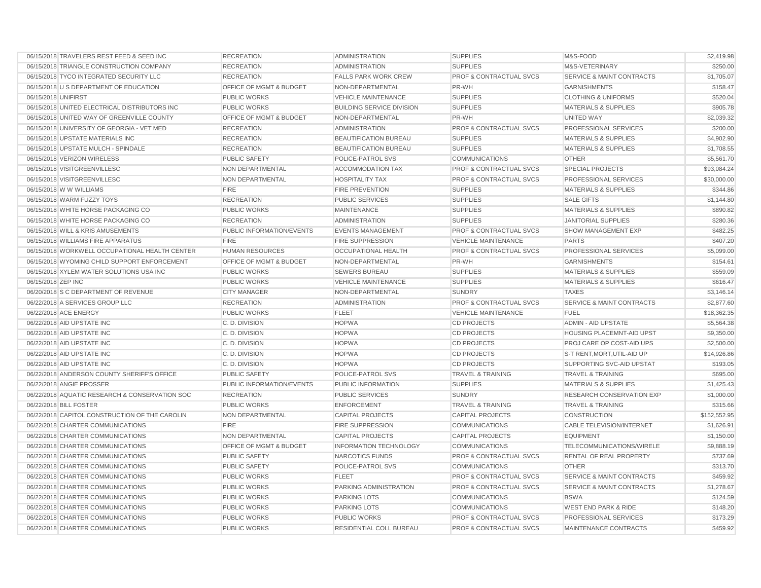| 06/15/2018 TRAVELERS REST FEED & SEED INC      | <b>RECREATION</b>                  | <b>ADMINISTRATION</b>            | <b>SUPPLIES</b>                    | M&S-FOOD                             | \$2,419.98   |
|------------------------------------------------|------------------------------------|----------------------------------|------------------------------------|--------------------------------------|--------------|
| 06/15/2018 TRIANGLE CONSTRUCTION COMPANY       | <b>RECREATION</b>                  | <b>ADMINISTRATION</b>            | <b>SUPPLIES</b>                    | M&S-VETERINARY                       | \$250.00     |
| 06/15/2018 TYCO INTEGRATED SECURITY LLC        | <b>RECREATION</b>                  | <b>FALLS PARK WORK CREW</b>      | <b>PROF &amp; CONTRACTUAL SVCS</b> | <b>SERVICE &amp; MAINT CONTRACTS</b> | \$1,705.07   |
| 06/15/2018 U S DEPARTMENT OF EDUCATION         | <b>OFFICE OF MGMT &amp; BUDGET</b> | NON-DEPARTMENTAL                 | PR-WH                              | <b>GARNISHMENTS</b>                  | \$158.47     |
| 06/15/2018 UNIFIRST                            | <b>PUBLIC WORKS</b>                | <b>VEHICLE MAINTENANCE</b>       | <b>SUPPLIES</b>                    | <b>CLOTHING &amp; UNIFORMS</b>       | \$520.04     |
| 06/15/2018 UNITED ELECTRICAL DISTRIBUTORS INC  | <b>PUBLIC WORKS</b>                | <b>BUILDING SERVICE DIVISION</b> | <b>SUPPLIES</b>                    | <b>MATERIALS &amp; SUPPLIES</b>      | \$905.78     |
| 06/15/2018 UNITED WAY OF GREENVILLE COUNTY     | <b>OFFICE OF MGMT &amp; BUDGET</b> | NON-DEPARTMENTAL                 | PR-WH                              | UNITED WAY                           | \$2,039.32   |
| 06/15/2018 UNIVERSITY OF GEORGIA - VET MED     | <b>RECREATION</b>                  | <b>ADMINISTRATION</b>            | <b>PROF &amp; CONTRACTUAL SVCS</b> | PROFESSIONAL SERVICES                | \$200.00     |
| 06/15/2018 UPSTATE MATERIALS INC               | <b>RECREATION</b>                  | <b>BEAUTIFICATION BUREAU</b>     | <b>SUPPLIES</b>                    | <b>MATERIALS &amp; SUPPLIES</b>      | \$4,902.90   |
| 06/15/2018 UPSTATE MULCH - SPINDALE            | <b>RECREATION</b>                  | <b>BEAUTIFICATION BUREAU</b>     | <b>SUPPLIES</b>                    | <b>MATERIALS &amp; SUPPLIES</b>      | \$1,708.55   |
| 06/15/2018 VERIZON WIRELESS                    | <b>PUBLIC SAFETY</b>               | POLICE-PATROL SVS                | <b>COMMUNICATIONS</b>              | <b>OTHER</b>                         | \$5,561.70   |
| 06/15/2018 VISITGREENVILLESC                   | NON DEPARTMENTAL                   | <b>ACCOMMODATION TAX</b>         | <b>PROF &amp; CONTRACTUAL SVCS</b> | <b>SPECIAL PROJECTS</b>              | \$93,084.24  |
| 06/15/2018 VISITGREENVILLESC                   | NON DEPARTMENTAL                   | <b>HOSPITALITY TAX</b>           | <b>PROF &amp; CONTRACTUAL SVCS</b> | PROFESSIONAL SERVICES                | \$30,000.00  |
| 06/15/2018 W W WILLIAMS                        | <b>FIRE</b>                        | <b>FIRE PREVENTION</b>           | <b>SUPPLIES</b>                    | <b>MATERIALS &amp; SUPPLIES</b>      | \$344.86     |
| 06/15/2018 WARM FUZZY TOYS                     | <b>RECREATION</b>                  | <b>PUBLIC SERVICES</b>           | <b>SUPPLIES</b>                    | <b>SALE GIFTS</b>                    | \$1,144.80   |
| 06/15/2018 WHITE HORSE PACKAGING CO            | <b>PUBLIC WORKS</b>                | <b>MAINTENANCE</b>               | <b>SUPPLIES</b>                    | <b>MATERIALS &amp; SUPPLIES</b>      | \$890.82     |
| 06/15/2018 WHITE HORSE PACKAGING CO            | <b>RECREATION</b>                  | <b>ADMINISTRATION</b>            | <b>SUPPLIES</b>                    | <b>JANITORIAL SUPPLIES</b>           | \$280.36     |
| 06/15/2018 WILL & KRIS AMUSEMENTS              | PUBLIC INFORMATION/EVENTS          | <b>EVENTS MANAGEMENT</b>         | <b>PROF &amp; CONTRACTUAL SVCS</b> | SHOW MANAGEMENT EXP                  | \$482.25     |
| 06/15/2018 WILLIAMS FIRE APPARATUS             | <b>FIRE</b>                        | <b>FIRE SUPPRESSION</b>          | <b>VEHICLE MAINTENANCE</b>         | <b>PARTS</b>                         | \$407.20     |
| 06/15/2018 WORKWELL OCCUPATIONAL HEALTH CENTER | <b>HUMAN RESOURCES</b>             | <b>OCCUPATIONAL HEALTH</b>       | PROF & CONTRACTUAL SVCS            | PROFESSIONAL SERVICES                | \$5,099.00   |
| 06/15/2018 WYOMING CHILD SUPPORT ENFORCEMENT   | <b>OFFICE OF MGMT &amp; BUDGET</b> | NON-DEPARTMENTAL                 | PR-WH                              | <b>GARNISHMENTS</b>                  | \$154.61     |
| 06/15/2018 XYLEM WATER SOLUTIONS USA INC       | <b>PUBLIC WORKS</b>                | <b>SEWERS BUREAU</b>             | <b>SUPPLIES</b>                    | <b>MATERIALS &amp; SUPPLIES</b>      | \$559.09     |
| 06/15/2018 ZEP INC                             | <b>PUBLIC WORKS</b>                | <b>VEHICLE MAINTENANCE</b>       | <b>SUPPLIES</b>                    | <b>MATERIALS &amp; SUPPLIES</b>      | \$616.47     |
| 06/20/2018 S C DEPARTMENT OF REVENUE           | <b>CITY MANAGER</b>                | NON-DEPARTMENTAL                 | <b>SUNDRY</b>                      | <b>TAXES</b>                         | \$3,146.14   |
| 06/22/2018 A SERVICES GROUP LLC                | <b>RECREATION</b>                  | <b>ADMINISTRATION</b>            | <b>PROF &amp; CONTRACTUAL SVCS</b> | <b>SERVICE &amp; MAINT CONTRACTS</b> | \$2,877.60   |
| 06/22/2018 ACE ENERGY                          | <b>PUBLIC WORKS</b>                | <b>FLEET</b>                     | <b>VEHICLE MAINTENANCE</b>         | <b>FUEL</b>                          | \$18,362.35  |
| 06/22/2018 AID UPSTATE INC                     | C.D. DIVISION                      | <b>HOPWA</b>                     | <b>CD PROJECTS</b>                 | <b>ADMIN - AID UPSTATE</b>           | \$5,564.38   |
| 06/22/2018 AID UPSTATE INC                     | C.D. DIVISION                      | <b>HOPWA</b>                     | <b>CD PROJECTS</b>                 | <b>HOUSING PLACEMNT-AID UPST</b>     | \$9,350.00   |
| 06/22/2018 AID UPSTATE INC                     | C.D. DIVISION                      | <b>HOPWA</b>                     | <b>CD PROJECTS</b>                 | PROJ CARE OP COST-AID UPS            | \$2,500.00   |
| 06/22/2018 AID UPSTATE INC                     | C.D. DIVISION                      | <b>HOPWA</b>                     | <b>CD PROJECTS</b>                 | S-T RENT, MORT, UTIL-AID UP          | \$14,926.86  |
| 06/22/2018 AID UPSTATE INC                     | C.D. DIVISION                      | <b>HOPWA</b>                     | <b>CD PROJECTS</b>                 | SUPPORTING SVC-AID UPSTAT            | \$193.05     |
| 06/22/2018 ANDERSON COUNTY SHERIFF'S OFFICE    | <b>PUBLIC SAFETY</b>               | POLICE-PATROL SVS                | <b>TRAVEL &amp; TRAINING</b>       | <b>TRAVEL &amp; TRAINING</b>         | \$695.00     |
| 06/22/2018 ANGIE PROSSER                       | PUBLIC INFORMATION/EVENTS          | PUBLIC INFORMATION               | <b>SUPPLIES</b>                    | <b>MATERIALS &amp; SUPPLIES</b>      | \$1,425.43   |
| 06/22/2018 AQUATIC RESEARCH & CONSERVATION SOC | <b>RECREATION</b>                  | <b>PUBLIC SERVICES</b>           | <b>SUNDRY</b>                      | <b>RESEARCH CONSERVATION EXP</b>     | \$1,000.00   |
| 06/22/2018 BILL FOSTER                         | <b>PUBLIC WORKS</b>                | <b>ENFORCEMENT</b>               | <b>TRAVEL &amp; TRAINING</b>       | <b>TRAVEL &amp; TRAINING</b>         | \$315.66     |
| 06/22/2018 CAPITOL CONSTRUCTION OF THE CAROLIN | NON DEPARTMENTAL                   | <b>CAPITAL PROJECTS</b>          | <b>CAPITAL PROJECTS</b>            | <b>CONSTRUCTION</b>                  | \$152,552.95 |
| 06/22/2018 CHARTER COMMUNICATIONS              | <b>FIRE</b>                        | <b>FIRE SUPPRESSION</b>          | <b>COMMUNICATIONS</b>              | <b>CABLE TELEVISION/INTERNET</b>     | \$1,626.91   |
| 06/22/2018 CHARTER COMMUNICATIONS              | NON DEPARTMENTAL                   | <b>CAPITAL PROJECTS</b>          | <b>CAPITAL PROJECTS</b>            | <b>EQUIPMENT</b>                     | \$1,150.00   |
| 06/22/2018 CHARTER COMMUNICATIONS              | <b>OFFICE OF MGMT &amp; BUDGET</b> | <b>INFORMATION TECHNOLOGY</b>    | <b>COMMUNICATIONS</b>              | TELECOMMUNICATIONS/WIRELE            | \$9,888.19   |
| 06/22/2018 CHARTER COMMUNICATIONS              | <b>PUBLIC SAFETY</b>               | NARCOTICS FUNDS                  | <b>PROF &amp; CONTRACTUAL SVCS</b> | <b>RENTAL OF REAL PROPERTY</b>       | \$737.69     |
| 06/22/2018 CHARTER COMMUNICATIONS              | <b>PUBLIC SAFETY</b>               | POLICE-PATROL SVS                | <b>COMMUNICATIONS</b>              | <b>OTHER</b>                         | \$313.70     |
| 06/22/2018 CHARTER COMMUNICATIONS              | <b>PUBLIC WORKS</b>                | <b>FLEET</b>                     | <b>PROF &amp; CONTRACTUAL SVCS</b> | <b>SERVICE &amp; MAINT CONTRACTS</b> | \$459.92     |
| 06/22/2018 CHARTER COMMUNICATIONS              | <b>PUBLIC WORKS</b>                | PARKING ADMINISTRATION           | <b>PROF &amp; CONTRACTUAL SVCS</b> | <b>SERVICE &amp; MAINT CONTRACTS</b> | \$1,278.67   |
| 06/22/2018 CHARTER COMMUNICATIONS              | <b>PUBLIC WORKS</b>                | <b>PARKING LOTS</b>              | <b>COMMUNICATIONS</b>              | <b>BSWA</b>                          | \$124.59     |
| 06/22/2018 CHARTER COMMUNICATIONS              | <b>PUBLIC WORKS</b>                | <b>PARKING LOTS</b>              | <b>COMMUNICATIONS</b>              | <b>WEST END PARK &amp; RIDE</b>      | \$148.20     |
| 06/22/2018 CHARTER COMMUNICATIONS              | <b>PUBLIC WORKS</b>                | PUBLIC WORKS                     | <b>PROF &amp; CONTRACTUAL SVCS</b> | PROFESSIONAL SERVICES                | \$173.29     |
| 06/22/2018 CHARTER COMMUNICATIONS              | <b>PUBLIC WORKS</b>                | RESIDENTIAL COLL BUREAU          | PROF & CONTRACTUAL SVCS            | MAINTENANCE CONTRACTS                | \$459.92     |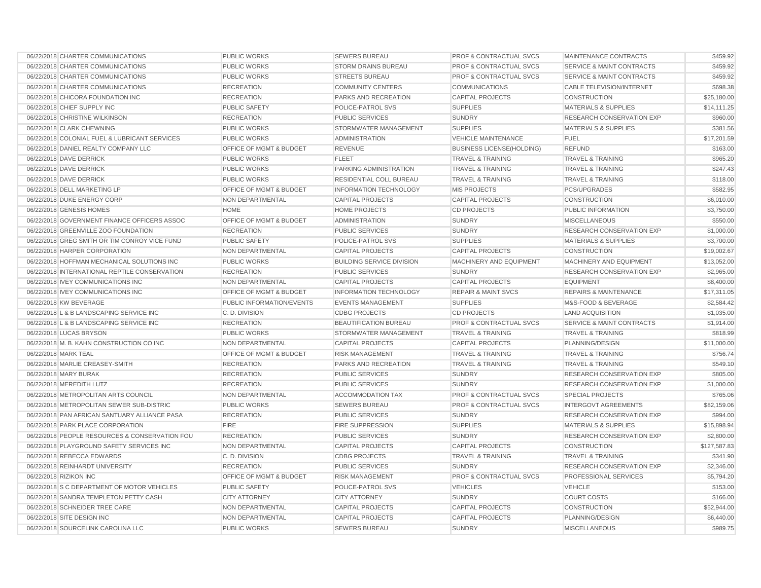| 06/22/2018 CHARTER COMMUNICATIONS              | PUBLIC WORKS                       | <b>SEWERS BUREAU</b>             | <b>PROF &amp; CONTRACTUAL SVCS</b> | MAINTENANCE CONTRACTS                | \$459.92     |
|------------------------------------------------|------------------------------------|----------------------------------|------------------------------------|--------------------------------------|--------------|
| 06/22/2018 CHARTER COMMUNICATIONS              | <b>PUBLIC WORKS</b>                | <b>STORM DRAINS BUREAU</b>       | <b>PROF &amp; CONTRACTUAL SVCS</b> | <b>SERVICE &amp; MAINT CONTRACTS</b> | \$459.92     |
| 06/22/2018 CHARTER COMMUNICATIONS              | <b>PUBLIC WORKS</b>                | <b>STREETS BUREAU</b>            | <b>PROF &amp; CONTRACTUAL SVCS</b> | <b>SERVICE &amp; MAINT CONTRACTS</b> | \$459.92     |
| 06/22/2018 CHARTER COMMUNICATIONS              | <b>RECREATION</b>                  | <b>COMMUNITY CENTERS</b>         | <b>COMMUNICATIONS</b>              | CABLE TELEVISION/INTERNET            | \$698.38     |
| 06/22/2018 CHICORA FOUNDATION INC              | <b>RECREATION</b>                  | PARKS AND RECREATION             | <b>CAPITAL PROJECTS</b>            | <b>CONSTRUCTION</b>                  | \$25,180.00  |
| 06/22/2018 CHIEF SUPPLY INC                    | <b>PUBLIC SAFETY</b>               | POLICE-PATROL SVS                | <b>SUPPLIES</b>                    | <b>MATERIALS &amp; SUPPLIES</b>      | \$14,111.25  |
| 06/22/2018 CHRISTINE WILKINSON                 | <b>RECREATION</b>                  | PUBLIC SERVICES                  | <b>SUNDRY</b>                      | RESEARCH CONSERVATION EXP            | \$960.00     |
| 06/22/2018 CLARK CHEWNING                      | <b>PUBLIC WORKS</b>                | STORMWATER MANAGEMENT            | <b>SUPPLIES</b>                    | MATERIALS & SUPPLIES                 | \$381.56     |
| 06/22/2018 COLONIAL FUEL & LUBRICANT SERVICES  | <b>PUBLIC WORKS</b>                | <b>ADMINISTRATION</b>            | VEHICLE MAINTENANCE                | <b>FUEL</b>                          | \$17,201.59  |
| 06/22/2018 DANIEL REALTY COMPANY LLC           | OFFICE OF MGMT & BUDGET            | REVENUE                          | <b>BUSINESS LICENSE(HOLDING)</b>   | <b>REFUND</b>                        | \$163.00     |
| 06/22/2018 DAVE DERRICK                        | <b>PUBLIC WORKS</b>                | <b>FLEET</b>                     | <b>TRAVEL &amp; TRAINING</b>       | <b>TRAVEL &amp; TRAINING</b>         | \$965.20     |
| 06/22/2018 DAVE DERRICK                        | <b>PUBLIC WORKS</b>                | PARKING ADMINISTRATION           | <b>TRAVEL &amp; TRAINING</b>       | <b>TRAVEL &amp; TRAINING</b>         | \$247.43     |
| 06/22/2018 DAVE DERRICK                        | <b>PUBLIC WORKS</b>                | RESIDENTIAL COLL BUREAU          | <b>TRAVEL &amp; TRAINING</b>       | <b>TRAVEL &amp; TRAINING</b>         | \$118.00     |
| 06/22/2018 DELL MARKETING LP                   | OFFICE OF MGMT & BUDGET            | <b>INFORMATION TECHNOLOGY</b>    | <b>MIS PROJECTS</b>                | PCS/UPGRADES                         | \$582.95     |
| 06/22/2018 DUKE ENERGY CORP                    | NON DEPARTMENTAL                   | <b>CAPITAL PROJECTS</b>          | <b>CAPITAL PROJECTS</b>            | <b>CONSTRUCTION</b>                  | \$6,010.00   |
| 06/22/2018 GENESIS HOMES                       | <b>HOME</b>                        | <b>HOME PROJECTS</b>             | <b>CD PROJECTS</b>                 | PUBLIC INFORMATION                   | \$3,750.00   |
| 06/22/2018 GOVERNMENT FINANCE OFFICERS ASSOC   | OFFICE OF MGMT & BUDGET            | <b>ADMINISTRATION</b>            | <b>SUNDRY</b>                      | <b>MISCELLANEOUS</b>                 | \$550.00     |
| 06/22/2018 GREENVILLE ZOO FOUNDATION           | <b>RECREATION</b>                  | <b>PUBLIC SERVICES</b>           | <b>SUNDRY</b>                      | RESEARCH CONSERVATION EXP            | \$1,000.00   |
| 06/22/2018 GREG SMITH OR TIM CONROY VICE FUND  | <b>PUBLIC SAFETY</b>               | POLICE-PATROL SVS                | <b>SUPPLIES</b>                    | <b>MATERIALS &amp; SUPPLIES</b>      | \$3,700.00   |
| 06/22/2018 HARPER CORPORATION                  | NON DEPARTMENTAL                   | <b>CAPITAL PROJECTS</b>          | <b>CAPITAL PROJECTS</b>            | <b>CONSTRUCTION</b>                  | \$19,002.67  |
| 06/22/2018 HOFFMAN MECHANICAL SOLUTIONS INC    | <b>PUBLIC WORKS</b>                | <b>BUILDING SERVICE DIVISION</b> | MACHINERY AND EQUIPMENT            | MACHINERY AND EQUIPMENT              | \$13,052.00  |
| 06/22/2018 INTERNATIONAL REPTILE CONSERVATION  | <b>RECREATION</b>                  | <b>PUBLIC SERVICES</b>           | <b>SUNDRY</b>                      | RESEARCH CONSERVATION EXP            | \$2,965.00   |
| 06/22/2018 IVEY COMMUNICATIONS INC             | NON DEPARTMENTAL                   | <b>CAPITAL PROJECTS</b>          | <b>CAPITAL PROJECTS</b>            | <b>EQUIPMENT</b>                     | \$8,400.00   |
| 06/22/2018 IVEY COMMUNICATIONS INC             | OFFICE OF MGMT & BUDGET            | <b>INFORMATION TECHNOLOGY</b>    | <b>REPAIR &amp; MAINT SVCS</b>     | <b>REPAIRS &amp; MAINTENANCE</b>     | \$17,311.05  |
| 06/22/2018 KW BEVERAGE                         | PUBLIC INFORMATION/EVENTS          | <b>EVENTS MANAGEMENT</b>         | <b>SUPPLIES</b>                    | M&S-FOOD & BEVERAGE                  | \$2,584.42   |
| 06/22/2018 L & B LANDSCAPING SERVICE INC       | C.D. DIVISION                      | <b>CDBG PROJECTS</b>             | <b>CD PROJECTS</b>                 | <b>LAND ACQUISITION</b>              | \$1,035.00   |
| 06/22/2018 L & B LANDSCAPING SERVICE INC       | <b>RECREATION</b>                  | BEAUTIFICATION BUREAU            | <b>PROF &amp; CONTRACTUAL SVCS</b> | <b>SERVICE &amp; MAINT CONTRACTS</b> | \$1,914.00   |
| 06/22/2018 LUCAS BRYSON                        | PUBLIC WORKS                       | STORMWATER MANAGEMENT            | <b>TRAVEL &amp; TRAINING</b>       | <b>TRAVEL &amp; TRAINING</b>         | \$818.99     |
| 06/22/2018 M. B. KAHN CONSTRUCTION CO INC      | NON DEPARTMENTAL                   | <b>CAPITAL PROJECTS</b>          | <b>CAPITAL PROJECTS</b>            | PLANNING/DESIGN                      | \$11,000.00  |
| 06/22/2018 MARK TEAL                           | OFFICE OF MGMT & BUDGET            | <b>RISK MANAGEMENT</b>           | <b>TRAVEL &amp; TRAINING</b>       | <b>TRAVEL &amp; TRAINING</b>         | \$756.74     |
| 06/22/2018 MARLIE CREASEY-SMITH                | <b>RECREATION</b>                  | PARKS AND RECREATION             | <b>TRAVEL &amp; TRAINING</b>       | <b>TRAVEL &amp; TRAINING</b>         | \$549.10     |
| 06/22/2018 MARY BURAK                          | <b>RECREATION</b>                  | <b>PUBLIC SERVICES</b>           | <b>SUNDRY</b>                      | <b>RESEARCH CONSERVATION EXP</b>     | \$805.00     |
| 06/22/2018 MEREDITH LUTZ                       | <b>RECREATION</b>                  | <b>PUBLIC SERVICES</b>           | <b>SUNDRY</b>                      | RESEARCH CONSERVATION EXP            | \$1,000.00   |
| 06/22/2018 METROPOLITAN ARTS COUNCIL           | NON DEPARTMENTAL                   | <b>ACCOMMODATION TAX</b>         | <b>PROF &amp; CONTRACTUAL SVCS</b> | <b>SPECIAL PROJECTS</b>              | \$765.06     |
| 06/22/2018 METROPOLITAN SEWER SUB-DISTRIC      | <b>PUBLIC WORKS</b>                | <b>SEWERS BUREAU</b>             | <b>PROF &amp; CONTRACTUAL SVCS</b> | <b>INTERGOVT AGREEMENTS</b>          | \$82,159.06  |
| 06/22/2018 PAN AFRICAN SANTUARY ALLIANCE PASA  | <b>RECREATION</b>                  | <b>PUBLIC SERVICES</b>           | <b>SUNDRY</b>                      | <b>RESEARCH CONSERVATION EXP</b>     | \$994.00     |
| 06/22/2018 PARK PLACE CORPORATION              | <b>FIRE</b>                        | <b>FIRE SUPPRESSION</b>          | <b>SUPPLIES</b>                    | <b>MATERIALS &amp; SUPPLIES</b>      | \$15,898.94  |
| 06/22/2018 PEOPLE RESOURCES & CONSERVATION FOU | <b>RECREATION</b>                  | <b>PUBLIC SERVICES</b>           | <b>SUNDRY</b>                      | RESEARCH CONSERVATION EXP            | \$2,800.00   |
| 06/22/2018 PLAYGROUND SAFETY SERVICES INC      | NON DEPARTMENTAL                   | <b>CAPITAL PROJECTS</b>          | <b>CAPITAL PROJECTS</b>            | <b>CONSTRUCTION</b>                  | \$127,587.83 |
| 06/22/2018 REBECCA EDWARDS                     | C.D. DIVISION                      | <b>CDBG PROJECTS</b>             | <b>TRAVEL &amp; TRAINING</b>       | <b>TRAVEL &amp; TRAINING</b>         | \$341.90     |
| 06/22/2018 REINHARDT UNIVERSITY                | <b>RECREATION</b>                  | <b>PUBLIC SERVICES</b>           | <b>SUNDRY</b>                      | <b>RESEARCH CONSERVATION EXP</b>     | \$2,346.00   |
| 06/22/2018 RIZIKON INC                         | <b>OFFICE OF MGMT &amp; BUDGET</b> | <b>RISK MANAGEMENT</b>           | <b>PROF &amp; CONTRACTUAL SVCS</b> | PROFESSIONAL SERVICES                | \$5,794.20   |
| 06/22/2018 S C DEPARTMENT OF MOTOR VEHICLES    | <b>PUBLIC SAFETY</b>               | POLICE-PATROL SVS                | <b>VEHICLES</b>                    | <b>VEHICLE</b>                       | \$153.00     |
| 06/22/2018 SANDRA TEMPLETON PETTY CASH         | <b>CITY ATTORNEY</b>               | <b>CITY ATTORNEY</b>             | <b>SUNDRY</b>                      | <b>COURT COSTS</b>                   | \$166.00     |
| 06/22/2018 SCHNEIDER TREE CARE                 | <b>NON DEPARTMENTAL</b>            | <b>CAPITAL PROJECTS</b>          | <b>CAPITAL PROJECTS</b>            | <b>CONSTRUCTION</b>                  | \$52,944.00  |
| 06/22/2018 SITE DESIGN INC                     | NON DEPARTMENTAL                   | <b>CAPITAL PROJECTS</b>          | <b>CAPITAL PROJECTS</b>            | PLANNING/DESIGN                      | \$6,440.00   |
| 06/22/2018 SOURCELINK CAROLINA LLC             | PUBLIC WORKS                       | <b>SEWERS BUREAU</b>             | <b>SUNDRY</b>                      | <b>MISCELLANEOUS</b>                 | \$989.75     |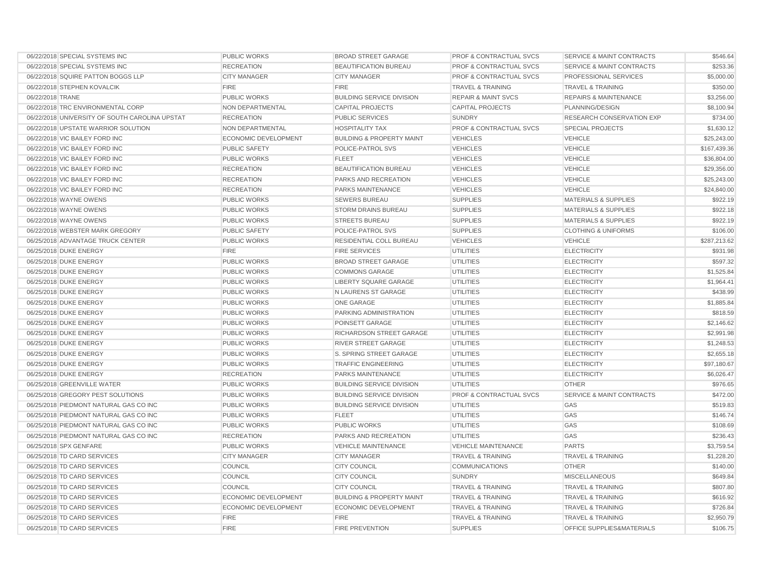| 06/22/2018 SPECIAL SYSTEMS INC                 | PUBLIC WORKS         | <b>BROAD STREET GARAGE</b>           | <b>PROF &amp; CONTRACTUAL SVCS</b> | <b>SERVICE &amp; MAINT CONTRACTS</b> | \$546.64     |
|------------------------------------------------|----------------------|--------------------------------------|------------------------------------|--------------------------------------|--------------|
| 06/22/2018 SPECIAL SYSTEMS INC                 | <b>RECREATION</b>    | <b>BEAUTIFICATION BUREAU</b>         | PROF & CONTRACTUAL SVCS            | <b>SERVICE &amp; MAINT CONTRACTS</b> | \$253.36     |
| 06/22/2018 SQUIRE PATTON BOGGS LLP             | <b>CITY MANAGER</b>  | <b>CITY MANAGER</b>                  | <b>PROF &amp; CONTRACTUAL SVCS</b> | PROFESSIONAL SERVICES                | \$5,000.00   |
| 06/22/2018 STEPHEN KOVALCIK                    | <b>FIRE</b>          | <b>FIRE</b>                          | <b>TRAVEL &amp; TRAINING</b>       | <b>TRAVEL &amp; TRAINING</b>         | \$350.00     |
| 06/22/2018 TRANE                               | <b>PUBLIC WORKS</b>  | <b>BUILDING SERVICE DIVISION</b>     | <b>REPAIR &amp; MAINT SVCS</b>     | <b>REPAIRS &amp; MAINTENANCE</b>     | \$3,256.00   |
| 06/22/2018 TRC ENVIRONMENTAL CORP              | NON DEPARTMENTAL     | <b>CAPITAL PROJECTS</b>              | <b>CAPITAL PROJECTS</b>            | PLANNING/DESIGN                      | \$8,100.94   |
| 06/22/2018 UNIVERSITY OF SOUTH CAROLINA UPSTAT | <b>RECREATION</b>    | PUBLIC SERVICES                      | <b>SUNDRY</b>                      | RESEARCH CONSERVATION EXP            | \$734.00     |
| 06/22/2018 UPSTATE WARRIOR SOLUTION            | NON DEPARTMENTAL     | <b>HOSPITALITY TAX</b>               | PROF & CONTRACTUAL SVCS            | <b>SPECIAL PROJECTS</b>              | \$1,630.12   |
| 06/22/2018 VIC BAILEY FORD INC                 | ECONOMIC DEVELOPMENT | <b>BUILDING &amp; PROPERTY MAINT</b> | <b>VEHICLES</b>                    | <b>VEHICLE</b>                       | \$25,243.00  |
| 06/22/2018 VIC BAILEY FORD INC                 | <b>PUBLIC SAFETY</b> | POLICE-PATROL SVS                    | <b>VEHICLES</b>                    | <b>VEHICLE</b>                       | \$167,439.36 |
| 06/22/2018 VIC BAILEY FORD INC                 | <b>PUBLIC WORKS</b>  | <b>FLEET</b>                         | <b>VEHICLES</b>                    | <b>VEHICLE</b>                       | \$36,804.00  |
| 06/22/2018 VIC BAILEY FORD INC                 | <b>RECREATION</b>    | BEAUTIFICATION BUREAU                | <b>VEHICLES</b>                    | <b>VEHICLE</b>                       | \$29,356.00  |
| 06/22/2018 VIC BAILEY FORD INC                 | <b>RECREATION</b>    | PARKS AND RECREATION                 | <b>VEHICLES</b>                    | <b>VEHICLE</b>                       | \$25,243.00  |
| 06/22/2018 VIC BAILEY FORD INC                 | <b>RECREATION</b>    | PARKS MAINTENANCE                    | <b>VEHICLES</b>                    | <b>VEHICLE</b>                       | \$24,840.00  |
| 06/22/2018 WAYNE OWENS                         | PUBLIC WORKS         | <b>SEWERS BUREAU</b>                 | <b>SUPPLIES</b>                    | <b>MATERIALS &amp; SUPPLIES</b>      | \$922.19     |
| 06/22/2018 WAYNE OWENS                         | <b>PUBLIC WORKS</b>  | <b>STORM DRAINS BUREAU</b>           | <b>SUPPLIES</b>                    | <b>MATERIALS &amp; SUPPLIES</b>      | \$922.18     |
| 06/22/2018 WAYNE OWENS                         | PUBLIC WORKS         | <b>STREETS BUREAU</b>                | <b>SUPPLIES</b>                    | <b>MATERIALS &amp; SUPPLIES</b>      | \$922.19     |
| 06/22/2018 WEBSTER MARK GREGORY                | <b>PUBLIC SAFETY</b> | POLICE-PATROL SVS                    | <b>SUPPLIES</b>                    | <b>CLOTHING &amp; UNIFORMS</b>       | \$106.00     |
| 06/25/2018 ADVANTAGE TRUCK CENTER              | PUBLIC WORKS         | RESIDENTIAL COLL BUREAU              | <b>VEHICLES</b>                    | <b>VEHICLE</b>                       | \$287,213.62 |
| 06/25/2018 DUKE ENERGY                         | <b>FIRE</b>          | <b>FIRE SERVICES</b>                 | <b>UTILITIES</b>                   | <b>ELECTRICITY</b>                   | \$931.98     |
| 06/25/2018 DUKE ENERGY                         | PUBLIC WORKS         | <b>BROAD STREET GARAGE</b>           | <b>UTILITIES</b>                   | <b>ELECTRICITY</b>                   | \$597.32     |
| 06/25/2018 DUKE ENERGY                         | <b>PUBLIC WORKS</b>  | <b>COMMONS GARAGE</b>                | <b>UTILITIES</b>                   | <b>ELECTRICITY</b>                   | \$1,525.84   |
| 06/25/2018 DUKE ENERGY                         | PUBLIC WORKS         | <b>LIBERTY SQUARE GARAGE</b>         | <b>UTILITIES</b>                   | <b>ELECTRICITY</b>                   | \$1,964.41   |
| 06/25/2018 DUKE ENERGY                         | <b>PUBLIC WORKS</b>  | N LAURENS ST GARAGE                  | <b>UTILITIES</b>                   | <b>ELECTRICITY</b>                   | \$438.99     |
| 06/25/2018 DUKE ENERGY                         | PUBLIC WORKS         | <b>ONE GARAGE</b>                    | <b>UTILITIES</b>                   | <b>ELECTRICITY</b>                   | \$1,885.84   |
| 06/25/2018 DUKE ENERGY                         | <b>PUBLIC WORKS</b>  | PARKING ADMINISTRATION               | <b>UTILITIES</b>                   | <b>ELECTRICITY</b>                   | \$818.59     |
| 06/25/2018 DUKE ENERGY                         | <b>PUBLIC WORKS</b>  | POINSETT GARAGE                      | <b>UTILITIES</b>                   | <b>ELECTRICITY</b>                   | \$2,146.62   |
| 06/25/2018 DUKE ENERGY                         | PUBLIC WORKS         | RICHARDSON STREET GARAGE             | <b>UTILITIES</b>                   | <b>ELECTRICITY</b>                   | \$2,991.98   |
| 06/25/2018 DUKE ENERGY                         | <b>PUBLIC WORKS</b>  | <b>RIVER STREET GARAGE</b>           | <b>UTILITIES</b>                   | <b>ELECTRICITY</b>                   | \$1,248.53   |
| 06/25/2018 DUKE ENERGY                         | PUBLIC WORKS         | S. SPRING STREET GARAGE              | <b>UTILITIES</b>                   | <b>ELECTRICITY</b>                   | \$2,655.18   |
| 06/25/2018 DUKE ENERGY                         | PUBLIC WORKS         | <b>TRAFFIC ENGINEERING</b>           | <b>UTILITIES</b>                   | <b>ELECTRICITY</b>                   | \$97,180.67  |
| 06/25/2018 DUKE ENERGY                         | <b>RECREATION</b>    | PARKS MAINTENANCE                    | <b>UTILITIES</b>                   | <b>ELECTRICITY</b>                   | \$6,026.47   |
| 06/25/2018 GREENVILLE WATER                    | PUBLIC WORKS         | <b>BUILDING SERVICE DIVISION</b>     | <b>UTILITIES</b>                   | <b>OTHER</b>                         | \$976.65     |
| 06/25/2018 GREGORY PEST SOLUTIONS              | <b>PUBLIC WORKS</b>  | <b>BUILDING SERVICE DIVISION</b>     | <b>PROF &amp; CONTRACTUAL SVCS</b> | <b>SERVICE &amp; MAINT CONTRACTS</b> | \$472.00     |
| 06/25/2018 PIEDMONT NATURAL GAS CO INC         | <b>PUBLIC WORKS</b>  | <b>BUILDING SERVICE DIVISION</b>     | <b>UTILITIES</b>                   | GAS                                  | \$519.83     |
| 06/25/2018 PIEDMONT NATURAL GAS CO INC         | PUBLIC WORKS         | <b>FLEET</b>                         | <b>UTILITIES</b>                   | GAS                                  | \$146.74     |
| 06/25/2018 PIEDMONT NATURAL GAS CO INC         | <b>PUBLIC WORKS</b>  | PUBLIC WORKS                         | <b>UTILITIES</b>                   | GAS                                  | \$108.69     |
| 06/25/2018 PIEDMONT NATURAL GAS CO INC         | <b>RECREATION</b>    | PARKS AND RECREATION                 | <b>UTILITIES</b>                   | GAS                                  | \$236.43     |
| 06/25/2018 SPX GENFARE                         | PUBLIC WORKS         | <b>VEHICLE MAINTENANCE</b>           | <b>VEHICLE MAINTENANCE</b>         | <b>PARTS</b>                         | \$3,759.54   |
| 06/25/2018 TD CARD SERVICES                    | <b>CITY MANAGER</b>  | <b>CITY MANAGER</b>                  | <b>TRAVEL &amp; TRAINING</b>       | <b>TRAVEL &amp; TRAINING</b>         | \$1,228.20   |
| 06/25/2018 TD CARD SERVICES                    | COUNCIL              | <b>CITY COUNCIL</b>                  | <b>COMMUNICATIONS</b>              | <b>OTHER</b>                         | \$140.00     |
| 06/25/2018 TD CARD SERVICES                    | COUNCIL              | <b>CITY COUNCIL</b>                  | <b>SUNDRY</b>                      | <b>MISCELLANEOUS</b>                 | \$649.84     |
| 06/25/2018 TD CARD SERVICES                    | COUNCIL              | <b>CITY COUNCIL</b>                  | <b>TRAVEL &amp; TRAINING</b>       | <b>TRAVEL &amp; TRAINING</b>         | \$807.80     |
| 06/25/2018 TD CARD SERVICES                    | ECONOMIC DEVELOPMENT | <b>BUILDING &amp; PROPERTY MAINT</b> | <b>TRAVEL &amp; TRAINING</b>       | <b>TRAVEL &amp; TRAINING</b>         | \$616.92     |
| 06/25/2018 TD CARD SERVICES                    | ECONOMIC DEVELOPMENT | <b>ECONOMIC DEVELOPMENT</b>          | <b>TRAVEL &amp; TRAINING</b>       | <b>TRAVEL &amp; TRAINING</b>         | \$726.84     |
| 06/25/2018 TD CARD SERVICES                    | <b>FIRE</b>          | <b>FIRE</b>                          | <b>TRAVEL &amp; TRAINING</b>       | <b>TRAVEL &amp; TRAINING</b>         | \$2,950.79   |
| 06/25/2018 TD CARD SERVICES                    | <b>FIRE</b>          | <b>FIRE PREVENTION</b>               | <b>SUPPLIES</b>                    | OFFICE SUPPLIES&MATERIALS            | \$106.75     |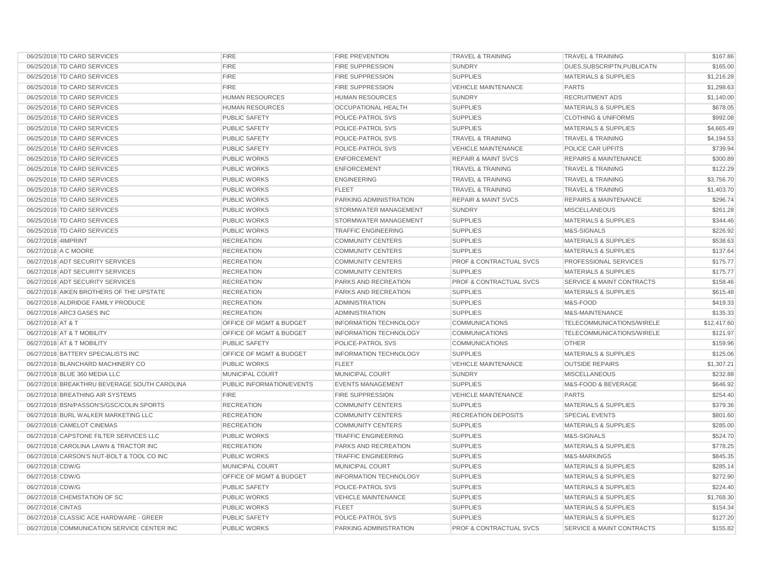| 06/25/2018 TD CARD SERVICES                  | <b>FIRE</b>                        | <b>FIRE PREVENTION</b>        | <b>TRAVEL &amp; TRAINING</b>       | <b>TRAVEL &amp; TRAINING</b>         | \$167.86    |
|----------------------------------------------|------------------------------------|-------------------------------|------------------------------------|--------------------------------------|-------------|
| 06/25/2018 TD CARD SERVICES                  | <b>FIRE</b>                        | <b>FIRE SUPPRESSION</b>       | <b>SUNDRY</b>                      | DUES, SUBSCRIPTN, PUBLICATN          | \$165.00    |
| 06/25/2018 TD CARD SERVICES                  | <b>FIRE</b>                        | <b>FIRE SUPPRESSION</b>       | <b>SUPPLIES</b>                    | <b>MATERIALS &amp; SUPPLIES</b>      | \$1,216.28  |
| 06/25/2018 TD CARD SERVICES                  | <b>FIRE</b>                        | <b>FIRE SUPPRESSION</b>       | <b>VEHICLE MAINTENANCE</b>         | <b>PARTS</b>                         | \$1,298.63  |
| 06/25/2018 TD CARD SERVICES                  | <b>HUMAN RESOURCES</b>             | <b>HUMAN RESOURCES</b>        | <b>SUNDRY</b>                      | <b>RECRUITMENT ADS</b>               | \$1,140.00  |
|                                              |                                    | <b>OCCUPATIONAL HEALTH</b>    |                                    |                                      |             |
| 06/25/2018 TD CARD SERVICES                  | HUMAN RESOURCES                    |                               | <b>SUPPLIES</b>                    | <b>MATERIALS &amp; SUPPLIES</b>      | \$678.05    |
| 06/25/2018 TD CARD SERVICES                  | PUBLIC SAFETY                      | POLICE-PATROL SVS             | <b>SUPPLIES</b>                    | <b>CLOTHING &amp; UNIFORMS</b>       | \$992.08    |
| 06/25/2018 TD CARD SERVICES                  | <b>PUBLIC SAFETY</b>               | POLICE-PATROL SVS             | <b>SUPPLIES</b>                    | <b>MATERIALS &amp; SUPPLIES</b>      | \$4,665.49  |
| 06/25/2018 TD CARD SERVICES                  | PUBLIC SAFETY                      | POLICE-PATROL SVS             | <b>TRAVEL &amp; TRAINING</b>       | <b>TRAVEL &amp; TRAINING</b>         | \$4,194.53  |
| 06/25/2018 TD CARD SERVICES                  | <b>PUBLIC SAFETY</b>               | POLICE-PATROL SVS             | <b>VEHICLE MAINTENANCE</b>         | POLICE CAR UPFITS                    | \$739.94    |
| 06/25/2018 TD CARD SERVICES                  | PUBLIC WORKS                       | <b>ENFORCEMENT</b>            | <b>REPAIR &amp; MAINT SVCS</b>     | <b>REPAIRS &amp; MAINTENANCE</b>     | \$300.89    |
| 06/25/2018 TD CARD SERVICES                  | PUBLIC WORKS                       | <b>ENFORCEMENT</b>            | <b>TRAVEL &amp; TRAINING</b>       | <b>TRAVEL &amp; TRAINING</b>         | \$122.29    |
| 06/25/2018 TD CARD SERVICES                  | PUBLIC WORKS                       | <b>ENGINEERING</b>            | <b>TRAVEL &amp; TRAINING</b>       | <b>TRAVEL &amp; TRAINING</b>         | \$3,756.70  |
| 06/25/2018 TD CARD SERVICES                  | PUBLIC WORKS                       | <b>FLEET</b>                  | <b>TRAVEL &amp; TRAINING</b>       | <b>TRAVEL &amp; TRAINING</b>         | \$1,403.70  |
| 06/25/2018 TD CARD SERVICES                  | <b>PUBLIC WORKS</b>                | PARKING ADMINISTRATION        | <b>REPAIR &amp; MAINT SVCS</b>     | REPAIRS & MAINTENANCE                | \$296.74    |
| 06/25/2018 TD CARD SERVICES                  | PUBLIC WORKS                       | STORMWATER MANAGEMENT         | <b>SUNDRY</b>                      | <b>MISCELLANEOUS</b>                 | \$261.28    |
| 06/25/2018 TD CARD SERVICES                  | PUBLIC WORKS                       | STORMWATER MANAGEMENT         | <b>SUPPLIES</b>                    | <b>MATERIALS &amp; SUPPLIES</b>      | \$344.46    |
| 06/25/2018 TD CARD SERVICES                  | <b>PUBLIC WORKS</b>                | <b>TRAFFIC ENGINEERING</b>    | <b>SUPPLIES</b>                    | M&S-SIGNALS                          | \$226.92    |
| 06/27/2018 4IMPRINT                          | <b>RECREATION</b>                  | <b>COMMUNITY CENTERS</b>      | <b>SUPPLIES</b>                    | <b>MATERIALS &amp; SUPPLIES</b>      | \$538.63    |
| 06/27/2018 A C MOORE                         | <b>RECREATION</b>                  | <b>COMMUNITY CENTERS</b>      | <b>SUPPLIES</b>                    | <b>MATERIALS &amp; SUPPLIES</b>      | \$137.64    |
| 06/27/2018 ADT SECURITY SERVICES             | <b>RECREATION</b>                  | <b>COMMUNITY CENTERS</b>      | <b>PROF &amp; CONTRACTUAL SVCS</b> | <b>PROFESSIONAL SERVICES</b>         | \$175.77    |
| 06/27/2018 ADT SECURITY SERVICES             | <b>RECREATION</b>                  | <b>COMMUNITY CENTERS</b>      | <b>SUPPLIES</b>                    | <b>MATERIALS &amp; SUPPLIES</b>      | \$175.77    |
| 06/27/2018 ADT SECURITY SERVICES             | <b>RECREATION</b>                  | <b>PARKS AND RECREATION</b>   | <b>PROF &amp; CONTRACTUAL SVCS</b> | <b>SERVICE &amp; MAINT CONTRACTS</b> | \$158.46    |
| 06/27/2018 AIKEN BROTHERS OF THE UPSTATE     | <b>RECREATION</b>                  | <b>PARKS AND RECREATION</b>   | <b>SUPPLIES</b>                    | <b>MATERIALS &amp; SUPPLIES</b>      | \$615.48    |
| 06/27/2018 ALDRIDGE FAMILY PRODUCE           | <b>RECREATION</b>                  | <b>ADMINISTRATION</b>         | <b>SUPPLIES</b>                    | M&S-FOOD                             | \$419.33    |
| 06/27/2018 ARC3 GASES INC                    | <b>RECREATION</b>                  | <b>ADMINISTRATION</b>         | <b>SUPPLIES</b>                    | M&S-MAINTENANCE                      | \$135.33    |
| 06/27/2018 AT & T                            | <b>OFFICE OF MGMT &amp; BUDGET</b> | <b>INFORMATION TECHNOLOGY</b> | <b>COMMUNICATIONS</b>              | TELECOMMUNICATIONS/WIRELE            | \$12,417.60 |
| 06/27/2018 AT & T MOBILITY                   | OFFICE OF MGMT & BUDGET            | <b>INFORMATION TECHNOLOGY</b> | <b>COMMUNICATIONS</b>              | TELECOMMUNICATIONS/WIRELE            | \$121.97    |
| 06/27/2018 AT & T MOBILITY                   | <b>PUBLIC SAFETY</b>               | POLICE-PATROL SVS             | <b>COMMUNICATIONS</b>              | <b>OTHER</b>                         | \$159.96    |
| 06/27/2018 BATTERY SPECIALISTS INC           | OFFICE OF MGMT & BUDGET            | <b>INFORMATION TECHNOLOGY</b> | <b>SUPPLIES</b>                    | <b>MATERIALS &amp; SUPPLIES</b>      | \$125.06    |
| 06/27/2018 BLANCHARD MACHINERY CO            | <b>PUBLIC WORKS</b>                | <b>FLEET</b>                  | <b>VEHICLE MAINTENANCE</b>         | <b>OUTSIDE REPAIRS</b>               | \$1,307.21  |
| 06/27/2018 BLUE 360 MEDIA LLC                | MUNICIPAL COURT                    | MUNICIPAL COURT               | <b>SUNDRY</b>                      | <b>MISCELLANEOUS</b>                 | \$232.88    |
| 06/27/2018 BREAKTHRU BEVERAGE SOUTH CAROLINA | PUBLIC INFORMATION/EVENTS          | <b>EVENTS MANAGEMENT</b>      | <b>SUPPLIES</b>                    | M&S-FOOD & BEVERAGE                  | \$646.92    |
| 06/27/2018 BREATHING AIR SYSTEMS             | <b>FIRE</b>                        | <b>FIRE SUPPRESSION</b>       | <b>VEHICLE MAINTENANCE</b>         | <b>PARTS</b>                         | \$254.40    |
| 06/27/2018 BSN/PASSON'S/GSC/COLIN SPORTS     | <b>RECREATION</b>                  | <b>COMMUNITY CENTERS</b>      | <b>SUPPLIES</b>                    | <b>MATERIALS &amp; SUPPLIES</b>      | \$379.36    |
| 06/27/2018 BURL WALKER MARKETING LLC         | <b>RECREATION</b>                  | <b>COMMUNITY CENTERS</b>      | <b>RECREATION DEPOSITS</b>         | <b>SPECIAL EVENTS</b>                | \$801.60    |
| 06/27/2018 CAMELOT CINEMAS                   | <b>RECREATION</b>                  | <b>COMMUNITY CENTERS</b>      | <b>SUPPLIES</b>                    | <b>MATERIALS &amp; SUPPLIES</b>      | \$285.00    |
| 06/27/2018 CAPSTONE FILTER SERVICES LLC      | <b>PUBLIC WORKS</b>                | <b>TRAFFIC ENGINEERING</b>    | <b>SUPPLIES</b>                    | M&S-SIGNALS                          | \$524.70    |
| 06/27/2018 CAROLINA LAWN & TRACTOR INC       | <b>RECREATION</b>                  | <b>PARKS AND RECREATION</b>   | <b>SUPPLIES</b>                    | <b>MATERIALS &amp; SUPPLIES</b>      | \$778.25    |
| 06/27/2018 CARSON'S NUT-BOLT & TOOL CO INC   | <b>PUBLIC WORKS</b>                | <b>TRAFFIC ENGINEERING</b>    | <b>SUPPLIES</b>                    | M&S-MARKINGS                         | \$845.35    |
| 06/27/2018 CDW/G                             | MUNICIPAL COURT                    | MUNICIPAL COURT               | <b>SUPPLIES</b>                    | <b>MATERIALS &amp; SUPPLIES</b>      | \$285.14    |
| 06/27/2018 CDW/G                             | <b>OFFICE OF MGMT &amp; BUDGET</b> | <b>INFORMATION TECHNOLOGY</b> | <b>SUPPLIES</b>                    | <b>MATERIALS &amp; SUPPLIES</b>      | \$272.90    |
| 06/27/2018 CDW/G                             | PUBLIC SAFETY                      | POLICE-PATROL SVS             | <b>SUPPLIES</b>                    | <b>MATERIALS &amp; SUPPLIES</b>      | \$224.40    |
| 06/27/2018 CHEMSTATION OF SC                 | PUBLIC WORKS                       | <b>VEHICLE MAINTENANCE</b>    | <b>SUPPLIES</b>                    | <b>MATERIALS &amp; SUPPLIES</b>      | \$1,768.30  |
| 06/27/2018 CINTAS                            | <b>PUBLIC WORKS</b>                | <b>FLEET</b>                  | <b>SUPPLIES</b>                    | <b>MATERIALS &amp; SUPPLIES</b>      | \$154.34    |
| 06/27/2018 CLASSIC ACE HARDWARE - GREER      | PUBLIC SAFETY                      | POLICE-PATROL SVS             | <b>SUPPLIES</b>                    | <b>MATERIALS &amp; SUPPLIES</b>      | \$127.20    |
| 06/27/2018 COMMUNICATION SERVICE CENTER INC  | <b>PUBLIC WORKS</b>                | PARKING ADMINISTRATION        | <b>PROF &amp; CONTRACTUAL SVCS</b> | <b>SERVICE &amp; MAINT CONTRACTS</b> | \$155.82    |
|                                              |                                    |                               |                                    |                                      |             |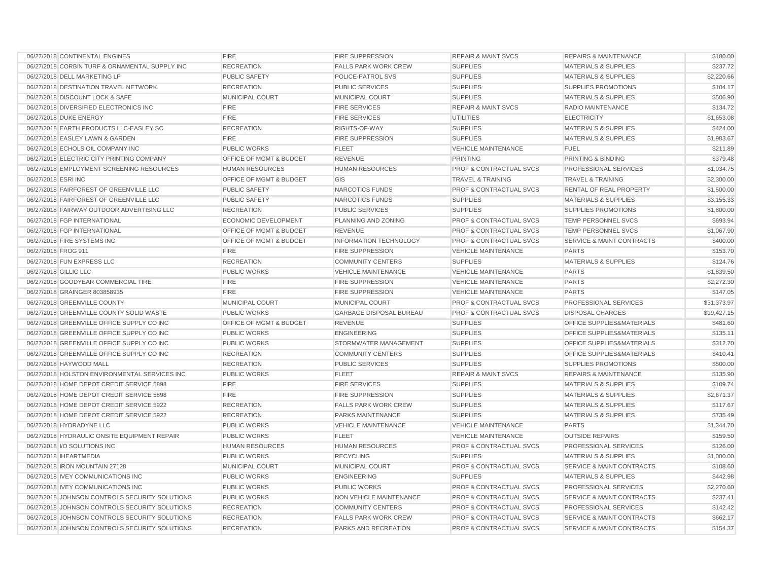| 06/27/2018 CONTINENTAL ENGINES                 | <b>FIRE</b>                        | FIRE SUPPRESSION               | <b>REPAIR &amp; MAINT SVCS</b>     | <b>REPAIRS &amp; MAINTENANCE</b>     | \$180.00    |
|------------------------------------------------|------------------------------------|--------------------------------|------------------------------------|--------------------------------------|-------------|
| 06/27/2018 CORBIN TURF & ORNAMENTAL SUPPLY INC | <b>RECREATION</b>                  | <b>FALLS PARK WORK CREW</b>    | <b>SUPPLIES</b>                    | MATERIALS & SUPPLIES                 | \$237.72    |
| 06/27/2018 DELL MARKETING LP                   | <b>PUBLIC SAFETY</b>               | POLICE-PATROL SVS              | <b>SUPPLIES</b>                    | <b>MATERIALS &amp; SUPPLIES</b>      | \$2,220.66  |
| 06/27/2018 DESTINATION TRAVEL NETWORK          | <b>RECREATION</b>                  | PUBLIC SERVICES                | <b>SUPPLIES</b>                    | SUPPLIES PROMOTIONS                  | \$104.17    |
| 06/27/2018 DISCOUNT LOCK & SAFE                | MUNICIPAL COURT                    | MUNICIPAL COURT                | <b>SUPPLIES</b>                    | <b>MATERIALS &amp; SUPPLIES</b>      | \$506.90    |
| 06/27/2018 DIVERSIFIED ELECTRONICS INC         | <b>FIRE</b>                        | <b>FIRE SERVICES</b>           | <b>REPAIR &amp; MAINT SVCS</b>     | <b>RADIO MAINTENANCE</b>             | \$134.72    |
| 06/27/2018 DUKE ENERGY                         | <b>FIRE</b>                        | <b>FIRE SERVICES</b>           | <b>UTILITIES</b>                   | <b>ELECTRICITY</b>                   | \$1,653.08  |
| 06/27/2018 EARTH PRODUCTS LLC-EASLEY SC        | <b>RECREATION</b>                  | RIGHTS-OF-WAY                  | <b>SUPPLIES</b>                    | <b>MATERIALS &amp; SUPPLIES</b>      | \$424.00    |
| 06/27/2018 EASLEY LAWN & GARDEN                | <b>FIRE</b>                        | <b>FIRE SUPPRESSION</b>        | <b>SUPPLIES</b>                    | <b>MATERIALS &amp; SUPPLIES</b>      | \$1,983.67  |
| 06/27/2018 ECHOLS OIL COMPANY INC              | <b>PUBLIC WORKS</b>                | <b>FLEET</b>                   | <b>VEHICLE MAINTENANCE</b>         | <b>FUEL</b>                          | \$211.89    |
| 06/27/2018 ELECTRIC CITY PRINTING COMPANY      | OFFICE OF MGMT & BUDGET            | <b>REVENUE</b>                 | <b>PRINTING</b>                    | PRINTING & BINDING                   | \$379.48    |
| 06/27/2018 EMPLOYMENT SCREENING RESOURCES      | <b>HUMAN RESOURCES</b>             | <b>HUMAN RESOURCES</b>         | <b>PROF &amp; CONTRACTUAL SVCS</b> | PROFESSIONAL SERVICES                | \$1,034.75  |
| 06/27/2018 ESRI INC                            | OFFICE OF MGMT & BUDGET            | GIS                            | <b>TRAVEL &amp; TRAINING</b>       | <b>TRAVEL &amp; TRAINING</b>         | \$2,300.00  |
| 06/27/2018 FAIRFOREST OF GREENVILLE LLC        | <b>PUBLIC SAFETY</b>               | NARCOTICS FUNDS                | PROF & CONTRACTUAL SVCS            | RENTAL OF REAL PROPERTY              | \$1,500.00  |
| 06/27/2018 FAIRFOREST OF GREENVILLE LLC        | PUBLIC SAFETY                      | NARCOTICS FUNDS                | <b>SUPPLIES</b>                    | MATERIALS & SUPPLIES                 | \$3,155.33  |
| 06/27/2018 FAIRWAY OUTDOOR ADVERTISING LLC     | <b>RECREATION</b>                  | PUBLIC SERVICES                | <b>SUPPLIES</b>                    | SUPPLIES PROMOTIONS                  | \$1,800.00  |
| 06/27/2018 FGP INTERNATIONAL                   | <b>ECONOMIC DEVELOPMENT</b>        | PLANNING AND ZONING            | <b>PROF &amp; CONTRACTUAL SVCS</b> | TEMP PERSONNEL SVCS                  | \$693.94    |
| 06/27/2018 FGP INTERNATIONAL                   | <b>OFFICE OF MGMT &amp; BUDGET</b> | <b>REVENUE</b>                 | <b>PROF &amp; CONTRACTUAL SVCS</b> | <b>TEMP PERSONNEL SVCS</b>           | \$1,067.90  |
| 06/27/2018 FIRE SYSTEMS INC                    | OFFICE OF MGMT & BUDGET            | <b>INFORMATION TECHNOLOGY</b>  | <b>PROF &amp; CONTRACTUAL SVCS</b> | <b>SERVICE &amp; MAINT CONTRACTS</b> | \$400.00    |
| 06/27/2018 FROG 911                            | <b>FIRE</b>                        | <b>FIRE SUPPRESSION</b>        | <b>VEHICLE MAINTENANCE</b>         | <b>PARTS</b>                         | \$153.70    |
| 06/27/2018 FUN EXPRESS LLC                     | <b>RECREATION</b>                  | <b>COMMUNITY CENTERS</b>       | <b>SUPPLIES</b>                    | <b>MATERIALS &amp; SUPPLIES</b>      | \$124.76    |
| 06/27/2018 GILLIG LLC                          | <b>PUBLIC WORKS</b>                | <b>VEHICLE MAINTENANCE</b>     | <b>VEHICLE MAINTENANCE</b>         | <b>PARTS</b>                         | \$1,839.50  |
| 06/27/2018 GOODYEAR COMMERCIAL TIRE            | <b>FIRE</b>                        | <b>FIRE SUPPRESSION</b>        | <b>VEHICLE MAINTENANCE</b>         | <b>PARTS</b>                         | \$2,272.30  |
| 06/27/2018 GRAINGER 803858935                  | <b>FIRE</b>                        | FIRE SUPPRESSION               | <b>VEHICLE MAINTENANCE</b>         | <b>PARTS</b>                         | \$147.05    |
| 06/27/2018 GREENVILLE COUNTY                   | MUNICIPAL COURT                    | MUNICIPAL COURT                | <b>PROF &amp; CONTRACTUAL SVCS</b> | PROFESSIONAL SERVICES                | \$31,373.97 |
| 06/27/2018 GREENVILLE COUNTY SOLID WASTE       | <b>PUBLIC WORKS</b>                | <b>GARBAGE DISPOSAL BUREAU</b> | <b>PROF &amp; CONTRACTUAL SVCS</b> | <b>DISPOSAL CHARGES</b>              | \$19,427.15 |
| 06/27/2018 GREENVILLE OFFICE SUPPLY CO INC     | OFFICE OF MGMT & BUDGET            | <b>REVENUE</b>                 | <b>SUPPLIES</b>                    | OFFICE SUPPLIES&MATERIALS            | \$481.60    |
| 06/27/2018 GREENVILLE OFFICE SUPPLY CO INC     | <b>PUBLIC WORKS</b>                | <b>ENGINEERING</b>             | <b>SUPPLIES</b>                    | OFFICE SUPPLIES&MATERIALS            | \$135.11    |
| 06/27/2018 GREENVILLE OFFICE SUPPLY CO INC     | PUBLIC WORKS                       | STORMWATER MANAGEMENT          | <b>SUPPLIES</b>                    | <b>OFFICE SUPPLIES&amp;MATERIALS</b> | \$312.70    |
| 06/27/2018 GREENVILLE OFFICE SUPPLY CO INC     | <b>RECREATION</b>                  | <b>COMMUNITY CENTERS</b>       | <b>SUPPLIES</b>                    | OFFICE SUPPLIES&MATERIALS            | \$410.41    |
| 06/27/2018 HAYWOOD MALL                        | <b>RECREATION</b>                  | <b>PUBLIC SERVICES</b>         | <b>SUPPLIES</b>                    | <b>SUPPLIES PROMOTIONS</b>           | \$500.00    |
| 06/27/2018 HOLSTON ENVIRONMENTAL SERVICES INC  | <b>PUBLIC WORKS</b>                | <b>FLEET</b>                   | <b>REPAIR &amp; MAINT SVCS</b>     | <b>REPAIRS &amp; MAINTENANCE</b>     | \$135.90    |
| 06/27/2018 HOME DEPOT CREDIT SERVICE 5898      | <b>FIRE</b>                        | <b>FIRE SERVICES</b>           | <b>SUPPLIES</b>                    | <b>MATERIALS &amp; SUPPLIES</b>      | \$109.74    |
| 06/27/2018 HOME DEPOT CREDIT SERVICE 5898      | <b>FIRE</b>                        | <b>FIRE SUPPRESSION</b>        | <b>SUPPLIES</b>                    | <b>MATERIALS &amp; SUPPLIES</b>      | \$2,671.37  |
| 06/27/2018 HOME DEPOT CREDIT SERVICE 5922      | <b>RECREATION</b>                  | <b>FALLS PARK WORK CREW</b>    | <b>SUPPLIES</b>                    | <b>MATERIALS &amp; SUPPLIES</b>      | \$117.67    |
| 06/27/2018 HOME DEPOT CREDIT SERVICE 5922      | <b>RECREATION</b>                  | PARKS MAINTENANCE              | <b>SUPPLIES</b>                    | <b>MATERIALS &amp; SUPPLIES</b>      | \$735.49    |
| 06/27/2018 HYDRADYNE LLC                       | PUBLIC WORKS                       | <b>VEHICLE MAINTENANCE</b>     | <b>VEHICLE MAINTENANCE</b>         | <b>PARTS</b>                         | \$1,344.70  |
| 06/27/2018 HYDRAULIC ONSITE EQUIPMENT REPAIR   | <b>PUBLIC WORKS</b>                | <b>FLEET</b>                   | <b>VEHICLE MAINTENANCE</b>         | <b>OUTSIDE REPAIRS</b>               | \$159.50    |
| 06/27/2018 I/O SOLUTIONS INC                   | <b>HUMAN RESOURCES</b>             | <b>HUMAN RESOURCES</b>         | PROF & CONTRACTUAL SVCS            | PROFESSIONAL SERVICES                | \$126.00    |
| 06/27/2018 IHEARTMEDIA                         | PUBLIC WORKS                       | <b>RECYCLING</b>               | <b>SUPPLIES</b>                    | <b>MATERIALS &amp; SUPPLIES</b>      | \$1,000.00  |
| 06/27/2018 IRON MOUNTAIN 27128                 | MUNICIPAL COURT                    | MUNICIPAL COURT                | PROF & CONTRACTUAL SVCS            | <b>SERVICE &amp; MAINT CONTRACTS</b> | \$108.60    |
| 06/27/2018 IVEY COMMUNICATIONS INC             | PUBLIC WORKS                       | <b>ENGINEERING</b>             | <b>SUPPLIES</b>                    | <b>MATERIALS &amp; SUPPLIES</b>      | \$442.98    |
| 06/27/2018 IVEY COMMUNICATIONS INC             | <b>PUBLIC WORKS</b>                | <b>PUBLIC WORKS</b>            | <b>PROF &amp; CONTRACTUAL SVCS</b> | PROFESSIONAL SERVICES                | \$2,270.60  |
| 06/27/2018 JOHNSON CONTROLS SECURITY SOLUTIONS | <b>PUBLIC WORKS</b>                | NON VEHICLE MAINTENANCE        | <b>PROF &amp; CONTRACTUAL SVCS</b> | <b>SERVICE &amp; MAINT CONTRACTS</b> | \$237.41    |
| 06/27/2018 JOHNSON CONTROLS SECURITY SOLUTIONS | <b>RECREATION</b>                  | <b>COMMUNITY CENTERS</b>       | <b>PROF &amp; CONTRACTUAL SVCS</b> | PROFESSIONAL SERVICES                | \$142.42    |
| 06/27/2018 JOHNSON CONTROLS SECURITY SOLUTIONS | <b>RECREATION</b>                  | <b>FALLS PARK WORK CREW</b>    | <b>PROF &amp; CONTRACTUAL SVCS</b> | <b>SERVICE &amp; MAINT CONTRACTS</b> | \$662.17    |
| 06/27/2018 JOHNSON CONTROLS SECURITY SOLUTIONS | <b>RECREATION</b>                  | PARKS AND RECREATION           | PROF & CONTRACTUAL SVCS            | <b>SERVICE &amp; MAINT CONTRACTS</b> | \$154.37    |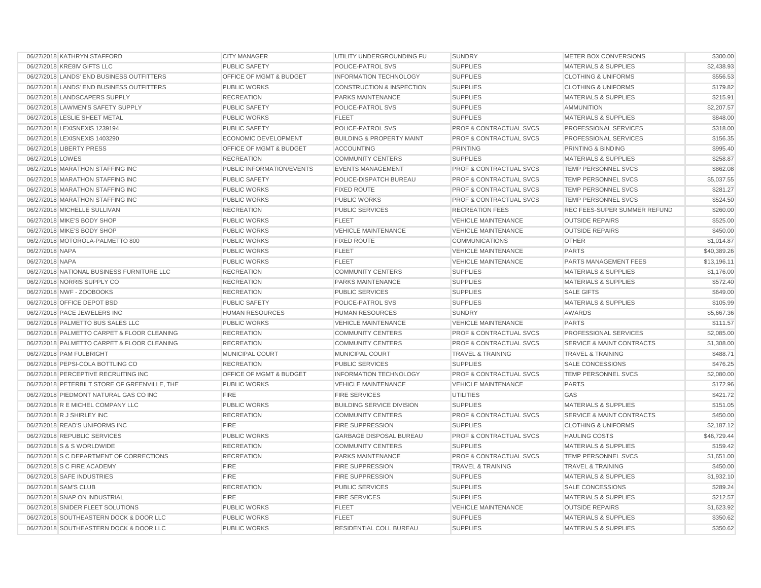| 06/27/2018 KATHRYN STAFFORD                   | <b>CITY MANAGER</b>         | UTILITY UNDERGROUNDING FU            | <b>SUNDRY</b>                      | METER BOX CONVERSIONS                | \$300.00    |
|-----------------------------------------------|-----------------------------|--------------------------------------|------------------------------------|--------------------------------------|-------------|
| 06/27/2018 KRE8IV GIFTS LLC                   | PUBLIC SAFETY               | POLICE-PATROL SVS                    | <b>SUPPLIES</b>                    | <b>MATERIALS &amp; SUPPLIES</b>      | \$2,438.93  |
| 06/27/2018 LANDS' END BUSINESS OUTFITTERS     | OFFICE OF MGMT & BUDGET     | <b>INFORMATION TECHNOLOGY</b>        | <b>SUPPLIES</b>                    | <b>CLOTHING &amp; UNIFORMS</b>       | \$556.53    |
| 06/27/2018 LANDS' END BUSINESS OUTFITTERS     | <b>PUBLIC WORKS</b>         | <b>CONSTRUCTION &amp; INSPECTION</b> | <b>SUPPLIES</b>                    | <b>CLOTHING &amp; UNIFORMS</b>       | \$179.82    |
| 06/27/2018 LANDSCAPERS SUPPLY                 | <b>RECREATION</b>           | PARKS MAINTENANCE                    | <b>SUPPLIES</b>                    | <b>MATERIALS &amp; SUPPLIES</b>      | \$215.91    |
| 06/27/2018 LAWMEN'S SAFETY SUPPLY             | <b>PUBLIC SAFETY</b>        | POLICE-PATROL SVS                    | <b>SUPPLIES</b>                    | <b>AMMUNITION</b>                    | \$2,207.57  |
| 06/27/2018 LESLIE SHEET METAL                 | <b>PUBLIC WORKS</b>         | <b>FLEET</b>                         | <b>SUPPLIES</b>                    | <b>MATERIALS &amp; SUPPLIES</b>      | \$848.00    |
| 06/27/2018 LEXISNEXIS 1239194                 | <b>PUBLIC SAFETY</b>        | POLICE-PATROL SVS                    | <b>PROF &amp; CONTRACTUAL SVCS</b> | PROFESSIONAL SERVICES                | \$318.00    |
| 06/27/2018 LEXISNEXIS 1403290                 | <b>ECONOMIC DEVELOPMENT</b> | <b>BUILDING &amp; PROPERTY MAINT</b> | <b>PROF &amp; CONTRACTUAL SVCS</b> | <b>PROFESSIONAL SERVICES</b>         | \$156.35    |
| 06/27/2018 LIBERTY PRESS                      | OFFICE OF MGMT & BUDGET     | <b>ACCOUNTING</b>                    | <b>PRINTING</b>                    | PRINTING & BINDING                   | \$995.40    |
| 06/27/2018 LOWES                              | <b>RECREATION</b>           | <b>COMMUNITY CENTERS</b>             | <b>SUPPLIES</b>                    | <b>MATERIALS &amp; SUPPLIES</b>      | \$258.87    |
| 06/27/2018 MARATHON STAFFING INC              | PUBLIC INFORMATION/EVENTS   | <b>EVENTS MANAGEMENT</b>             | PROF & CONTRACTUAL SVCS            | TEMP PERSONNEL SVCS                  | \$862.08    |
| 06/27/2018 MARATHON STAFFING INC              | <b>PUBLIC SAFETY</b>        | POLICE-DISPATCH BUREAU               | PROF & CONTRACTUAL SVCS            | TEMP PERSONNEL SVCS                  | \$5,037.55  |
| 06/27/2018 MARATHON STAFFING INC              | <b>PUBLIC WORKS</b>         | <b>FIXED ROUTE</b>                   | <b>PROF &amp; CONTRACTUAL SVCS</b> | <b>TEMP PERSONNEL SVCS</b>           | \$281.27    |
| 06/27/2018 MARATHON STAFFING INC              | PUBLIC WORKS                | <b>PUBLIC WORKS</b>                  | <b>PROF &amp; CONTRACTUAL SVCS</b> | TEMP PERSONNEL SVCS                  | \$524.50    |
| 06/27/2018 MICHELLE SULLIVAN                  | <b>RECREATION</b>           | PUBLIC SERVICES                      | <b>RECREATION FEES</b>             | REC FEES-SUPER SUMMER REFUND         | \$260.00    |
| 06/27/2018 MIKE'S BODY SHOP                   | <b>PUBLIC WORKS</b>         | <b>FLEET</b>                         | <b>VEHICLE MAINTENANCE</b>         | <b>OUTSIDE REPAIRS</b>               | \$525.00    |
| 06/27/2018 MIKE'S BODY SHOP                   | PUBLIC WORKS                | <b>VEHICLE MAINTENANCE</b>           | <b>VEHICLE MAINTENANCE</b>         | <b>OUTSIDE REPAIRS</b>               | \$450.00    |
| 06/27/2018 MOTOROLA-PALMETTO 800              | <b>PUBLIC WORKS</b>         | <b>FIXED ROUTE</b>                   | <b>COMMUNICATIONS</b>              | <b>OTHER</b>                         | \$1,014.87  |
| 06/27/2018 NAPA                               | PUBLIC WORKS                | <b>FLEET</b>                         | <b>VEHICLE MAINTENANCE</b>         | <b>PARTS</b>                         | \$40,389.26 |
| 06/27/2018 NAPA                               | <b>PUBLIC WORKS</b>         | <b>FLEET</b>                         | <b>VEHICLE MAINTENANCE</b>         | PARTS MANAGEMENT FEES                | \$13,196.11 |
| 06/27/2018 NATIONAL BUSINESS FURNITURE LLC    | <b>RECREATION</b>           | <b>COMMUNITY CENTERS</b>             | <b>SUPPLIES</b>                    | <b>MATERIALS &amp; SUPPLIES</b>      | \$1,176.00  |
| 06/27/2018 NORRIS SUPPLY CO                   | <b>RECREATION</b>           | PARKS MAINTENANCE                    | <b>SUPPLIES</b>                    | <b>MATERIALS &amp; SUPPLIES</b>      | \$572.40    |
| 06/27/2018 NWF - ZOOBOOKS                     | <b>RECREATION</b>           | <b>PUBLIC SERVICES</b>               | <b>SUPPLIES</b>                    | <b>SALE GIFTS</b>                    | \$649.00    |
| 06/27/2018 OFFICE DEPOT BSD                   | <b>PUBLIC SAFETY</b>        | POLICE-PATROL SVS                    | <b>SUPPLIES</b>                    | <b>MATERIALS &amp; SUPPLIES</b>      | \$105.99    |
| 06/27/2018 PACE JEWELERS INC                  | <b>HUMAN RESOURCES</b>      | <b>HUMAN RESOURCES</b>               | <b>SUNDRY</b>                      | <b>AWARDS</b>                        | \$5,667.36  |
| 06/27/2018 PALMETTO BUS SALES LLC             | <b>PUBLIC WORKS</b>         | <b>VEHICLE MAINTENANCE</b>           | <b>VEHICLE MAINTENANCE</b>         | <b>PARTS</b>                         | \$111.57    |
| 06/27/2018 PALMETTO CARPET & FLOOR CLEANING   | <b>RECREATION</b>           | <b>COMMUNITY CENTERS</b>             | PROF & CONTRACTUAL SVCS            | PROFESSIONAL SERVICES                | \$2,085.00  |
| 06/27/2018 PALMETTO CARPET & FLOOR CLEANING   | <b>RECREATION</b>           | <b>COMMUNITY CENTERS</b>             | <b>PROF &amp; CONTRACTUAL SVCS</b> | <b>SERVICE &amp; MAINT CONTRACTS</b> | \$1,308.00  |
| 06/27/2018 PAM FULBRIGHT                      | MUNICIPAL COURT             | MUNICIPAL COURT                      | <b>TRAVEL &amp; TRAINING</b>       | <b>TRAVEL &amp; TRAINING</b>         | \$488.71    |
| 06/27/2018 PEPSI-COLA BOTTLING CO             | <b>RECREATION</b>           | PUBLIC SERVICES                      | <b>SUPPLIES</b>                    | <b>SALE CONCESSIONS</b>              | \$476.25    |
| 06/27/2018 PERCEPTIVE RECRUITING INC          | OFFICE OF MGMT & BUDGET     | <b>INFORMATION TECHNOLOGY</b>        | <b>PROF &amp; CONTRACTUAL SVCS</b> | TEMP PERSONNEL SVCS                  | \$2,080.00  |
| 06/27/2018 PETERBILT STORE OF GREENVILLE, THE | PUBLIC WORKS                | <b>VEHICLE MAINTENANCE</b>           | <b>VEHICLE MAINTENANCE</b>         | <b>PARTS</b>                         | \$172.96    |
| 06/27/2018 PIEDMONT NATURAL GAS CO INC        | <b>FIRE</b>                 | <b>FIRE SERVICES</b>                 | <b>UTILITIES</b>                   | GAS                                  | \$421.72    |
| 06/27/2018 R E MICHEL COMPANY LLC             | <b>PUBLIC WORKS</b>         | <b>BUILDING SERVICE DIVISION</b>     | <b>SUPPLIES</b>                    | <b>MATERIALS &amp; SUPPLIES</b>      | \$151.05    |
| 06/27/2018 R J SHIRLEY INC                    | <b>RECREATION</b>           | <b>COMMUNITY CENTERS</b>             | PROF & CONTRACTUAL SVCS            | <b>SERVICE &amp; MAINT CONTRACTS</b> | \$450.00    |
| 06/27/2018 READ'S UNIFORMS INC                | <b>FIRE</b>                 | <b>FIRE SUPPRESSION</b>              | <b>SUPPLIES</b>                    | <b>CLOTHING &amp; UNIFORMS</b>       | \$2,187.12  |
| 06/27/2018 REPUBLIC SERVICES                  | <b>PUBLIC WORKS</b>         | <b>GARBAGE DISPOSAL BUREAU</b>       | <b>PROF &amp; CONTRACTUAL SVCS</b> | <b>HAULING COSTS</b>                 | \$46,729.44 |
| 06/27/2018 S & S WORLDWIDE                    | <b>RECREATION</b>           | <b>COMMUNITY CENTERS</b>             | <b>SUPPLIES</b>                    | <b>MATERIALS &amp; SUPPLIES</b>      | \$159.42    |
| 06/27/2018 S C DEPARTMENT OF CORRECTIONS      | <b>RECREATION</b>           | PARKS MAINTENANCE                    | <b>PROF &amp; CONTRACTUAL SVCS</b> | TEMP PERSONNEL SVCS                  | \$1,651.00  |
| 06/27/2018 S C FIRE ACADEMY                   | <b>FIRE</b>                 | <b>FIRE SUPPRESSION</b>              | <b>TRAVEL &amp; TRAINING</b>       | <b>TRAVEL &amp; TRAINING</b>         | \$450.00    |
| 06/27/2018 SAFE INDUSTRIES                    | <b>FIRE</b>                 | <b>FIRE SUPPRESSION</b>              | <b>SUPPLIES</b>                    | <b>MATERIALS &amp; SUPPLIES</b>      | \$1,932.10  |
| 06/27/2018 SAM'S CLUB                         | <b>RECREATION</b>           | <b>PUBLIC SERVICES</b>               | <b>SUPPLIES</b>                    | <b>SALE CONCESSIONS</b>              | \$289.24    |
| 06/27/2018 SNAP ON INDUSTRIAL                 | <b>FIRE</b>                 | <b>FIRE SERVICES</b>                 | <b>SUPPLIES</b>                    | <b>MATERIALS &amp; SUPPLIES</b>      | \$212.57    |
| 06/27/2018 SNIDER FLEET SOLUTIONS             | <b>PUBLIC WORKS</b>         | <b>FLEET</b>                         | <b>VEHICLE MAINTENANCE</b>         | <b>OUTSIDE REPAIRS</b>               | \$1,623.92  |
| 06/27/2018 SOUTHEASTERN DOCK & DOOR LLC       | <b>PUBLIC WORKS</b>         | <b>FLEET</b>                         | <b>SUPPLIES</b>                    | <b>MATERIALS &amp; SUPPLIES</b>      | \$350.62    |
| 06/27/2018 SOUTHEASTERN DOCK & DOOR LLC       | PUBLIC WORKS                | RESIDENTIAL COLL BUREAU              | <b>SUPPLIES</b>                    | <b>MATERIALS &amp; SUPPLIES</b>      | \$350.62    |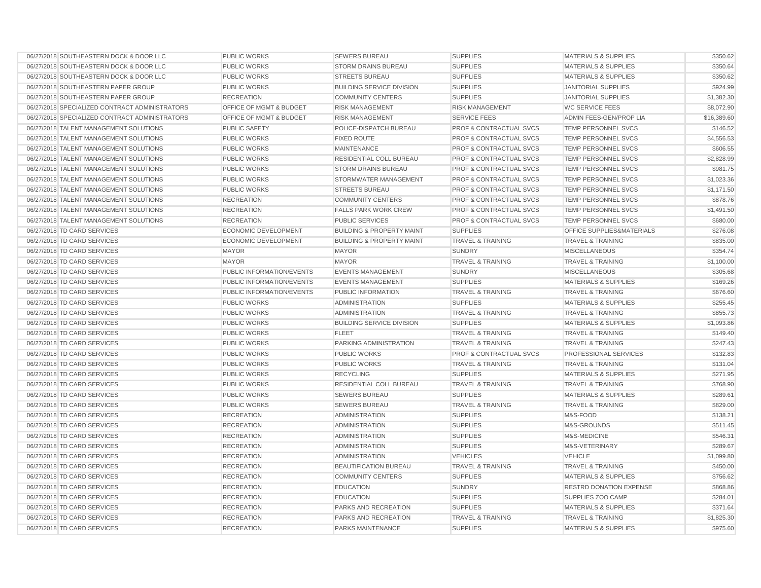| 06/27/2018 SOUTHEASTERN DOCK & DOOR LLC        | PUBLIC WORKS                       | <b>SEWERS BUREAU</b>                 | <b>SUPPLIES</b>                    | <b>MATERIALS &amp; SUPPLIES</b> | \$350.62    |
|------------------------------------------------|------------------------------------|--------------------------------------|------------------------------------|---------------------------------|-------------|
| 06/27/2018 SOUTHEASTERN DOCK & DOOR LLC        | <b>PUBLIC WORKS</b>                | STORM DRAINS BUREAU                  | <b>SUPPLIES</b>                    | <b>MATERIALS &amp; SUPPLIES</b> | \$350.64    |
| 06/27/2018 SOUTHEASTERN DOCK & DOOR LLC        | <b>PUBLIC WORKS</b>                | <b>STREETS BUREAU</b>                | <b>SUPPLIES</b>                    | <b>MATERIALS &amp; SUPPLIES</b> | \$350.62    |
| 06/27/2018 SOUTHEASTERN PAPER GROUP            | PUBLIC WORKS                       | <b>BUILDING SERVICE DIVISION</b>     | <b>SUPPLIES</b>                    | <b>JANITORIAL SUPPLIES</b>      | \$924.99    |
| 06/27/2018 SOUTHEASTERN PAPER GROUP            | <b>RECREATION</b>                  | <b>COMMUNITY CENTERS</b>             | <b>SUPPLIES</b>                    | <b>JANITORIAL SUPPLIES</b>      | \$1,382.30  |
| 06/27/2018 SPECIALIZED CONTRACT ADMINISTRATORS | <b>OFFICE OF MGMT &amp; BUDGET</b> | <b>RISK MANAGEMENT</b>               | <b>RISK MANAGEMENT</b>             | <b>WC SERVICE FEES</b>          | \$8,072.90  |
| 06/27/2018 SPECIALIZED CONTRACT ADMINISTRATORS | <b>OFFICE OF MGMT &amp; BUDGET</b> | <b>RISK MANAGEMENT</b>               | <b>SERVICE FEES</b>                | ADMIN FEES-GEN/PROP LIA         | \$16,389.60 |
| 06/27/2018 TALENT MANAGEMENT SOLUTIONS         | <b>PUBLIC SAFETY</b>               | POLICE-DISPATCH BUREAU               | <b>PROF &amp; CONTRACTUAL SVCS</b> | <b>TEMP PERSONNEL SVCS</b>      | \$146.52    |
| 06/27/2018 TALENT MANAGEMENT SOLUTIONS         | <b>PUBLIC WORKS</b>                | <b>FIXED ROUTE</b>                   | <b>PROF &amp; CONTRACTUAL SVCS</b> | <b>TEMP PERSONNEL SVCS</b>      | \$4,556.53  |
| 06/27/2018 TALENT MANAGEMENT SOLUTIONS         | PUBLIC WORKS                       | <b>MAINTENANCE</b>                   | <b>PROF &amp; CONTRACTUAL SVCS</b> | <b>TEMP PERSONNEL SVCS</b>      | \$606.55    |
| 06/27/2018 TALENT MANAGEMENT SOLUTIONS         | <b>PUBLIC WORKS</b>                | RESIDENTIAL COLL BUREAU              | <b>PROF &amp; CONTRACTUAL SVCS</b> | <b>TEMP PERSONNEL SVCS</b>      | \$2,828.99  |
| 06/27/2018 TALENT MANAGEMENT SOLUTIONS         | <b>PUBLIC WORKS</b>                | <b>STORM DRAINS BUREAU</b>           | <b>PROF &amp; CONTRACTUAL SVCS</b> | <b>TEMP PERSONNEL SVCS</b>      | \$981.75    |
| 06/27/2018 TALENT MANAGEMENT SOLUTIONS         | <b>PUBLIC WORKS</b>                | STORMWATER MANAGEMENT                | <b>PROF &amp; CONTRACTUAL SVCS</b> | <b>TEMP PERSONNEL SVCS</b>      | \$1,023.36  |
| 06/27/2018 TALENT MANAGEMENT SOLUTIONS         | <b>PUBLIC WORKS</b>                | <b>STREETS BUREAU</b>                | <b>PROF &amp; CONTRACTUAL SVCS</b> | <b>TEMP PERSONNEL SVCS</b>      | \$1,171.50  |
| 06/27/2018 TALENT MANAGEMENT SOLUTIONS         | <b>RECREATION</b>                  | <b>COMMUNITY CENTERS</b>             | <b>PROF &amp; CONTRACTUAL SVCS</b> | <b>TEMP PERSONNEL SVCS</b>      | \$878.76    |
| 06/27/2018 TALENT MANAGEMENT SOLUTIONS         | <b>RECREATION</b>                  | <b>FALLS PARK WORK CREW</b>          | <b>PROF &amp; CONTRACTUAL SVCS</b> | <b>TEMP PERSONNEL SVCS</b>      | \$1,491.50  |
| 06/27/2018 TALENT MANAGEMENT SOLUTIONS         | <b>RECREATION</b>                  | <b>PUBLIC SERVICES</b>               | <b>PROF &amp; CONTRACTUAL SVCS</b> | <b>TEMP PERSONNEL SVCS</b>      | \$680.00    |
| 06/27/2018 TD CARD SERVICES                    | <b>ECONOMIC DEVELOPMENT</b>        | <b>BUILDING &amp; PROPERTY MAINT</b> | <b>SUPPLIES</b>                    | OFFICE SUPPLIES&MATERIALS       | \$276.08    |
| 06/27/2018 TD CARD SERVICES                    | <b>ECONOMIC DEVELOPMENT</b>        | <b>BUILDING &amp; PROPERTY MAINT</b> | <b>TRAVEL &amp; TRAINING</b>       | <b>TRAVEL &amp; TRAINING</b>    | \$835.00    |
| 06/27/2018 TD CARD SERVICES                    | <b>MAYOR</b>                       | <b>MAYOR</b>                         | <b>SUNDRY</b>                      | <b>MISCELLANEOUS</b>            | \$354.74    |
| 06/27/2018 TD CARD SERVICES                    | <b>MAYOR</b>                       | <b>MAYOR</b>                         | <b>TRAVEL &amp; TRAINING</b>       | <b>TRAVEL &amp; TRAINING</b>    | \$1,100.00  |
| 06/27/2018 TD CARD SERVICES                    | PUBLIC INFORMATION/EVENTS          | <b>EVENTS MANAGEMENT</b>             | <b>SUNDRY</b>                      | <b>MISCELLANEOUS</b>            | \$305.68    |
| 06/27/2018 TD CARD SERVICES                    | PUBLIC INFORMATION/EVENTS          | <b>EVENTS MANAGEMENT</b>             | <b>SUPPLIES</b>                    | <b>MATERIALS &amp; SUPPLIES</b> | \$169.26    |
| 06/27/2018 TD CARD SERVICES                    | <b>PUBLIC INFORMATION/EVENTS</b>   | PUBLIC INFORMATION                   | <b>TRAVEL &amp; TRAINING</b>       | <b>TRAVEL &amp; TRAINING</b>    | \$676.60    |
| 06/27/2018 TD CARD SERVICES                    | <b>PUBLIC WORKS</b>                | <b>ADMINISTRATION</b>                | <b>SUPPLIES</b>                    | <b>MATERIALS &amp; SUPPLIES</b> | \$255.45    |
| 06/27/2018 TD CARD SERVICES                    | <b>PUBLIC WORKS</b>                | <b>ADMINISTRATION</b>                | <b>TRAVEL &amp; TRAINING</b>       | <b>TRAVEL &amp; TRAINING</b>    | \$855.73    |
| 06/27/2018 TD CARD SERVICES                    | <b>PUBLIC WORKS</b>                | <b>BUILDING SERVICE DIVISION</b>     | <b>SUPPLIES</b>                    | <b>MATERIALS &amp; SUPPLIES</b> | \$1,093.86  |
| 06/27/2018 TD CARD SERVICES                    | PUBLIC WORKS                       | <b>FLEET</b>                         | <b>TRAVEL &amp; TRAINING</b>       | <b>TRAVEL &amp; TRAINING</b>    | \$149.40    |
| 06/27/2018 TD CARD SERVICES                    | <b>PUBLIC WORKS</b>                | PARKING ADMINISTRATION               | <b>TRAVEL &amp; TRAINING</b>       | <b>TRAVEL &amp; TRAINING</b>    | \$247.43    |
| 06/27/2018 TD CARD SERVICES                    | <b>PUBLIC WORKS</b>                | <b>PUBLIC WORKS</b>                  | <b>PROF &amp; CONTRACTUAL SVCS</b> | PROFESSIONAL SERVICES           | \$132.83    |
| 06/27/2018 TD CARD SERVICES                    | <b>PUBLIC WORKS</b>                | PUBLIC WORKS                         | <b>TRAVEL &amp; TRAINING</b>       | <b>TRAVEL &amp; TRAINING</b>    | \$131.04    |
| 06/27/2018 TD CARD SERVICES                    | <b>PUBLIC WORKS</b>                | <b>RECYCLING</b>                     | <b>SUPPLIES</b>                    | <b>MATERIALS &amp; SUPPLIES</b> | \$271.95    |
| 06/27/2018 TD CARD SERVICES                    | PUBLIC WORKS                       | <b>RESIDENTIAL COLL BUREAU</b>       | <b>TRAVEL &amp; TRAINING</b>       | <b>TRAVEL &amp; TRAINING</b>    | \$768.90    |
| 06/27/2018 TD CARD SERVICES                    | <b>PUBLIC WORKS</b>                | <b>SEWERS BUREAU</b>                 | <b>SUPPLIES</b>                    | <b>MATERIALS &amp; SUPPLIES</b> | \$289.61    |
| 06/27/2018 TD CARD SERVICES                    | <b>PUBLIC WORKS</b>                | <b>SEWERS BUREAU</b>                 | <b>TRAVEL &amp; TRAINING</b>       | <b>TRAVEL &amp; TRAINING</b>    | \$829.00    |
| 06/27/2018 TD CARD SERVICES                    | <b>RECREATION</b>                  | <b>ADMINISTRATION</b>                | <b>SUPPLIES</b>                    | M&S-FOOD                        | \$138.21    |
| 06/27/2018 TD CARD SERVICES                    | <b>RECREATION</b>                  | <b>ADMINISTRATION</b>                | <b>SUPPLIES</b>                    | M&S-GROUNDS                     | \$511.45    |
| 06/27/2018 TD CARD SERVICES                    | <b>RECREATION</b>                  | <b>ADMINISTRATION</b>                | <b>SUPPLIES</b>                    | M&S-MEDICINE                    | \$546.31    |
| 06/27/2018 TD CARD SERVICES                    | <b>RECREATION</b>                  | <b>ADMINISTRATION</b>                | <b>SUPPLIES</b>                    | M&S-VETERINARY                  | \$289.67    |
| 06/27/2018 TD CARD SERVICES                    | <b>RECREATION</b>                  | <b>ADMINISTRATION</b>                | <b>VEHICLES</b>                    | <b>VEHICLE</b>                  | \$1,099.80  |
| 06/27/2018 TD CARD SERVICES                    | <b>RECREATION</b>                  | BEAUTIFICATION BUREAU                | <b>TRAVEL &amp; TRAINING</b>       | <b>TRAVEL &amp; TRAINING</b>    | \$450.00    |
| 06/27/2018 TD CARD SERVICES                    | <b>RECREATION</b>                  | <b>COMMUNITY CENTERS</b>             | <b>SUPPLIES</b>                    | <b>MATERIALS &amp; SUPPLIES</b> | \$756.62    |
| 06/27/2018 TD CARD SERVICES                    | <b>RECREATION</b>                  | <b>EDUCATION</b>                     | <b>SUNDRY</b>                      | <b>RESTRD DONATION EXPENSE</b>  | \$868.86    |
| 06/27/2018 TD CARD SERVICES                    | <b>RECREATION</b>                  | <b>EDUCATION</b>                     | <b>SUPPLIES</b>                    | SUPPLIES ZOO CAMP               | \$284.01    |
| 06/27/2018 TD CARD SERVICES                    | <b>RECREATION</b>                  | PARKS AND RECREATION                 | <b>SUPPLIES</b>                    | <b>MATERIALS &amp; SUPPLIES</b> | \$371.64    |
| 06/27/2018 TD CARD SERVICES                    | <b>RECREATION</b>                  | PARKS AND RECREATION                 | <b>TRAVEL &amp; TRAINING</b>       | <b>TRAVEL &amp; TRAINING</b>    | \$1,825.30  |
| 06/27/2018 TD CARD SERVICES                    | <b>RECREATION</b>                  | PARKS MAINTENANCE                    | <b>SUPPLIES</b>                    | <b>MATERIALS &amp; SUPPLIES</b> | \$975.60    |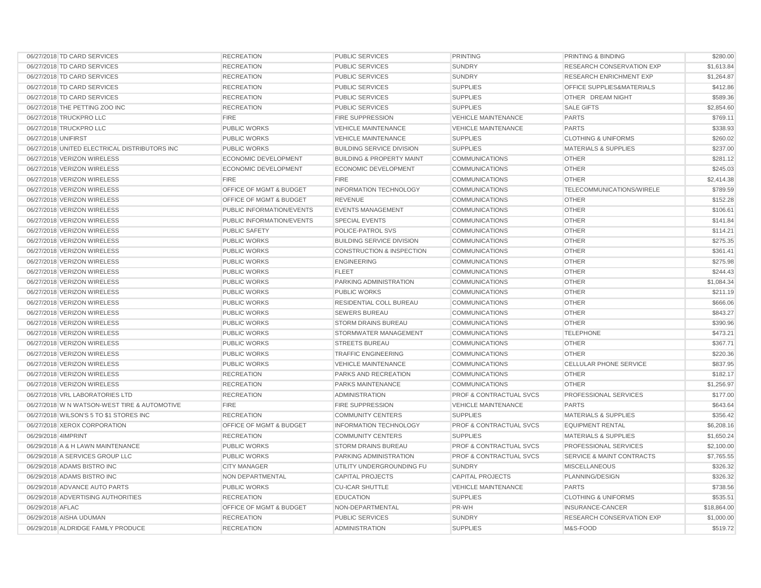|                     | 06/27/2018 TD CARD SERVICES                   | <b>RECREATION</b>                  | <b>PUBLIC SERVICES</b>               | <b>PRINTING</b>                    | PRINTING & BINDING                   | \$280.00    |
|---------------------|-----------------------------------------------|------------------------------------|--------------------------------------|------------------------------------|--------------------------------------|-------------|
|                     | 06/27/2018 TD CARD SERVICES                   | <b>RECREATION</b>                  | <b>PUBLIC SERVICES</b>               | <b>SUNDRY</b>                      | <b>RESEARCH CONSERVATION EXP</b>     | \$1,613.84  |
|                     | 06/27/2018 TD CARD SERVICES                   | <b>RECREATION</b>                  | <b>PUBLIC SERVICES</b>               | <b>SUNDRY</b>                      | <b>RESEARCH ENRICHMENT EXP</b>       | \$1,264.87  |
|                     | 06/27/2018 TD CARD SERVICES                   | <b>RECREATION</b>                  | <b>PUBLIC SERVICES</b>               | <b>SUPPLIES</b>                    | OFFICE SUPPLIES&MATERIALS            | \$412.86    |
|                     | 06/27/2018 TD CARD SERVICES                   | <b>RECREATION</b>                  | <b>PUBLIC SERVICES</b>               | <b>SUPPLIES</b>                    | OTHER DREAM NIGHT                    | \$589.36    |
|                     | 06/27/2018 THE PETTING ZOO INC                | <b>RECREATION</b>                  | <b>PUBLIC SERVICES</b>               | <b>SUPPLIES</b>                    | <b>SALE GIFTS</b>                    | \$2,854.60  |
|                     | 06/27/2018 TRUCKPRO LLC                       | <b>FIRE</b>                        | <b>FIRE SUPPRESSION</b>              | <b>VEHICLE MAINTENANCE</b>         | <b>PARTS</b>                         | \$769.11    |
|                     | 06/27/2018 TRUCKPRO LLC                       | <b>PUBLIC WORKS</b>                | <b>VEHICLE MAINTENANCE</b>           | <b>VEHICLE MAINTENANCE</b>         | <b>PARTS</b>                         | \$338.93    |
| 06/27/2018 UNIFIRST |                                               | <b>PUBLIC WORKS</b>                | <b>VEHICLE MAINTENANCE</b>           | <b>SUPPLIES</b>                    | <b>CLOTHING &amp; UNIFORMS</b>       | \$260.02    |
|                     | 06/27/2018 UNITED ELECTRICAL DISTRIBUTORS INC | <b>PUBLIC WORKS</b>                | <b>BUILDING SERVICE DIVISION</b>     | <b>SUPPLIES</b>                    | <b>MATERIALS &amp; SUPPLIES</b>      | \$237.00    |
|                     | 06/27/2018 VERIZON WIRELESS                   | <b>ECONOMIC DEVELOPMENT</b>        | <b>BUILDING &amp; PROPERTY MAINT</b> | <b>COMMUNICATIONS</b>              | <b>OTHER</b>                         | \$281.12    |
|                     | 06/27/2018 VERIZON WIRELESS                   | ECONOMIC DEVELOPMENT               | ECONOMIC DEVELOPMENT                 | <b>COMMUNICATIONS</b>              | <b>OTHER</b>                         | \$245.03    |
|                     | 06/27/2018 VERIZON WIRELESS                   | <b>FIRE</b>                        | <b>FIRE</b>                          | <b>COMMUNICATIONS</b>              | <b>OTHER</b>                         | \$2,414.38  |
|                     | 06/27/2018 VERIZON WIRELESS                   | OFFICE OF MGMT & BUDGET            | <b>INFORMATION TECHNOLOGY</b>        | <b>COMMUNICATIONS</b>              | TELECOMMUNICATIONS/WIRELE            | \$789.59    |
|                     | 06/27/2018 VERIZON WIRELESS                   | OFFICE OF MGMT & BUDGET            | <b>REVENUE</b>                       | <b>COMMUNICATIONS</b>              | <b>OTHER</b>                         | \$152.28    |
|                     | 06/27/2018 VERIZON WIRELESS                   | PUBLIC INFORMATION/EVENTS          | <b>EVENTS MANAGEMENT</b>             | <b>COMMUNICATIONS</b>              | <b>OTHER</b>                         | \$106.61    |
|                     | 06/27/2018 VERIZON WIRELESS                   | PUBLIC INFORMATION/EVENTS          | <b>SPECIAL EVENTS</b>                | <b>COMMUNICATIONS</b>              | <b>OTHER</b>                         | \$141.84    |
|                     | 06/27/2018 VERIZON WIRELESS                   | <b>PUBLIC SAFETY</b>               | POLICE-PATROL SVS                    | <b>COMMUNICATIONS</b>              | <b>OTHER</b>                         | \$114.21    |
|                     | 06/27/2018 VERIZON WIRELESS                   | <b>PUBLIC WORKS</b>                | <b>BUILDING SERVICE DIVISION</b>     | <b>COMMUNICATIONS</b>              | <b>OTHER</b>                         | \$275.35    |
|                     | 06/27/2018 VERIZON WIRELESS                   | <b>PUBLIC WORKS</b>                | <b>CONSTRUCTION &amp; INSPECTION</b> | <b>COMMUNICATIONS</b>              | <b>OTHER</b>                         | \$361.41    |
|                     | 06/27/2018 VERIZON WIRELESS                   | <b>PUBLIC WORKS</b>                | <b>ENGINEERING</b>                   | <b>COMMUNICATIONS</b>              | <b>OTHER</b>                         | \$275.98    |
|                     | 06/27/2018 VERIZON WIRELESS                   | <b>PUBLIC WORKS</b>                | <b>FLEET</b>                         | <b>COMMUNICATIONS</b>              | <b>OTHER</b>                         | \$244.43    |
|                     | 06/27/2018 VERIZON WIRELESS                   | PUBLIC WORKS                       | <b>PARKING ADMINISTRATION</b>        | <b>COMMUNICATIONS</b>              | <b>OTHER</b>                         | \$1,084.34  |
|                     | 06/27/2018 VERIZON WIRELESS                   | PUBLIC WORKS                       | <b>PUBLIC WORKS</b>                  | <b>COMMUNICATIONS</b>              | <b>OTHER</b>                         | \$211.19    |
|                     | 06/27/2018 VERIZON WIRELESS                   | <b>PUBLIC WORKS</b>                | RESIDENTIAL COLL BUREAU              | <b>COMMUNICATIONS</b>              | <b>OTHER</b>                         | \$666.06    |
|                     | 06/27/2018 VERIZON WIRELESS                   | PUBLIC WORKS                       | <b>SEWERS BUREAU</b>                 | <b>COMMUNICATIONS</b>              | <b>OTHER</b>                         | \$843.27    |
|                     | 06/27/2018 VERIZON WIRELESS                   | <b>PUBLIC WORKS</b>                | <b>STORM DRAINS BUREAU</b>           | <b>COMMUNICATIONS</b>              | <b>OTHER</b>                         | \$390.96    |
|                     | 06/27/2018 VERIZON WIRELESS                   | <b>PUBLIC WORKS</b>                | STORMWATER MANAGEMENT                | <b>COMMUNICATIONS</b>              | <b>TELEPHONE</b>                     | \$473.21    |
|                     | 06/27/2018 VERIZON WIRELESS                   | <b>PUBLIC WORKS</b>                | <b>STREETS BUREAU</b>                | <b>COMMUNICATIONS</b>              | <b>OTHER</b>                         | \$367.71    |
|                     | 06/27/2018 VERIZON WIRELESS                   | <b>PUBLIC WORKS</b>                | <b>TRAFFIC ENGINEERING</b>           | <b>COMMUNICATIONS</b>              | <b>OTHER</b>                         | \$220.36    |
|                     | 06/27/2018 VERIZON WIRELESS                   | <b>PUBLIC WORKS</b>                | <b>VEHICLE MAINTENANCE</b>           | <b>COMMUNICATIONS</b>              | <b>CELLULAR PHONE SERVICE</b>        | \$837.95    |
|                     | 06/27/2018 VERIZON WIRELESS                   | <b>RECREATION</b>                  | PARKS AND RECREATION                 | <b>COMMUNICATIONS</b>              | <b>OTHER</b>                         | \$182.17    |
|                     | 06/27/2018 VERIZON WIRELESS                   | <b>RECREATION</b>                  | PARKS MAINTENANCE                    | <b>COMMUNICATIONS</b>              | <b>OTHER</b>                         | \$1,256.97  |
|                     | 06/27/2018 VRL LABORATORIES LTD               | <b>RECREATION</b>                  | <b>ADMINISTRATION</b>                | <b>PROF &amp; CONTRACTUAL SVCS</b> | PROFESSIONAL SERVICES                | \$177.00    |
|                     | 06/27/2018 W N WATSON-WEST TIRE & AUTOMOTIVE  | <b>FIRE</b>                        | FIRE SUPPRESSION                     | <b>VEHICLE MAINTENANCE</b>         | <b>PARTS</b>                         | \$643.64    |
|                     | 06/27/2018 WILSON'S 5 TO \$1 STORES INC       | <b>RECREATION</b>                  | <b>COMMUNITY CENTERS</b>             | <b>SUPPLIES</b>                    | <b>MATERIALS &amp; SUPPLIES</b>      | \$356.42    |
|                     | 06/27/2018 XEROX CORPORATION                  | OFFICE OF MGMT & BUDGET            | <b>INFORMATION TECHNOLOGY</b>        | <b>PROF &amp; CONTRACTUAL SVCS</b> | <b>EQUIPMENT RENTAL</b>              | \$6,208.16  |
| 06/29/2018 4IMPRINT |                                               | <b>RECREATION</b>                  | <b>COMMUNITY CENTERS</b>             | <b>SUPPLIES</b>                    | <b>MATERIALS &amp; SUPPLIES</b>      | \$1,650.24  |
|                     | 06/29/2018 A & H LAWN MAINTENANCE             | <b>PUBLIC WORKS</b>                | <b>STORM DRAINS BUREAU</b>           | <b>PROF &amp; CONTRACTUAL SVCS</b> | PROFESSIONAL SERVICES                | \$2,100.00  |
|                     | 06/29/2018 A SERVICES GROUP LLC               | <b>PUBLIC WORKS</b>                | PARKING ADMINISTRATION               | <b>PROF &amp; CONTRACTUAL SVCS</b> | <b>SERVICE &amp; MAINT CONTRACTS</b> | \$7,765.55  |
|                     | 06/29/2018 ADAMS BISTRO INC                   | <b>CITY MANAGER</b>                | UTILITY UNDERGROUNDING FU            | <b>SUNDRY</b>                      | <b>MISCELLANEOUS</b>                 | \$326.32    |
|                     | 06/29/2018 ADAMS BISTRO INC                   | NON DEPARTMENTAL                   | <b>CAPITAL PROJECTS</b>              | <b>CAPITAL PROJECTS</b>            | PLANNING/DESIGN                      | \$326.32    |
|                     | 06/29/2018 ADVANCE AUTO PARTS                 | <b>PUBLIC WORKS</b>                | <b>CU-ICAR SHUTTLE</b>               | <b>VEHICLE MAINTENANCE</b>         | <b>PARTS</b>                         | \$738.56    |
|                     | 06/29/2018 ADVERTISING AUTHORITIES            | <b>RECREATION</b>                  | <b>EDUCATION</b>                     | <b>SUPPLIES</b>                    | <b>CLOTHING &amp; UNIFORMS</b>       | \$535.51    |
| 06/29/2018 AFLAC    |                                               | <b>OFFICE OF MGMT &amp; BUDGET</b> | NON-DEPARTMENTAL                     | PR-WH                              | <b>INSURANCE-CANCER</b>              | \$18,864.00 |
|                     | 06/29/2018 AISHA UDUMAN                       | <b>RECREATION</b>                  | <b>PUBLIC SERVICES</b>               | <b>SUNDRY</b>                      | <b>RESEARCH CONSERVATION EXP</b>     | \$1,000.00  |
|                     | 06/29/2018 ALDRIDGE FAMILY PRODUCE            | <b>RECREATION</b>                  | <b>ADMINISTRATION</b>                | <b>SUPPLIES</b>                    | M&S-FOOD                             | \$519.72    |
|                     |                                               |                                    |                                      |                                    |                                      |             |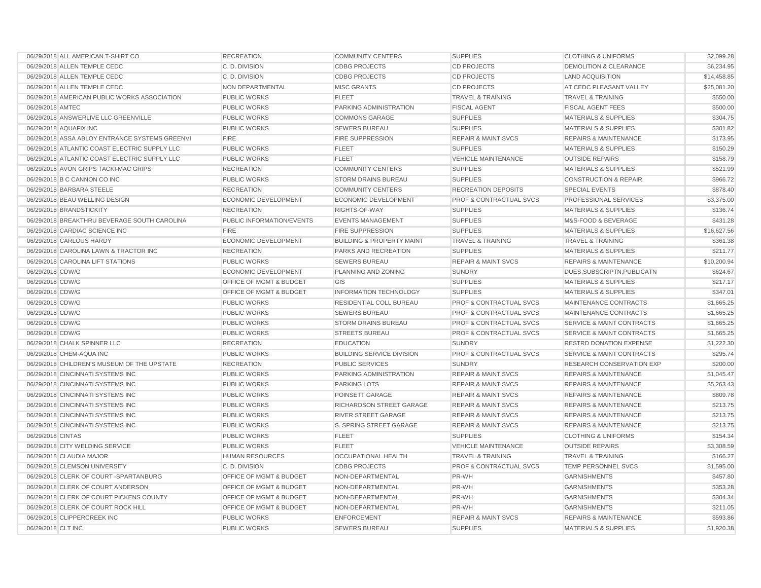| 06/29/2018 ALL AMERICAN T-SHIRT CO             | <b>RECREATION</b>                  | <b>COMMUNITY CENTERS</b>             | <b>SUPPLIES</b>                    | <b>CLOTHING &amp; UNIFORMS</b>       | \$2,099.28  |
|------------------------------------------------|------------------------------------|--------------------------------------|------------------------------------|--------------------------------------|-------------|
| 06/29/2018 ALLEN TEMPLE CEDC                   | C.D. DIVISION                      | <b>CDBG PROJECTS</b>                 | <b>CD PROJECTS</b>                 | <b>DEMOLITION &amp; CLEARANCE</b>    | \$6,234.95  |
| 06/29/2018 ALLEN TEMPLE CEDC                   | C.D. DIVISION                      | <b>CDBG PROJECTS</b>                 | <b>CD PROJECTS</b>                 | <b>LAND ACQUISITION</b>              | \$14,458.85 |
| 06/29/2018 ALLEN TEMPLE CEDC                   | NON DEPARTMENTAL                   | <b>MISC GRANTS</b>                   | <b>CD PROJECTS</b>                 | AT CEDC PLEASANT VALLEY              | \$25,081.20 |
| 06/29/2018 AMERICAN PUBLIC WORKS ASSOCIATION   | PUBLIC WORKS                       | <b>FLEET</b>                         | <b>TRAVEL &amp; TRAINING</b>       | <b>TRAVEL &amp; TRAINING</b>         | \$550.00    |
| 06/29/2018 AMTEC                               | <b>PUBLIC WORKS</b>                | PARKING ADMINISTRATION               | <b>FISCAL AGENT</b>                | <b>FISCAL AGENT FEES</b>             | \$500.00    |
| 06/29/2018 ANSWERLIVE LLC GREENVILLE           | <b>PUBLIC WORKS</b>                | <b>COMMONS GARAGE</b>                | <b>SUPPLIES</b>                    | <b>MATERIALS &amp; SUPPLIES</b>      | \$304.75    |
| 06/29/2018 AQUAFIX INC                         | <b>PUBLIC WORKS</b>                | <b>SEWERS BUREAU</b>                 | <b>SUPPLIES</b>                    | <b>MATERIALS &amp; SUPPLIES</b>      | \$301.82    |
| 06/29/2018 ASSA ABLOY ENTRANCE SYSTEMS GREENVI | <b>FIRE</b>                        | <b>FIRE SUPPRESSION</b>              | <b>REPAIR &amp; MAINT SVCS</b>     | <b>REPAIRS &amp; MAINTENANCE</b>     | \$173.95    |
| 06/29/2018 ATLANTIC COAST ELECTRIC SUPPLY LLC  | <b>PUBLIC WORKS</b>                | <b>FLEET</b>                         | <b>SUPPLIES</b>                    | <b>MATERIALS &amp; SUPPLIES</b>      | \$150.29    |
| 06/29/2018 ATLANTIC COAST ELECTRIC SUPPLY LLC  | <b>PUBLIC WORKS</b>                | <b>FLEET</b>                         | <b>VEHICLE MAINTENANCE</b>         | <b>OUTSIDE REPAIRS</b>               | \$158.79    |
| 06/29/2018 AVON GRIPS TACKI-MAC GRIPS          | <b>RECREATION</b>                  | <b>COMMUNITY CENTERS</b>             | <b>SUPPLIES</b>                    | <b>MATERIALS &amp; SUPPLIES</b>      | \$521.99    |
| 06/29/2018 B C CANNON CO INC                   | <b>PUBLIC WORKS</b>                | <b>STORM DRAINS BUREAU</b>           | <b>SUPPLIES</b>                    | <b>CONSTRUCTION &amp; REPAIR</b>     | \$966.72    |
| 06/29/2018 BARBARA STEELE                      | <b>RECREATION</b>                  | <b>COMMUNITY CENTERS</b>             | <b>RECREATION DEPOSITS</b>         | <b>SPECIAL EVENTS</b>                | \$878.40    |
| 06/29/2018 BEAU WELLING DESIGN                 | <b>ECONOMIC DEVELOPMENT</b>        | ECONOMIC DEVELOPMENT                 | <b>PROF &amp; CONTRACTUAL SVCS</b> | PROFESSIONAL SERVICES                | \$3,375.00  |
| 06/29/2018 BRANDSTICKITY                       | <b>RECREATION</b>                  | RIGHTS-OF-WAY                        | <b>SUPPLIES</b>                    | <b>MATERIALS &amp; SUPPLIES</b>      | \$136.74    |
| 06/29/2018 BREAKTHRU BEVERAGE SOUTH CAROLINA   | PUBLIC INFORMATION/EVENTS          | <b>EVENTS MANAGEMENT</b>             | <b>SUPPLIES</b>                    | M&S-FOOD & BEVERAGE                  | \$431.28    |
| 06/29/2018 CARDIAC SCIENCE INC                 | <b>FIRE</b>                        | <b>FIRE SUPPRESSION</b>              | <b>SUPPLIES</b>                    | <b>MATERIALS &amp; SUPPLIES</b>      | \$16,627.56 |
| 06/29/2018 CARLOUS HARDY                       | ECONOMIC DEVELOPMENT               | <b>BUILDING &amp; PROPERTY MAINT</b> | <b>TRAVEL &amp; TRAINING</b>       | <b>TRAVEL &amp; TRAINING</b>         | \$361.38    |
| 06/29/2018 CAROLINA LAWN & TRACTOR INC         | <b>RECREATION</b>                  | PARKS AND RECREATION                 | <b>SUPPLIES</b>                    | <b>MATERIALS &amp; SUPPLIES</b>      | \$211.77    |
| 06/29/2018 CAROLINA LIFT STATIONS              | <b>PUBLIC WORKS</b>                | <b>SEWERS BUREAU</b>                 | <b>REPAIR &amp; MAINT SVCS</b>     | <b>REPAIRS &amp; MAINTENANCE</b>     | \$10,200.94 |
| 06/29/2018 CDW/G                               | <b>ECONOMIC DEVELOPMENT</b>        | PLANNING AND ZONING                  | <b>SUNDRY</b>                      | DUES, SUBSCRIPTN, PUBLICATN          | \$624.67    |
| 06/29/2018 CDW/G                               | OFFICE OF MGMT & BUDGET            | GIS                                  | <b>SUPPLIES</b>                    | <b>MATERIALS &amp; SUPPLIES</b>      | \$217.17    |
| 06/29/2018 CDW/G                               | OFFICE OF MGMT & BUDGET            | <b>INFORMATION TECHNOLOGY</b>        | <b>SUPPLIES</b>                    | MATERIALS & SUPPLIES                 | \$347.01    |
| 06/29/2018 CDW/G                               | <b>PUBLIC WORKS</b>                | RESIDENTIAL COLL BUREAU              | <b>PROF &amp; CONTRACTUAL SVCS</b> | MAINTENANCE CONTRACTS                | \$1,665.25  |
| 06/29/2018 CDW/G                               | <b>PUBLIC WORKS</b>                | <b>SEWERS BUREAU</b>                 | <b>PROF &amp; CONTRACTUAL SVCS</b> | MAINTENANCE CONTRACTS                | \$1,665.25  |
| 06/29/2018 CDW/G                               | PUBLIC WORKS                       | STORM DRAINS BUREAU                  | PROF & CONTRACTUAL SVCS            | <b>SERVICE &amp; MAINT CONTRACTS</b> | \$1,665.25  |
| 06/29/2018 CDW/G                               | <b>PUBLIC WORKS</b>                | <b>STREETS BUREAU</b>                | <b>PROF &amp; CONTRACTUAL SVCS</b> | <b>SERVICE &amp; MAINT CONTRACTS</b> | \$1,665.25  |
| 06/29/2018 CHALK SPINNER LLC                   | <b>RECREATION</b>                  | <b>EDUCATION</b>                     | <b>SUNDRY</b>                      | RESTRD DONATION EXPENSE              | \$1,222.30  |
| 06/29/2018 CHEM-AQUA INC                       | <b>PUBLIC WORKS</b>                | <b>BUILDING SERVICE DIVISION</b>     | <b>PROF &amp; CONTRACTUAL SVCS</b> | <b>SERVICE &amp; MAINT CONTRACTS</b> | \$295.74    |
| 06/29/2018 CHILDREN'S MUSEUM OF THE UPSTATE    | <b>RECREATION</b>                  | <b>PUBLIC SERVICES</b>               | <b>SUNDRY</b>                      | RESEARCH CONSERVATION EXP            | \$200.00    |
| 06/29/2018 CINCINNATI SYSTEMS INC              | <b>PUBLIC WORKS</b>                | PARKING ADMINISTRATION               | <b>REPAIR &amp; MAINT SVCS</b>     | <b>REPAIRS &amp; MAINTENANCE</b>     | \$1,045.47  |
| 06/29/2018 CINCINNATI SYSTEMS INC              | <b>PUBLIC WORKS</b>                | <b>PARKING LOTS</b>                  | <b>REPAIR &amp; MAINT SVCS</b>     | <b>REPAIRS &amp; MAINTENANCE</b>     | \$5,263.43  |
| 06/29/2018 CINCINNATI SYSTEMS INC              | <b>PUBLIC WORKS</b>                | POINSETT GARAGE                      | <b>REPAIR &amp; MAINT SVCS</b>     | <b>REPAIRS &amp; MAINTENANCE</b>     | \$809.78    |
| 06/29/2018 CINCINNATI SYSTEMS INC              | <b>PUBLIC WORKS</b>                | RICHARDSON STREET GARAGE             | <b>REPAIR &amp; MAINT SVCS</b>     | <b>REPAIRS &amp; MAINTENANCE</b>     | \$213.75    |
| 06/29/2018 CINCINNATI SYSTEMS INC              | <b>PUBLIC WORKS</b>                | RIVER STREET GARAGE                  | <b>REPAIR &amp; MAINT SVCS</b>     | <b>REPAIRS &amp; MAINTENANCE</b>     | \$213.75    |
| 06/29/2018 CINCINNATI SYSTEMS INC              | PUBLIC WORKS                       | S. SPRING STREET GARAGE              | <b>REPAIR &amp; MAINT SVCS</b>     | <b>REPAIRS &amp; MAINTENANCE</b>     | \$213.75    |
| 06/29/2018 CINTAS                              | <b>PUBLIC WORKS</b>                | <b>FLEET</b>                         | <b>SUPPLIES</b>                    | <b>CLOTHING &amp; UNIFORMS</b>       | \$154.34    |
| 06/29/2018 CITY WELDING SERVICE                | <b>PUBLIC WORKS</b>                | <b>FLEET</b>                         | <b>VEHICLE MAINTENANCE</b>         | <b>OUTSIDE REPAIRS</b>               | \$3,308.59  |
| 06/29/2018 CLAUDIA MAJOR                       | <b>HUMAN RESOURCES</b>             | <b>OCCUPATIONAL HEALTH</b>           | <b>TRAVEL &amp; TRAINING</b>       | <b>TRAVEL &amp; TRAINING</b>         | \$166.27    |
| 06/29/2018 CLEMSON UNIVERSITY                  | C.D. DIVISION                      | <b>CDBG PROJECTS</b>                 | <b>PROF &amp; CONTRACTUAL SVCS</b> | <b>TEMP PERSONNEL SVCS</b>           | \$1,595.00  |
| 06/29/2018 CLERK OF COURT-SPARTANBURG          | OFFICE OF MGMT & BUDGET            | NON-DEPARTMENTAL                     | PR-WH                              | <b>GARNISHMENTS</b>                  | \$457.80    |
| 06/29/2018 CLERK OF COURT ANDERSON             | <b>OFFICE OF MGMT &amp; BUDGET</b> | NON-DEPARTMENTAL                     | PR-WH                              | <b>GARNISHMENTS</b>                  | \$353.28    |
| 06/29/2018 CLERK OF COURT PICKENS COUNTY       | <b>OFFICE OF MGMT &amp; BUDGET</b> | NON-DEPARTMENTAL                     | PR-WH                              | <b>GARNISHMENTS</b>                  | \$304.34    |
| 06/29/2018 CLERK OF COURT ROCK HILL            | OFFICE OF MGMT & BUDGET            | NON-DEPARTMENTAL                     | PR-WH                              | <b>GARNISHMENTS</b>                  | \$211.05    |
| 06/29/2018 CLIPPERCREEK INC                    | <b>PUBLIC WORKS</b>                | <b>ENFORCEMENT</b>                   | <b>REPAIR &amp; MAINT SVCS</b>     | <b>REPAIRS &amp; MAINTENANCE</b>     | \$593.86    |
| 06/29/2018 CLT INC                             | <b>PUBLIC WORKS</b>                | <b>SEWERS BUREAU</b>                 | <b>SUPPLIES</b>                    | <b>MATERIALS &amp; SUPPLIES</b>      | \$1,920.38  |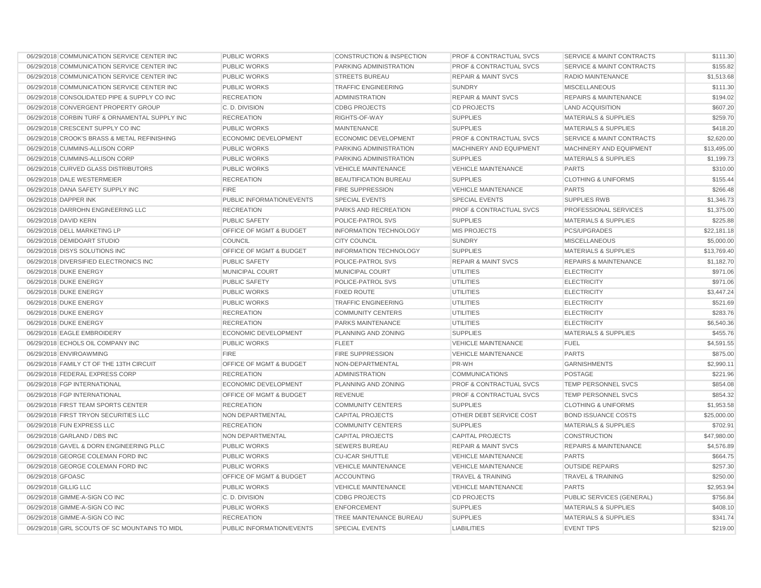| 06/29/2018 COMMUNICATION SERVICE CENTER INC    | PUBLIC WORKS                | <b>CONSTRUCTION &amp; INSPECTION</b> | <b>PROF &amp; CONTRACTUAL SVCS</b> | <b>SERVICE &amp; MAINT CONTRACTS</b> | \$111.30    |
|------------------------------------------------|-----------------------------|--------------------------------------|------------------------------------|--------------------------------------|-------------|
| 06/29/2018 COMMUNICATION SERVICE CENTER INC    | <b>PUBLIC WORKS</b>         | PARKING ADMINISTRATION               | <b>PROF &amp; CONTRACTUAL SVCS</b> | <b>SERVICE &amp; MAINT CONTRACTS</b> | \$155.82    |
| 06/29/2018 COMMUNICATION SERVICE CENTER INC    | <b>PUBLIC WORKS</b>         | <b>STREETS BUREAU</b>                | <b>REPAIR &amp; MAINT SVCS</b>     | RADIO MAINTENANCE                    | \$1,513.68  |
| 06/29/2018 COMMUNICATION SERVICE CENTER INC    | PUBLIC WORKS                | <b>TRAFFIC ENGINEERING</b>           | SUNDRY                             | <b>MISCELLANEOUS</b>                 | \$111.30    |
| 06/29/2018 CONSOLIDATED PIPE & SUPPLY CO INC   | <b>RECREATION</b>           | <b>ADMINISTRATION</b>                | <b>REPAIR &amp; MAINT SVCS</b>     | <b>REPAIRS &amp; MAINTENANCE</b>     | \$194.02    |
| 06/29/2018 CONVERGENT PROPERTY GROUP           | C.D. DIVISION               | <b>CDBG PROJECTS</b>                 | <b>CD PROJECTS</b>                 | <b>LAND ACQUISITION</b>              | \$607.20    |
| 06/29/2018 CORBIN TURF & ORNAMENTAL SUPPLY INC | <b>RECREATION</b>           | RIGHTS-OF-WAY                        | <b>SUPPLIES</b>                    | <b>MATERIALS &amp; SUPPLIES</b>      | \$259.70    |
| 06/29/2018 CRESCENT SUPPLY CO INC              | <b>PUBLIC WORKS</b>         | <b>MAINTENANCE</b>                   | <b>SUPPLIES</b>                    | <b>MATERIALS &amp; SUPPLIES</b>      | \$418.20    |
| 06/29/2018 CROOK'S BRASS & METAL REFINISHING   | <b>ECONOMIC DEVELOPMENT</b> | ECONOMIC DEVELOPMENT                 | <b>PROF &amp; CONTRACTUAL SVCS</b> | <b>SERVICE &amp; MAINT CONTRACTS</b> | \$2,620.00  |
| 06/29/2018 CUMMINS-ALLISON CORP                | <b>PUBLIC WORKS</b>         | PARKING ADMINISTRATION               | MACHINERY AND EQUIPMENT            | MACHINERY AND EQUIPMENT              | \$13,495.00 |
| 06/29/2018 CUMMINS-ALLISON CORP                | <b>PUBLIC WORKS</b>         | PARKING ADMINISTRATION               | <b>SUPPLIES</b>                    | <b>MATERIALS &amp; SUPPLIES</b>      | \$1,199.73  |
| 06/29/2018 CURVED GLASS DISTRIBUTORS           | <b>PUBLIC WORKS</b>         | <b>VEHICLE MAINTENANCE</b>           | <b>VEHICLE MAINTENANCE</b>         | <b>PARTS</b>                         | \$310.00    |
| 06/29/2018 DALE WESTERMEIER                    | <b>RECREATION</b>           | <b>BEAUTIFICATION BUREAU</b>         | <b>SUPPLIES</b>                    | <b>CLOTHING &amp; UNIFORMS</b>       | \$155.44    |
| 06/29/2018 DANA SAFETY SUPPLY INC              | <b>FIRE</b>                 | <b>FIRE SUPPRESSION</b>              | <b>VEHICLE MAINTENANCE</b>         | <b>PARTS</b>                         | \$266.48    |
| 06/29/2018 DAPPER INK                          | PUBLIC INFORMATION/EVENTS   | <b>SPECIAL EVENTS</b>                | <b>SPECIAL EVENTS</b>              | <b>SUPPLIES RWB</b>                  | \$1,346.73  |
| 06/29/2018 DARROHN ENGINEERING LLC             | <b>RECREATION</b>           | PARKS AND RECREATION                 | <b>PROF &amp; CONTRACTUAL SVCS</b> | PROFESSIONAL SERVICES                | \$1,375.00  |
| 06/29/2018 DAVID KERN                          | PUBLIC SAFETY               | POLICE-PATROL SVS                    | <b>SUPPLIES</b>                    | <b>MATERIALS &amp; SUPPLIES</b>      | \$225.88    |
| 06/29/2018 DELL MARKETING LP                   | OFFICE OF MGMT & BUDGET     | <b>INFORMATION TECHNOLOGY</b>        | <b>MIS PROJECTS</b>                | PCS/UPGRADES                         | \$22,181.18 |
| 06/29/2018 DEMIDOART STUDIO                    | <b>COUNCIL</b>              | <b>CITY COUNCIL</b>                  | <b>SUNDRY</b>                      | <b>MISCELLANEOUS</b>                 | \$5,000.00  |
| 06/29/2018 DISYS SOLUTIONS INC                 | OFFICE OF MGMT & BUDGET     | <b>INFORMATION TECHNOLOGY</b>        | <b>SUPPLIES</b>                    | <b>MATERIALS &amp; SUPPLIES</b>      | \$13,769.40 |
| 06/29/2018 DIVERSIFIED ELECTRONICS INC         | <b>PUBLIC SAFETY</b>        | POLICE-PATROL SVS                    | <b>REPAIR &amp; MAINT SVCS</b>     | <b>REPAIRS &amp; MAINTENANCE</b>     | \$1,182.70  |
| 06/29/2018 DUKE ENERGY                         | MUNICIPAL COURT             | MUNICIPAL COURT                      | <b>UTILITIES</b>                   | <b>ELECTRICITY</b>                   | \$971.06    |
| 06/29/2018 DUKE ENERGY                         | <b>PUBLIC SAFETY</b>        | POLICE-PATROL SVS                    | UTILITIES                          | <b>ELECTRICITY</b>                   | \$971.06    |
| 06/29/2018 DUKE ENERGY                         | <b>PUBLIC WORKS</b>         | <b>FIXED ROUTE</b>                   | <b>UTILITIES</b>                   | <b>ELECTRICITY</b>                   | \$3,447.24  |
| 06/29/2018 DUKE ENERGY                         | <b>PUBLIC WORKS</b>         | <b>TRAFFIC ENGINEERING</b>           | <b>UTILITIES</b>                   | <b>ELECTRICITY</b>                   | \$521.69    |
| 06/29/2018 DUKE ENERGY                         | <b>RECREATION</b>           | <b>COMMUNITY CENTERS</b>             | <b>UTILITIES</b>                   | <b>ELECTRICITY</b>                   | \$283.76    |
| 06/29/2018 DUKE ENERGY                         | <b>RECREATION</b>           | PARKS MAINTENANCE                    | <b>UTILITIES</b>                   | <b>ELECTRICITY</b>                   | \$6,540.36  |
| 06/29/2018 EAGLE EMBROIDERY                    | <b>ECONOMIC DEVELOPMENT</b> | PLANNING AND ZONING                  | <b>SUPPLIES</b>                    | <b>MATERIALS &amp; SUPPLIES</b>      | \$455.76    |
| 06/29/2018 ECHOLS OIL COMPANY INC              | <b>PUBLIC WORKS</b>         | <b>FLEET</b>                         | <b>VEHICLE MAINTENANCE</b>         | <b>FUEL</b>                          | \$4,591.55  |
| 06/29/2018 ENVIROAWMING                        | <b>FIRE</b>                 | FIRE SUPPRESSION                     | <b>VEHICLE MAINTENANCE</b>         | <b>PARTS</b>                         | \$875.00    |
| 06/29/2018 FAMILY CT OF THE 13TH CIRCUIT       | OFFICE OF MGMT & BUDGET     | NON-DEPARTMENTAL                     | PR-WH                              | <b>GARNISHMENTS</b>                  | \$2,990.11  |
| 06/29/2018 FEDERAL EXPRESS CORP                | <b>RECREATION</b>           | <b>ADMINISTRATION</b>                | <b>COMMUNICATIONS</b>              | <b>POSTAGE</b>                       | \$221.96    |
| 06/29/2018 FGP INTERNATIONAL                   | <b>ECONOMIC DEVELOPMENT</b> | PLANNING AND ZONING                  | <b>PROF &amp; CONTRACTUAL SVCS</b> | TEMP PERSONNEL SVCS                  | \$854.08    |
| 06/29/2018 FGP INTERNATIONAL                   | OFFICE OF MGMT & BUDGET     | <b>REVENUE</b>                       | <b>PROF &amp; CONTRACTUAL SVCS</b> | <b>TEMP PERSONNEL SVCS</b>           | \$854.32    |
| 06/29/2018 FIRST TEAM SPORTS CENTER            | <b>RECREATION</b>           | <b>COMMUNITY CENTERS</b>             | <b>SUPPLIES</b>                    | <b>CLOTHING &amp; UNIFORMS</b>       | \$1,953.58  |
| 06/29/2018 FIRST TRYON SECURITIES LLC          | NON DEPARTMENTAL            | <b>CAPITAL PROJECTS</b>              | OTHER DEBT SERVICE COST            | <b>BOND ISSUANCE COSTS</b>           | \$25,000.00 |
| 06/29/2018 FUN EXPRESS LLC                     | <b>RECREATION</b>           | <b>COMMUNITY CENTERS</b>             | <b>SUPPLIES</b>                    | <b>MATERIALS &amp; SUPPLIES</b>      | \$702.91    |
| 06/29/2018 GARLAND / DBS INC                   | NON DEPARTMENTAL            | <b>CAPITAL PROJECTS</b>              | <b>CAPITAL PROJECTS</b>            | CONSTRUCTION                         | \$47,980.00 |
| 06/29/2018 GAVEL & DORN ENGINEERING PLLC       | <b>PUBLIC WORKS</b>         | <b>SEWERS BUREAU</b>                 | <b>REPAIR &amp; MAINT SVCS</b>     | <b>REPAIRS &amp; MAINTENANCE</b>     | \$4,576.89  |
| 06/29/2018 GEORGE COLEMAN FORD INC             | <b>PUBLIC WORKS</b>         | <b>CU-ICAR SHUTTLE</b>               | <b>VEHICLE MAINTENANCE</b>         | <b>PARTS</b>                         | \$664.75    |
| 06/29/2018 GEORGE COLEMAN FORD INC             | <b>PUBLIC WORKS</b>         | <b>VEHICLE MAINTENANCE</b>           | <b>VEHICLE MAINTENANCE</b>         | <b>OUTSIDE REPAIRS</b>               | \$257.30    |
| 06/29/2018 GFOASC                              | OFFICE OF MGMT & BUDGET     | <b>ACCOUNTING</b>                    | <b>TRAVEL &amp; TRAINING</b>       | <b>TRAVEL &amp; TRAINING</b>         | \$250.00    |
| 06/29/2018 GILLIG LLC                          | <b>PUBLIC WORKS</b>         | <b>VEHICLE MAINTENANCE</b>           | <b>VEHICLE MAINTENANCE</b>         | <b>PARTS</b>                         | \$2,953.94  |
| 06/29/2018 GIMME-A-SIGN CO INC                 | C.D. DIVISION               | <b>CDBG PROJECTS</b>                 | <b>CD PROJECTS</b>                 | PUBLIC SERVICES (GENERAL)            | \$756.84    |
| 06/29/2018 GIMME-A-SIGN CO INC                 | <b>PUBLIC WORKS</b>         | <b>ENFORCEMENT</b>                   | <b>SUPPLIES</b>                    | <b>MATERIALS &amp; SUPPLIES</b>      | \$408.10    |
| 06/29/2018 GIMME-A-SIGN CO INC                 | <b>RECREATION</b>           | TREE MAINTENANCE BUREAU              | <b>SUPPLIES</b>                    | <b>MATERIALS &amp; SUPPLIES</b>      | \$341.74    |
| 06/29/2018 GIRL SCOUTS OF SC MOUNTAINS TO MIDL | PUBLIC INFORMATION/EVENTS   | <b>SPECIAL EVENTS</b>                | <b>LIABILITIES</b>                 | <b>EVENT TIPS</b>                    | \$219.00    |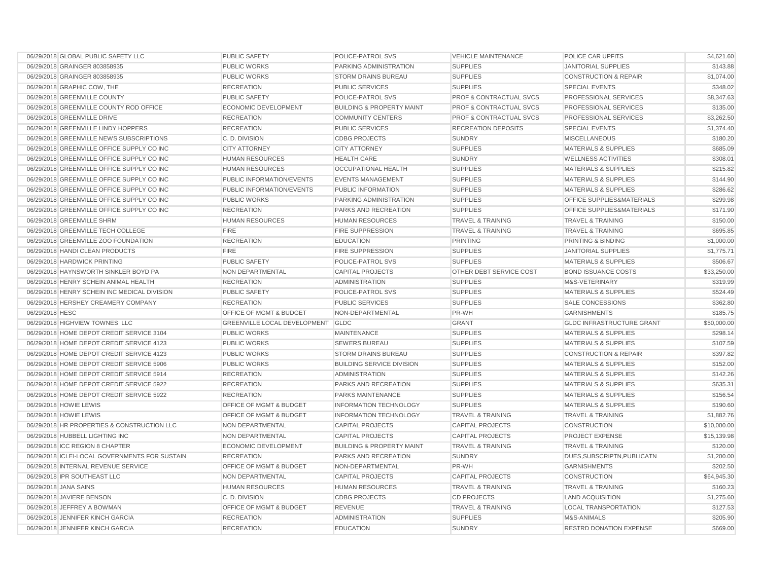| 06/29/2018 GLOBAL PUBLIC SAFETY LLC            | PUBLIC SAFETY                      | POLICE-PATROL SVS                    | <b>VEHICLE MAINTENANCE</b>         | POLICE CAR UPFITS                | \$4,621.60  |
|------------------------------------------------|------------------------------------|--------------------------------------|------------------------------------|----------------------------------|-------------|
| 06/29/2018 GRAINGER 803858935                  | <b>PUBLIC WORKS</b>                | PARKING ADMINISTRATION               | <b>SUPPLIES</b>                    | <b>JANITORIAL SUPPLIES</b>       | \$143.88    |
| 06/29/2018 GRAINGER 803858935                  | <b>PUBLIC WORKS</b>                | <b>STORM DRAINS BUREAU</b>           | <b>SUPPLIES</b>                    | <b>CONSTRUCTION &amp; REPAIR</b> | \$1,074.00  |
| 06/29/2018 GRAPHIC COW, THE                    | <b>RECREATION</b>                  | <b>PUBLIC SERVICES</b>               | <b>SUPPLIES</b>                    | <b>SPECIAL EVENTS</b>            | \$348.02    |
| 06/29/2018 GREENVILLE COUNTY                   | <b>PUBLIC SAFETY</b>               | POLICE-PATROL SVS                    | <b>PROF &amp; CONTRACTUAL SVCS</b> | PROFESSIONAL SERVICES            | \$8,347.63  |
| 06/29/2018 GREENVILLE COUNTY ROD OFFICE        | <b>ECONOMIC DEVELOPMENT</b>        | <b>BUILDING &amp; PROPERTY MAINT</b> | <b>PROF &amp; CONTRACTUAL SVCS</b> | PROFESSIONAL SERVICES            | \$135.00    |
| 06/29/2018 GREENVILLE DRIVE                    | <b>RECREATION</b>                  | <b>COMMUNITY CENTERS</b>             | <b>PROF &amp; CONTRACTUAL SVCS</b> | PROFESSIONAL SERVICES            | \$3,262.50  |
| 06/29/2018 GREENVILLE LINDY HOPPERS            | <b>RECREATION</b>                  | <b>PUBLIC SERVICES</b>               | <b>RECREATION DEPOSITS</b>         | <b>SPECIAL EVENTS</b>            | \$1,374.40  |
| 06/29/2018 GREENVILLE NEWS SUBSCRIPTIONS       | C.D. DIVISION                      | <b>CDBG PROJECTS</b>                 | <b>SUNDRY</b>                      | <b>MISCELLANEOUS</b>             | \$180.20    |
| 06/29/2018 GREENVILLE OFFICE SUPPLY CO INC     | <b>CITY ATTORNEY</b>               | <b>CITY ATTORNEY</b>                 | <b>SUPPLIES</b>                    | <b>MATERIALS &amp; SUPPLIES</b>  | \$685.09    |
| 06/29/2018 GREENVILLE OFFICE SUPPLY CO INC     | <b>HUMAN RESOURCES</b>             | <b>HEALTH CARE</b>                   | <b>SUNDRY</b>                      | <b>WELLNESS ACTIVITIES</b>       | \$308.01    |
| 06/29/2018 GREENVILLE OFFICE SUPPLY CO INC     | <b>HUMAN RESOURCES</b>             | <b>OCCUPATIONAL HEALTH</b>           | <b>SUPPLIES</b>                    | <b>MATERIALS &amp; SUPPLIES</b>  | \$215.82    |
| 06/29/2018 GREENVILLE OFFICE SUPPLY CO INC     | <b>PUBLIC INFORMATION/EVENTS</b>   | <b>EVENTS MANAGEMENT</b>             | <b>SUPPLIES</b>                    | <b>MATERIALS &amp; SUPPLIES</b>  | \$144.90    |
| 06/29/2018 GREENVILLE OFFICE SUPPLY CO INC     | <b>PUBLIC INFORMATION/EVENTS</b>   | PUBLIC INFORMATION                   | <b>SUPPLIES</b>                    | <b>MATERIALS &amp; SUPPLIES</b>  | \$286.62    |
| 06/29/2018 GREENVILLE OFFICE SUPPLY CO INC     | <b>PUBLIC WORKS</b>                | PARKING ADMINISTRATION               | <b>SUPPLIES</b>                    | OFFICE SUPPLIES&MATERIALS        | \$299.98    |
| 06/29/2018 GREENVILLE OFFICE SUPPLY CO INC     | <b>RECREATION</b>                  | PARKS AND RECREATION                 | <b>SUPPLIES</b>                    | OFFICE SUPPLIES&MATERIALS        | \$171.90    |
| 06/29/2018 GREENVILLE SHRM                     | <b>HUMAN RESOURCES</b>             | <b>HUMAN RESOURCES</b>               | <b>TRAVEL &amp; TRAINING</b>       | <b>TRAVEL &amp; TRAINING</b>     | \$150.00    |
| 06/29/2018 GREENVILLE TECH COLLEGE             | <b>FIRE</b>                        | <b>FIRE SUPPRESSION</b>              | <b>TRAVEL &amp; TRAINING</b>       | <b>TRAVEL &amp; TRAINING</b>     | \$695.85    |
| 06/29/2018 GREENVILLE ZOO FOUNDATION           | <b>RECREATION</b>                  | <b>EDUCATION</b>                     | PRINTING                           | PRINTING & BINDING               | \$1,000.00  |
| 06/29/2018 HANDI CLEAN PRODUCTS                | <b>FIRE</b>                        | <b>FIRE SUPPRESSION</b>              | <b>SUPPLIES</b>                    | <b>JANITORIAL SUPPLIES</b>       | \$1,775.71  |
| 06/29/2018 HARDWICK PRINTING                   | <b>PUBLIC SAFETY</b>               | POLICE-PATROL SVS                    | <b>SUPPLIES</b>                    | <b>MATERIALS &amp; SUPPLIES</b>  | \$506.67    |
| 06/29/2018 HAYNSWORTH SINKLER BOYD PA          | <b>NON DEPARTMENTAL</b>            | <b>CAPITAL PROJECTS</b>              | OTHER DEBT SERVICE COST            | <b>BOND ISSUANCE COSTS</b>       | \$33,250.00 |
| 06/29/2018 HENRY SCHEIN ANIMAL HEALTH          | <b>RECREATION</b>                  | <b>ADMINISTRATION</b>                | <b>SUPPLIES</b>                    | M&S-VETERINARY                   | \$319.99    |
| 06/29/2018 HENRY SCHEIN INC MEDICAL DIVISION   | <b>PUBLIC SAFETY</b>               | POLICE-PATROL SVS                    | <b>SUPPLIES</b>                    | <b>MATERIALS &amp; SUPPLIES</b>  | \$524.49    |
| 06/29/2018 HERSHEY CREAMERY COMPANY            | <b>RECREATION</b>                  | <b>PUBLIC SERVICES</b>               | <b>SUPPLIES</b>                    | SALE CONCESSIONS                 | \$362.80    |
| 06/29/2018 HESC                                | <b>OFFICE OF MGMT &amp; BUDGET</b> | NON-DEPARTMENTAL                     | PR-WH                              | <b>GARNISHMENTS</b>              | \$185.75    |
| 06/29/2018 HIGHVIEW TOWNES LLC                 | GREENVILLE LOCAL DEVELOPMENT GLDC  |                                      | <b>GRANT</b>                       | <b>GLDC INFRASTRUCTURE GRANT</b> | \$50,000,00 |
| 06/29/2018 HOME DEPOT CREDIT SERVICE 3104      | <b>PUBLIC WORKS</b>                | MAINTENANCE                          | <b>SUPPLIES</b>                    | <b>MATERIALS &amp; SUPPLIES</b>  | \$298.14    |
| 06/29/2018 HOME DEPOT CREDIT SERVICE 4123      | <b>PUBLIC WORKS</b>                | <b>SEWERS BUREAU</b>                 | <b>SUPPLIES</b>                    | <b>MATERIALS &amp; SUPPLIES</b>  | \$107.59    |
| 06/29/2018 HOME DEPOT CREDIT SERVICE 4123      | <b>PUBLIC WORKS</b>                | <b>STORM DRAINS BUREAU</b>           | <b>SUPPLIES</b>                    | <b>CONSTRUCTION &amp; REPAIR</b> | \$397.82    |
| 06/29/2018 HOME DEPOT CREDIT SERVICE 5906      | <b>PUBLIC WORKS</b>                | <b>BUILDING SERVICE DIVISION</b>     | <b>SUPPLIES</b>                    | <b>MATERIALS &amp; SUPPLIES</b>  | \$152.00    |
| 06/29/2018 HOME DEPOT CREDIT SERVICE 5914      | <b>RECREATION</b>                  | <b>ADMINISTRATION</b>                | <b>SUPPLIES</b>                    | <b>MATERIALS &amp; SUPPLIES</b>  | \$142.26    |
| 06/29/2018 HOME DEPOT CREDIT SERVICE 5922      | <b>RECREATION</b>                  | PARKS AND RECREATION                 | <b>SUPPLIES</b>                    | <b>MATERIALS &amp; SUPPLIES</b>  | \$635.31    |
| 06/29/2018 HOME DEPOT CREDIT SERVICE 5922      | <b>RECREATION</b>                  | PARKS MAINTENANCE                    | <b>SUPPLIES</b>                    | <b>MATERIALS &amp; SUPPLIES</b>  | \$156.54    |
| 06/29/2018 HOWIE LEWIS                         | <b>OFFICE OF MGMT &amp; BUDGET</b> | <b>INFORMATION TECHNOLOGY</b>        | <b>SUPPLIES</b>                    | <b>MATERIALS &amp; SUPPLIES</b>  | \$190.60    |
| 06/29/2018 HOWIE LEWIS                         | OFFICE OF MGMT & BUDGET            | <b>INFORMATION TECHNOLOGY</b>        | <b>TRAVEL &amp; TRAINING</b>       | <b>TRAVEL &amp; TRAINING</b>     | \$1,882.76  |
| 06/29/2018 HR PROPERTIES & CONSTRUCTION LLC    | NON DEPARTMENTAL                   | <b>CAPITAL PROJECTS</b>              | <b>CAPITAL PROJECTS</b>            | <b>CONSTRUCTION</b>              | \$10,000.00 |
| 06/29/2018 HUBBELL LIGHTING INC                | NON DEPARTMENTAL                   | <b>CAPITAL PROJECTS</b>              | <b>CAPITAL PROJECTS</b>            | PROJECT EXPENSE                  | \$15,139.98 |
| 06/29/2018 ICC REGION 8 CHAPTER                | <b>ECONOMIC DEVELOPMENT</b>        | <b>BUILDING &amp; PROPERTY MAINT</b> | <b>TRAVEL &amp; TRAINING</b>       | <b>TRAVEL &amp; TRAINING</b>     | \$120.00    |
| 06/29/2018 ICLEI-LOCAL GOVERNMENTS FOR SUSTAIN | <b>RECREATION</b>                  | <b>PARKS AND RECREATION</b>          | <b>SUNDRY</b>                      | DUES, SUBSCRIPTN, PUBLICATN      | \$1,200.00  |
| 06/29/2018 INTERNAL REVENUE SERVICE            | OFFICE OF MGMT & BUDGET            | NON-DEPARTMENTAL                     | PR-WH                              | <b>GARNISHMENTS</b>              | \$202.50    |
| 06/29/2018 IPR SOUTHEAST LLC                   | <b>NON DEPARTMENTAL</b>            | <b>CAPITAL PROJECTS</b>              | <b>CAPITAL PROJECTS</b>            | <b>CONSTRUCTION</b>              | \$64,945.30 |
| 06/29/2018 JANA SAINS                          | <b>HUMAN RESOURCES</b>             | <b>HUMAN RESOURCES</b>               | <b>TRAVEL &amp; TRAINING</b>       | <b>TRAVEL &amp; TRAINING</b>     | \$160.23    |
| 06/29/2018 JAVIERE BENSON                      | C. D. DIVISION                     | <b>CDBG PROJECTS</b>                 | <b>CD PROJECTS</b>                 | <b>LAND ACQUISITION</b>          | \$1,275.60  |
| 06/29/2018 JEFFREY A BOWMAN                    | OFFICE OF MGMT & BUDGET            | <b>REVENUE</b>                       | <b>TRAVEL &amp; TRAINING</b>       | <b>LOCAL TRANSPORTATION</b>      | \$127.53    |
| 06/29/2018 JENNIFER KINCH GARCIA               | <b>RECREATION</b>                  | <b>ADMINISTRATION</b>                | <b>SUPPLIES</b>                    | M&S-ANIMALS                      | \$205.90    |
| 06/29/2018 JENNIFER KINCH GARCIA               | <b>RECREATION</b>                  | <b>EDUCATION</b>                     | SUNDRY                             | <b>RESTRD DONATION EXPENSE</b>   | \$669.00    |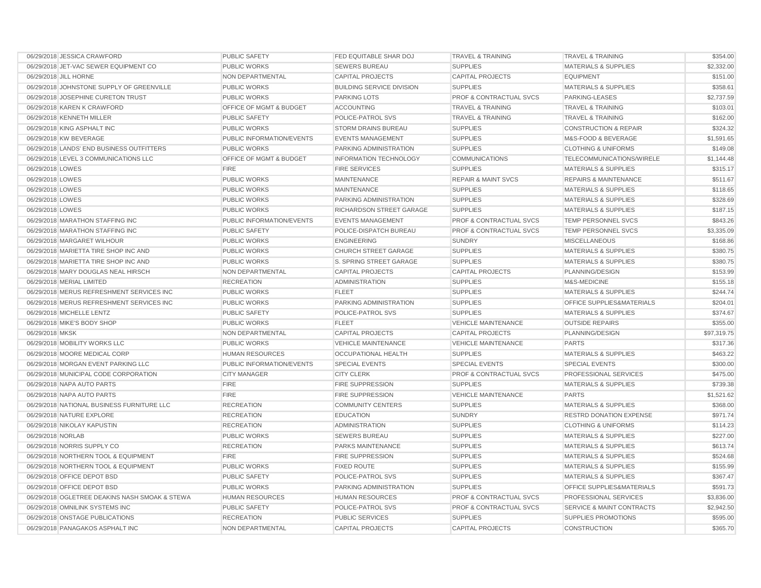| 06/29/2018 JESSICA CRAWFORD                    | PUBLIC SAFETY                      | FED EQUITABLE SHAR DOJ           | <b>TRAVEL &amp; TRAINING</b>       | <b>TRAVEL &amp; TRAINING</b>         | \$354.00    |
|------------------------------------------------|------------------------------------|----------------------------------|------------------------------------|--------------------------------------|-------------|
| 06/29/2018 JET-VAC SEWER EQUIPMENT CO          | <b>PUBLIC WORKS</b>                | <b>SEWERS BUREAU</b>             | <b>SUPPLIES</b>                    | <b>MATERIALS &amp; SUPPLIES</b>      | \$2,332.00  |
| 06/29/2018 JILL HORNE                          | <b>NON DEPARTMENTAL</b>            | <b>CAPITAL PROJECTS</b>          | <b>CAPITAL PROJECTS</b>            | <b>EQUIPMENT</b>                     | \$151.00    |
| 06/29/2018 JOHNSTONE SUPPLY OF GREENVILLE      | PUBLIC WORKS                       | <b>BUILDING SERVICE DIVISION</b> | <b>SUPPLIES</b>                    | <b>MATERIALS &amp; SUPPLIES</b>      | \$358.61    |
| 06/29/2018 JOSEPHINE CURETON TRUST             | PUBLIC WORKS                       | PARKING LOTS                     | <b>PROF &amp; CONTRACTUAL SVCS</b> | PARKING-LEASES                       | \$2,737.59  |
| 06/29/2018 KAREN K CRAWFORD                    | OFFICE OF MGMT & BUDGET            | <b>ACCOUNTING</b>                | <b>TRAVEL &amp; TRAINING</b>       | <b>TRAVEL &amp; TRAINING</b>         | \$103.01    |
| 06/29/2018 KENNETH MILLER                      | PUBLIC SAFETY                      | POLICE-PATROL SVS                | <b>TRAVEL &amp; TRAINING</b>       | <b>TRAVEL &amp; TRAINING</b>         | \$162.00    |
| 06/29/2018 KING ASPHALT INC                    | <b>PUBLIC WORKS</b>                | <b>STORM DRAINS BUREAU</b>       | <b>SUPPLIES</b>                    | <b>CONSTRUCTION &amp; REPAIR</b>     | \$324.32    |
| 06/29/2018 KW BEVERAGE                         | PUBLIC INFORMATION/EVENTS          | <b>EVENTS MANAGEMENT</b>         | <b>SUPPLIES</b>                    | M&S-FOOD & BEVERAGE                  | \$1,591.65  |
| 06/29/2018 LANDS' END BUSINESS OUTFITTERS      | <b>PUBLIC WORKS</b>                | PARKING ADMINISTRATION           | <b>SUPPLIES</b>                    | <b>CLOTHING &amp; UNIFORMS</b>       | \$149.08    |
| 06/29/2018 LEVEL 3 COMMUNICATIONS LLC          | <b>OFFICE OF MGMT &amp; BUDGET</b> | <b>INFORMATION TECHNOLOGY</b>    | <b>COMMUNICATIONS</b>              | TELECOMMUNICATIONS/WIRELE            | \$1,144.48  |
| 06/29/2018 LOWES                               | <b>FIRE</b>                        | <b>FIRE SERVICES</b>             | <b>SUPPLIES</b>                    | <b>MATERIALS &amp; SUPPLIES</b>      | \$315.17    |
| 06/29/2018 LOWES                               | <b>PUBLIC WORKS</b>                | <b>MAINTENANCE</b>               | <b>REPAIR &amp; MAINT SVCS</b>     | <b>REPAIRS &amp; MAINTENANCE</b>     | \$511.67    |
| 06/29/2018 LOWES                               | <b>PUBLIC WORKS</b>                | <b>MAINTENANCE</b>               | <b>SUPPLIES</b>                    | <b>MATERIALS &amp; SUPPLIES</b>      | \$118.65    |
| 06/29/2018 LOWES                               | <b>PUBLIC WORKS</b>                | PARKING ADMINISTRATION           | <b>SUPPLIES</b>                    | <b>MATERIALS &amp; SUPPLIES</b>      | \$328.69    |
| 06/29/2018 LOWES                               | <b>PUBLIC WORKS</b>                | RICHARDSON STREET GARAGE         | <b>SUPPLIES</b>                    | <b>MATERIALS &amp; SUPPLIES</b>      | \$187.15    |
| 06/29/2018 MARATHON STAFFING INC               | PUBLIC INFORMATION/EVENTS          | <b>EVENTS MANAGEMENT</b>         | <b>PROF &amp; CONTRACTUAL SVCS</b> | TEMP PERSONNEL SVCS                  | \$843.26    |
| 06/29/2018 MARATHON STAFFING INC               | <b>PUBLIC SAFETY</b>               | POLICE-DISPATCH BUREAU           | <b>PROF &amp; CONTRACTUAL SVCS</b> | TEMP PERSONNEL SVCS                  | \$3,335.09  |
| 06/29/2018 MARGARET WILHOUR                    | <b>PUBLIC WORKS</b>                | <b>ENGINEERING</b>               | <b>SUNDRY</b>                      | <b>MISCELLANEOUS</b>                 | \$168.86    |
| 06/29/2018 MARIETTA TIRE SHOP INC AND          | <b>PUBLIC WORKS</b>                | <b>CHURCH STREET GARAGE</b>      | <b>SUPPLIES</b>                    | <b>MATERIALS &amp; SUPPLIES</b>      | \$380.75    |
| 06/29/2018 MARIETTA TIRE SHOP INC AND          | <b>PUBLIC WORKS</b>                | S. SPRING STREET GARAGE          | <b>SUPPLIES</b>                    | <b>MATERIALS &amp; SUPPLIES</b>      | \$380.75    |
| 06/29/2018 MARY DOUGLAS NEAL HIRSCH            | NON DEPARTMENTAL                   | <b>CAPITAL PROJECTS</b>          | <b>CAPITAL PROJECTS</b>            | PLANNING/DESIGN                      | \$153.99    |
| 06/29/2018 MERIAL LIMITED                      | <b>RECREATION</b>                  | <b>ADMINISTRATION</b>            | <b>SUPPLIES</b>                    | M&S-MEDICINE                         | \$155.18    |
| 06/29/2018 MERUS REFRESHMENT SERVICES INC      | <b>PUBLIC WORKS</b>                | <b>FLEET</b>                     | <b>SUPPLIES</b>                    | <b>MATERIALS &amp; SUPPLIES</b>      | \$244.74    |
| 06/29/2018 MERUS REFRESHMENT SERVICES INC      | PUBLIC WORKS                       | PARKING ADMINISTRATION           | <b>SUPPLIES</b>                    | OFFICE SUPPLIES&MATERIALS            | \$204.01    |
| 06/29/2018 MICHELLE LENTZ                      | <b>PUBLIC SAFETY</b>               | POLICE-PATROL SVS                | <b>SUPPLIES</b>                    | <b>MATERIALS &amp; SUPPLIES</b>      | \$374.67    |
| 06/29/2018 MIKE'S BODY SHOP                    | <b>PUBLIC WORKS</b>                | <b>FLEET</b>                     | <b>VEHICLE MAINTENANCE</b>         | <b>OUTSIDE REPAIRS</b>               | \$355.00    |
| 06/29/2018 MKSK                                | NON DEPARTMENTAL                   | <b>CAPITAL PROJECTS</b>          | <b>CAPITAL PROJECTS</b>            | PLANNING/DESIGN                      | \$97,319.75 |
| 06/29/2018 MOBILITY WORKS LLC                  | <b>PUBLIC WORKS</b>                | <b>VEHICLE MAINTENANCE</b>       | <b>VEHICLE MAINTENANCE</b>         | <b>PARTS</b>                         | \$317.36    |
| 06/29/2018 MOORE MEDICAL CORP                  | <b>HUMAN RESOURCES</b>             | <b>OCCUPATIONAL HEALTH</b>       | <b>SUPPLIES</b>                    | <b>MATERIALS &amp; SUPPLIES</b>      | \$463.22    |
| 06/29/2018 MORGAN EVENT PARKING LLC            | PUBLIC INFORMATION/EVENTS          | <b>SPECIAL EVENTS</b>            | <b>SPECIAL EVENTS</b>              | <b>SPECIAL EVENTS</b>                | \$300.00    |
| 06/29/2018 MUNICIPAL CODE CORPORATION          | <b>CITY MANAGER</b>                | <b>CITY CLERK</b>                | <b>PROF &amp; CONTRACTUAL SVCS</b> | PROFESSIONAL SERVICES                | \$475.00    |
| 06/29/2018 NAPA AUTO PARTS                     | <b>FIRE</b>                        | <b>FIRE SUPPRESSION</b>          | <b>SUPPLIES</b>                    | <b>MATERIALS &amp; SUPPLIES</b>      | \$739.38    |
| 06/29/2018 NAPA AUTO PARTS                     | <b>FIRE</b>                        | <b>FIRE SUPPRESSION</b>          | <b>VEHICLE MAINTENANCE</b>         | <b>PARTS</b>                         | \$1,521.62  |
| 06/29/2018 NATIONAL BUSINESS FURNITURE LLC     | <b>RECREATION</b>                  | <b>COMMUNITY CENTERS</b>         | <b>SUPPLIES</b>                    | <b>MATERIALS &amp; SUPPLIES</b>      | \$368.00    |
| 06/29/2018 NATURE EXPLORE                      | <b>RECREATION</b>                  | <b>EDUCATION</b>                 | <b>SUNDRY</b>                      | <b>RESTRD DONATION EXPENSE</b>       | \$971.74    |
| 06/29/2018 NIKOLAY KAPUSTIN                    | <b>RECREATION</b>                  | <b>ADMINISTRATION</b>            | <b>SUPPLIES</b>                    | <b>CLOTHING &amp; UNIFORMS</b>       | \$114.23    |
| 06/29/2018 NORLAB                              | <b>PUBLIC WORKS</b>                | <b>SEWERS BUREAU</b>             | <b>SUPPLIES</b>                    | <b>MATERIALS &amp; SUPPLIES</b>      | \$227.00    |
| 06/29/2018 NORRIS SUPPLY CO                    | <b>RECREATION</b>                  | PARKS MAINTENANCE                | <b>SUPPLIES</b>                    | <b>MATERIALS &amp; SUPPLIES</b>      | \$613.74    |
| 06/29/2018 NORTHERN TOOL & EQUIPMENT           | <b>FIRE</b>                        | <b>FIRE SUPPRESSION</b>          | <b>SUPPLIES</b>                    | <b>MATERIALS &amp; SUPPLIES</b>      | \$524.68    |
| 06/29/2018 NORTHERN TOOL & EQUIPMENT           | <b>PUBLIC WORKS</b>                | <b>FIXED ROUTE</b>               | <b>SUPPLIES</b>                    | <b>MATERIALS &amp; SUPPLIES</b>      | \$155.99    |
| 06/29/2018 OFFICE DEPOT BSD                    | <b>PUBLIC SAFETY</b>               | POLICE-PATROL SVS                | <b>SUPPLIES</b>                    | <b>MATERIALS &amp; SUPPLIES</b>      | \$367.47    |
| 06/29/2018 OFFICE DEPOT BSD                    | <b>PUBLIC WORKS</b>                | PARKING ADMINISTRATION           | <b>SUPPLIES</b>                    | OFFICE SUPPLIES&MATERIALS            | \$591.73    |
| 06/29/2018 OGLETREE DEAKINS NASH SMOAK & STEWA | <b>HUMAN RESOURCES</b>             | <b>HUMAN RESOURCES</b>           | <b>PROF &amp; CONTRACTUAL SVCS</b> | PROFESSIONAL SERVICES                | \$3,836.00  |
| 06/29/2018 OMNILINK SYSTEMS INC                | <b>PUBLIC SAFETY</b>               | POLICE-PATROL SVS                | <b>PROF &amp; CONTRACTUAL SVCS</b> | <b>SERVICE &amp; MAINT CONTRACTS</b> | \$2,942.50  |
| 06/29/2018 ONSTAGE PUBLICATIONS                | <b>RECREATION</b>                  | <b>PUBLIC SERVICES</b>           | <b>SUPPLIES</b>                    | SUPPLIES PROMOTIONS                  | \$595.00    |
| 06/29/2018 PANAGAKOS ASPHALT INC               | NON DEPARTMENTAL                   | <b>CAPITAL PROJECTS</b>          | <b>CAPITAL PROJECTS</b>            | <b>CONSTRUCTION</b>                  | \$365.70    |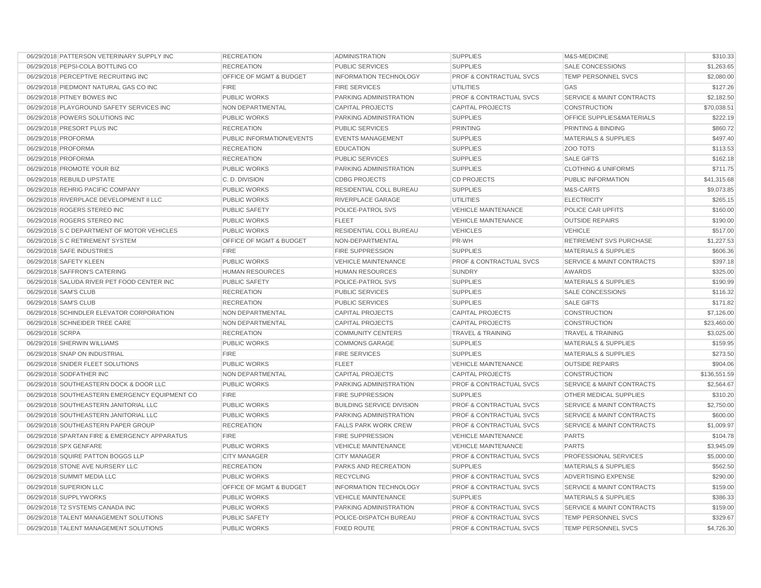| 06/29/2018 PATTERSON VETERINARY SUPPLY INC     | <b>RECREATION</b>         | <b>ADMINISTRATION</b>            | <b>SUPPLIES</b>                    | M&S-MEDICINE                         | \$310.33     |
|------------------------------------------------|---------------------------|----------------------------------|------------------------------------|--------------------------------------|--------------|
| 06/29/2018 PEPSI-COLA BOTTLING CO              | <b>RECREATION</b>         | PUBLIC SERVICES                  | <b>SUPPLIES</b>                    | SALE CONCESSIONS                     | \$1,263.65   |
| 06/29/2018 PERCEPTIVE RECRUITING INC           | OFFICE OF MGMT & BUDGET   | <b>INFORMATION TECHNOLOGY</b>    | <b>PROF &amp; CONTRACTUAL SVCS</b> | TEMP PERSONNEL SVCS                  | \$2,080.00   |
| 06/29/2018 PIEDMONT NATURAL GAS CO INC         | <b>FIRE</b>               | <b>FIRE SERVICES</b>             | <b>UTILITIES</b>                   | GAS                                  | \$127.26     |
| 06/29/2018 PITNEY BOWES INC                    | <b>PUBLIC WORKS</b>       | PARKING ADMINISTRATION           | <b>PROF &amp; CONTRACTUAL SVCS</b> | <b>SERVICE &amp; MAINT CONTRACTS</b> | \$2,182.50   |
| 06/29/2018 PLAYGROUND SAFETY SERVICES INC      | <b>NON DEPARTMENTAL</b>   | <b>CAPITAL PROJECTS</b>          | <b>CAPITAL PROJECTS</b>            | <b>CONSTRUCTION</b>                  | \$70,038.51  |
| 06/29/2018 POWERS SOLUTIONS INC                | <b>PUBLIC WORKS</b>       | PARKING ADMINISTRATION           | <b>SUPPLIES</b>                    | OFFICE SUPPLIES&MATERIALS            | \$222.19     |
| 06/29/2018 PRESORT PLUS INC                    | <b>RECREATION</b>         | <b>PUBLIC SERVICES</b>           | PRINTING                           | PRINTING & BINDING                   | \$860.72     |
| 06/29/2018 PROFORMA                            | PUBLIC INFORMATION/EVENTS | <b>EVENTS MANAGEMENT</b>         | <b>SUPPLIES</b>                    | <b>MATERIALS &amp; SUPPLIES</b>      | \$497.40     |
| 06/29/2018 PROFORMA                            | <b>RECREATION</b>         | <b>EDUCATION</b>                 | <b>SUPPLIES</b>                    | ZOO TOTS                             | \$113.53     |
| 06/29/2018 PROFORMA                            | <b>RECREATION</b>         | <b>PUBLIC SERVICES</b>           | <b>SUPPLIES</b>                    | <b>SALE GIFTS</b>                    | \$162.18     |
| 06/29/2018 PROMOTE YOUR BIZ                    | <b>PUBLIC WORKS</b>       | PARKING ADMINISTRATION           | <b>SUPPLIES</b>                    | <b>CLOTHING &amp; UNIFORMS</b>       | \$711.75     |
| 06/29/2018 REBUILD UPSTATE                     | C.D. DIVISION             | <b>CDBG PROJECTS</b>             | <b>CD PROJECTS</b>                 | PUBLIC INFORMATION                   | \$41,315.68  |
| 06/29/2018 REHRIG PACIFIC COMPANY              | <b>PUBLIC WORKS</b>       | RESIDENTIAL COLL BUREAU          | <b>SUPPLIES</b>                    | M&S-CARTS                            | \$9,073.85   |
| 06/29/2018 RIVERPLACE DEVELOPMENT II LLC       | PUBLIC WORKS              | RIVERPLACE GARAGE                | UTILITIES                          | <b>ELECTRICITY</b>                   | \$265.15     |
| 06/29/2018 ROGERS STEREO INC                   | <b>PUBLIC SAFETY</b>      | POLICE-PATROL SVS                | <b>VEHICLE MAINTENANCE</b>         | POLICE CAR UPFITS                    | \$160.00     |
| 06/29/2018 ROGERS STEREO INC                   | <b>PUBLIC WORKS</b>       | <b>FLEET</b>                     | <b>VEHICLE MAINTENANCE</b>         | <b>OUTSIDE REPAIRS</b>               | \$190.00     |
| 06/29/2018 S C DEPARTMENT OF MOTOR VEHICLES    | <b>PUBLIC WORKS</b>       | RESIDENTIAL COLL BUREAU          | <b>VEHICLES</b>                    | <b>VEHICLE</b>                       | \$517.00     |
| 06/29/2018 S C RETIREMENT SYSTEM               | OFFICE OF MGMT & BUDGET   | NON-DEPARTMENTAL                 | PR-WH                              | RETIREMENT SVS PURCHASE              | \$1,227.53   |
| 06/29/2018 SAFE INDUSTRIES                     | <b>FIRE</b>               | <b>FIRE SUPPRESSION</b>          | <b>SUPPLIES</b>                    | <b>MATERIALS &amp; SUPPLIES</b>      | \$606.36     |
| 06/29/2018 SAFETY KLEEN                        | <b>PUBLIC WORKS</b>       | VEHICLE MAINTENANCE              | <b>PROF &amp; CONTRACTUAL SVCS</b> | <b>SERVICE &amp; MAINT CONTRACTS</b> | \$397.18     |
| 06/29/2018 SAFFRON'S CATERING                  | <b>HUMAN RESOURCES</b>    | HUMAN RESOURCES                  | <b>SUNDRY</b>                      | AWARDS                               | \$325.00     |
| 06/29/2018 SALUDA RIVER PET FOOD CENTER INC    | <b>PUBLIC SAFETY</b>      | POLICE-PATROL SVS                | <b>SUPPLIES</b>                    | <b>MATERIALS &amp; SUPPLIES</b>      | \$190.99     |
| 06/29/2018 SAM'S CLUB                          | <b>RECREATION</b>         | <b>PUBLIC SERVICES</b>           | <b>SUPPLIES</b>                    | <b>SALE CONCESSIONS</b>              | \$116.32     |
| 06/29/2018 SAM'S CLUB                          | <b>RECREATION</b>         | <b>PUBLIC SERVICES</b>           | <b>SUPPLIES</b>                    | <b>SALE GIFTS</b>                    | \$171.82     |
| 06/29/2018 SCHINDLER ELEVATOR CORPORATION      | NON DEPARTMENTAL          | <b>CAPITAL PROJECTS</b>          | <b>CAPITAL PROJECTS</b>            | <b>CONSTRUCTION</b>                  | \$7,126.00   |
| 06/29/2018 SCHNEIDER TREE CARE                 | NON DEPARTMENTAL          | <b>CAPITAL PROJECTS</b>          | <b>CAPITAL PROJECTS</b>            | <b>CONSTRUCTION</b>                  | \$23,460.00  |
| 06/29/2018 SCRPA                               | <b>RECREATION</b>         | <b>COMMUNITY CENTERS</b>         | <b>TRAVEL &amp; TRAINING</b>       | <b>TRAVEL &amp; TRAINING</b>         | \$3,025.00   |
| 06/29/2018 SHERWIN WILLIAMS                    | PUBLIC WORKS              | <b>COMMONS GARAGE</b>            | <b>SUPPLIES</b>                    | <b>MATERIALS &amp; SUPPLIES</b>      | \$159.95     |
| 06/29/2018 SNAP ON INDUSTRIAL                  | <b>FIRE</b>               | <b>FIRE SERVICES</b>             | <b>SUPPLIES</b>                    | <b>MATERIALS &amp; SUPPLIES</b>      | \$273.50     |
| 06/29/2018 SNIDER FLEET SOLUTIONS              | <b>PUBLIC WORKS</b>       | <b>FLEET</b>                     | <b>VEHICLE MAINTENANCE</b>         | <b>OUTSIDE REPAIRS</b>               | \$904.06     |
| 06/29/2018 SODFATHER INC                       | NON DEPARTMENTAL          | <b>CAPITAL PROJECTS</b>          | <b>CAPITAL PROJECTS</b>            | <b>CONSTRUCTION</b>                  | \$136,551.59 |
| 06/29/2018 SOUTHEASTERN DOCK & DOOR LLC        | PUBLIC WORKS              | PARKING ADMINISTRATION           | <b>PROF &amp; CONTRACTUAL SVCS</b> | SERVICE & MAINT CONTRACTS            | \$2,564.67   |
| 06/29/2018 SOUTHEASTERN EMERGENCY EQUIPMENT CO | <b>FIRE</b>               | <b>FIRE SUPPRESSION</b>          | <b>SUPPLIES</b>                    | OTHER MEDICAL SUPPLIES               | \$310.20     |
| 06/29/2018 SOUTHEASTERN JANITORIAL LLC         | <b>PUBLIC WORKS</b>       | <b>BUILDING SERVICE DIVISION</b> | <b>PROF &amp; CONTRACTUAL SVCS</b> | <b>SERVICE &amp; MAINT CONTRACTS</b> | \$2,750.00   |
| 06/29/2018 SOUTHEASTERN JANITORIAL LLC         | <b>PUBLIC WORKS</b>       | <b>PARKING ADMINISTRATION</b>    | <b>PROF &amp; CONTRACTUAL SVCS</b> | <b>SERVICE &amp; MAINT CONTRACTS</b> | \$600.00     |
| 06/29/2018 SOUTHEASTERN PAPER GROUP            | <b>RECREATION</b>         | <b>FALLS PARK WORK CREW</b>      | <b>PROF &amp; CONTRACTUAL SVCS</b> | <b>SERVICE &amp; MAINT CONTRACTS</b> | \$1,009.97   |
| 06/29/2018 SPARTAN FIRE & EMERGENCY APPARATUS  | <b>FIRE</b>               | <b>FIRE SUPPRESSION</b>          | <b>VEHICLE MAINTENANCE</b>         | <b>PARTS</b>                         | \$104.78     |
| 06/29/2018 SPX GENFARE                         | <b>PUBLIC WORKS</b>       | <b>VEHICLE MAINTENANCE</b>       | <b>VEHICLE MAINTENANCE</b>         | <b>PARTS</b>                         | \$3,945.09   |
| 06/29/2018 SQUIRE PATTON BOGGS LLP             | <b>CITY MANAGER</b>       | <b>CITY MANAGER</b>              | <b>PROF &amp; CONTRACTUAL SVCS</b> | PROFESSIONAL SERVICES                | \$5,000.00   |
| 06/29/2018 STONE AVE NURSERY LLC               | <b>RECREATION</b>         | PARKS AND RECREATION             | <b>SUPPLIES</b>                    | <b>MATERIALS &amp; SUPPLIES</b>      | \$562.50     |
| 06/29/2018 SUMMIT MEDIA LLC                    | <b>PUBLIC WORKS</b>       | <b>RECYCLING</b>                 | <b>PROF &amp; CONTRACTUAL SVCS</b> | <b>ADVERTISING EXPENSE</b>           | \$290.00     |
| 06/29/2018 SUPERION LLC                        | OFFICE OF MGMT & BUDGET   | <b>INFORMATION TECHNOLOGY</b>    | <b>PROF &amp; CONTRACTUAL SVCS</b> | SERVICE & MAINT CONTRACTS            | \$159.00     |
| 06/29/2018 SUPPLYWORKS                         | PUBLIC WORKS              | <b>VEHICLE MAINTENANCE</b>       | <b>SUPPLIES</b>                    | <b>MATERIALS &amp; SUPPLIES</b>      | \$386.33     |
| 06/29/2018 T2 SYSTEMS CANADA INC               | <b>PUBLIC WORKS</b>       | PARKING ADMINISTRATION           | <b>PROF &amp; CONTRACTUAL SVCS</b> | <b>SERVICE &amp; MAINT CONTRACTS</b> | \$159.00     |
| 06/29/2018 TALENT MANAGEMENT SOLUTIONS         | PUBLIC SAFETY             | POLICE-DISPATCH BUREAU           | <b>PROF &amp; CONTRACTUAL SVCS</b> | TEMP PERSONNEL SVCS                  | \$329.67     |
| 06/29/2018 TALENT MANAGEMENT SOLUTIONS         | <b>PUBLIC WORKS</b>       | <b>FIXED ROUTE</b>               | <b>PROF &amp; CONTRACTUAL SVCS</b> | TEMP PERSONNEL SVCS                  | \$4,726.30   |